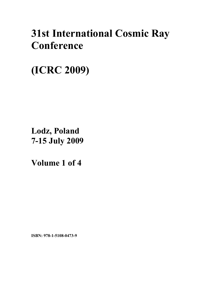# **31st International Cosmic Ray Conference**

**(ICRC 2009)** 

**Lodz, Poland 7-15 July 2009**

**Volume 1 of 4** 

**ISBN: 978-1-5108-0473-9**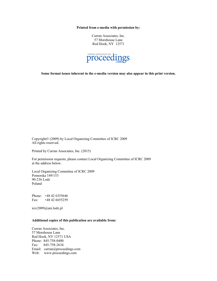**Printed from e-media with permission by:** 

Curran Associates, Inc. 57 Morehouse Lane Red Hook, NY 12571



**Some format issues inherent in the e-media version may also appear in this print version.** 

Copyright© (2009) by Local Organizing Committee of ICRC 2009 All rights reserved.

Printed by Curran Associates, Inc. (2015)

For permission requests, please contact Local Organizing Committee of ICRC 2009 at the address below.

Local Organizing Committee of ICRC 2009 Pomorska 149/153 90-236 Lodz Poland

Phone: +48 42 6355646 Fax: +48 42 6655259

icrc2009@uni.lodz.pl

#### **Additional copies of this publication are available from:**

Curran Associates, Inc. 57 Morehouse Lane Red Hook, NY 12571 USA Phone: 845-758-0400 Fax: 845-758-2634 Email: curran@proceedings.com Web: www.proceedings.com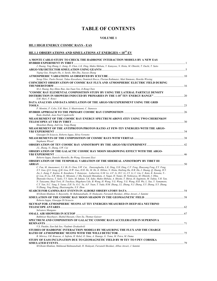# **TABLE OF CONTENTS**

#### **VOLUME 1**

### **HE.1 HIGH ENERGY COSMIC RAYS - EAS**

# **HE.1.1 OBSERVATIONS AND SIMULATIONS AT ENERGIES < 1015 EV**

| A MONTE CARLO STUDY TO CHECK THE HADRONIC INTERACTION MODELS BY A NEW EAS                                                                                                                                                                                         |  |
|-------------------------------------------------------------------------------------------------------------------------------------------------------------------------------------------------------------------------------------------------------------------|--|
|                                                                                                                                                                                                                                                                   |  |
| J. Huang, Ying Zhang, L. Jiang, D. Chen, L.K. Ding, Makio Shibata, Y. Katayose, N. Hotta, M. Ohnishi, T. Ouchi, T. Saito                                                                                                                                          |  |
|                                                                                                                                                                                                                                                                   |  |
| Yiqing Guo, Hongbo Hu, A. Surdo, Min Zha, Xueyao Zhang                                                                                                                                                                                                            |  |
| Serap Tilav, Paolo Desiati, Takao Kuwabara, Dominick Rocco, Florian Rothmaier, Matt Simmons, Henrike Wissing                                                                                                                                                      |  |
| COINCIDENT OBSERVATION OF COSMIC RAY FLUX AND ATMOSPHERIC ELECTRIC FIELD DURING                                                                                                                                                                                   |  |
|                                                                                                                                                                                                                                                                   |  |
| M.A. Huang, Ray-Shine Run, Jun-Yuan Yen, Ji-Rong Chen                                                                                                                                                                                                             |  |
| "COSMIC RAY ELEMENTAL COMPOSITION STUDY BY USING THE LATERAL PARTICLE DENSITY                                                                                                                                                                                     |  |
|                                                                                                                                                                                                                                                                   |  |
| S.M. Mari, F. Ronci                                                                                                                                                                                                                                               |  |
| DATA ANALYSIS AND DATA SIMULATION OF THE ARGO-YBJ EXPERIMENT USING THE GRID                                                                                                                                                                                       |  |
|                                                                                                                                                                                                                                                                   |  |
| P. Montini, P. Celio, S.M. Mari, S. Mastroianni, C. Stanescu                                                                                                                                                                                                      |  |
|                                                                                                                                                                                                                                                                   |  |
| Reda Attallah, Jean-Noel Capdevielle                                                                                                                                                                                                                              |  |
| MEASUREMENT OF THE COSMIC RAY ENERGY SPECTRUM ABOVE 4TEV USING TWO CHERENKOV                                                                                                                                                                                      |  |
|                                                                                                                                                                                                                                                                   |  |
| Shoushan Zhang, Jiali Liu, Yong Zhang<br>MEASUREMENT OF THE ANTIPROTON/PROTON RATIO AT FEW-TEV ENERGIES WITH THE ARGO-                                                                                                                                            |  |
|                                                                                                                                                                                                                                                                   |  |
| Giuseppe Di Sciascio, Roberto Iuppa, Silvia Vernetto                                                                                                                                                                                                              |  |
|                                                                                                                                                                                                                                                                   |  |
| Stephanie Wissel                                                                                                                                                                                                                                                  |  |
|                                                                                                                                                                                                                                                                   |  |
| J.L. Zhang, Yi. Zhang, S.W. Cui                                                                                                                                                                                                                                   |  |
| <b>OBSERVATION OF THE GALACTIC COSMIC RAY MOON SHADOWING EFFECT WITH THE ARGO-</b>                                                                                                                                                                                |  |
|                                                                                                                                                                                                                                                                   |  |
| Roberto Iuppa, Daniele Martello, Bo Wang, Giovanni Zizzi<br><b>OBSERVATION OF THE TEMPORAL VARIATION OF THE SIDEREAL ANISOTROPY BY TIBET III</b>                                                                                                                  |  |
|                                                                                                                                                                                                                                                                   |  |
| C. Fan, M. Amenomori, X.J. Bi, D. Chen, S.W. Cui, . Danzengluobu, L.K. Ding, X.H. Ding, C.F. Feng, Zhaoyang Feng, Z.Y. Feng,                                                                                                                                      |  |
| X.Y. Gao, Q.X. Geng, Q.B. Gou, H.W. Guo, H.H. He, M. He, K. Hibino, N. Hotta, Haibing Hu, H.B. Hu, J. Huang, Q. Huang, H.Y.                                                                                                                                       |  |
| Jia, L. Jiang, F. Kajino, K. Kasahara, Y. Katayose, . Labaciren, G.M. Le, A.F. Li, H.C. Li, J.Y. Li, C. Liu, C. Kato, K. Kawata, Y.-                                                                                                                              |  |
| O. Lou, H. Lu, X.R. Meng, K. Mizutani, J. Mu, Kazuoki Munakata, A. Nagai, H. Nanjo, M. Nishizawa, M. Ohnishi, I. Ohta,                                                                                                                                            |  |
| Shunsuke Ozawa, T. Saito, T.Y. Saito, M. Sakata, T.K. Sako, Makio Shibata, A. Shiomi, T. Shirai, H. Sugimoto, M. Takita, Y.H. Tan,<br>N. Tateyama, Shoji Torii, H. Tsuchiya, Shigeharu Udo, B. Wang, H. Wang, Y.G. Wang, Y.G. Wang, H.R. Wu, L. Xue, Y. Yamamoto, |  |
| C.T. Yan, X.C. Yang, S. Yasue, Z.H. Ye, G.C. Yu, A.F. Yuan, T. Yuda, H.M. Zhang, J.L. Zhang, N.J. Zhang, X.Y. Zhang, X.Y. Zhang,                                                                                                                                  |  |
| Yi Zhang, Ying Zhang, Zhaxisangzhu, X.X. Zhou                                                                                                                                                                                                                     |  |
|                                                                                                                                                                                                                                                                   |  |
| M.Ghomi Khakian, S. Bayestehy, M. Bahmanabadiz, H. Hedayatiz, Farzaneh Sheidaei, Abbas Anvari, J. Samimi                                                                                                                                                          |  |
|                                                                                                                                                                                                                                                                   |  |
| Roberto Iuppa, Giuseppe Di Sciascio                                                                                                                                                                                                                               |  |
| SKYMAP FOR ATMOSPHERIC MUONS AT TEV ENERGIES MEASURED IN DEEP-SEA NEUTRINO                                                                                                                                                                                        |  |
|                                                                                                                                                                                                                                                                   |  |
| Salvatore Mangano                                                                                                                                                                                                                                                 |  |
| Bakhtiyar Ruzybayev, Shahid Hussain, Chen Xu, Thomas Gaisser                                                                                                                                                                                                      |  |
| SPECTRUM AND COMPOSITION OF GALACTIC COSMIC RAYS ACCELERATED IN SUPERNOVA                                                                                                                                                                                         |  |
|                                                                                                                                                                                                                                                                   |  |
| V.S. Ptuskin, Eun-Suk Seo, Vladimir Zirakashvili                                                                                                                                                                                                                  |  |
| STUDIES OF HADRONIC INTERACTION MODELS BY MEASURING THE FLUX AND THE CHARGE                                                                                                                                                                                       |  |
|                                                                                                                                                                                                                                                                   |  |
| B. Mitrica, I.M. Brancus, A. Saftoiu, H. Rebel, O. Sima, A. Haungs, G. Toma, M. Petcu, M. Duma                                                                                                                                                                    |  |
| STUDY OF EASS INCLINATION DUE TO GEOMAGNETIC FIELD BY 50 TEV TO 5 PEV CORSIKA                                                                                                                                                                                     |  |
| M.Ghomi Khakian, Mahmoud Bahmanabadi, H. Hedavati, Farzaneh Sheidaei, Abbas Anvari, J. Samimi                                                                                                                                                                     |  |
|                                                                                                                                                                                                                                                                   |  |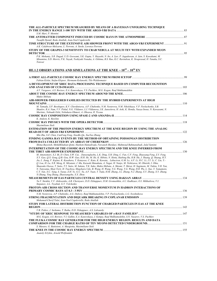| THE ALL-PARTICLE SPECTRUM MEASURED BY MEANS OF A BAYESIAN UNFOLDING TECHNIQUE<br>S.M. Mari, P. Montini                                                                                                                                                                                                                                                                                                                                                                                                                                                                                                                                                                                                                                                                                                                                                  |  |
|---------------------------------------------------------------------------------------------------------------------------------------------------------------------------------------------------------------------------------------------------------------------------------------------------------------------------------------------------------------------------------------------------------------------------------------------------------------------------------------------------------------------------------------------------------------------------------------------------------------------------------------------------------------------------------------------------------------------------------------------------------------------------------------------------------------------------------------------------------|--|
| Taoufik Djemil, Reda Attallah, Jean-Noel Capdevielle                                                                                                                                                                                                                                                                                                                                                                                                                                                                                                                                                                                                                                                                                                                                                                                                    |  |
| TIME STRUCTURE OF THE EXTENSIVE AIR SHOWER FRONT WITH THE ARGO-YBJ EXPERIMENT 91                                                                                                                                                                                                                                                                                                                                                                                                                                                                                                                                                                                                                                                                                                                                                                        |  |
| A.K. Calabrese-Melcarne, L. Perrone, A. Surdo, Lorenzo Perrone<br>STUDY OF THE GRAPES-3 SENSITIVITY TO CRAB NEBULA AT MULTI TEV WITH EXPANDED MUON                                                                                                                                                                                                                                                                                                                                                                                                                                                                                                                                                                                                                                                                                                      |  |
|                                                                                                                                                                                                                                                                                                                                                                                                                                                                                                                                                                                                                                                                                                                                                                                                                                                         |  |
| P.K. Mohanty, S.R. Dugad, U.D. Goswami, S.K. Gupta, Y. Hayashi, N. Ito, A. Iyer, P. Jagadeesan, A. Jain, S. Kawakami, M.<br>Minamino, S.D. Morris, P.K. Nayak, Toshiyuki Nonaka, A. Oshima, B.S. Rao, K.C. Ravindran, K. Sivaprasad, H. Tanaka, S.C.<br>Tonwar                                                                                                                                                                                                                                                                                                                                                                                                                                                                                                                                                                                          |  |
| <u>HE.1.2 OBSERVATIONS AND SIMULATIONS AT THE KNEE ~ <math>10^{15}</math> – <math>10^{16}</math> EV</u>                                                                                                                                                                                                                                                                                                                                                                                                                                                                                                                                                                                                                                                                                                                                                 |  |
|                                                                                                                                                                                                                                                                                                                                                                                                                                                                                                                                                                                                                                                                                                                                                                                                                                                         |  |
| Fabian Kislat, Stefan Klepser, Hermann Kolanoski, Tilo Waldenmaier                                                                                                                                                                                                                                                                                                                                                                                                                                                                                                                                                                                                                                                                                                                                                                                      |  |
| A DEVELOPMENT OF XREC DATA PROCESSING TECHNIQUE BASED ON COMPUTER RECOGNITION                                                                                                                                                                                                                                                                                                                                                                                                                                                                                                                                                                                                                                                                                                                                                                           |  |
| A.V. Vargasov, A.S. Borisov, E.A. Kanevskaya, V.S. Puchkov, M.G. Kogan, Rauf Mukhamedshin                                                                                                                                                                                                                                                                                                                                                                                                                                                                                                                                                                                                                                                                                                                                                               |  |
| Makio Shibata                                                                                                                                                                                                                                                                                                                                                                                                                                                                                                                                                                                                                                                                                                                                                                                                                                           |  |
| AIR-SHOWER-TRIGGERED FAMILIES DETECTED BY THE HYBRID EXPERIMENTS AT HIGH                                                                                                                                                                                                                                                                                                                                                                                                                                                                                                                                                                                                                                                                                                                                                                                |  |
| M. Tamada, S.P. Besshapov, K.V. Cherdintseva, A.P. Chubenko, N.M. Nesterova, N.M. Nikolskaya, V.P. Pavluchenko, S.B.<br>Shaulov, R.A. Nam, V.V. Piskal, N.G. Vildanov, L.I. Vildanova, J.K. Janseitova, H. Aoki, K. Honda, Naoya Inoue, N. Kawasumi, N.<br>Martinic, Nobuaki Ochi, Nobuharu Ohmori, A. Ohsawa, R. Ticona                                                                                                                                                                                                                                                                                                                                                                                                                                                                                                                                |  |
|                                                                                                                                                                                                                                                                                                                                                                                                                                                                                                                                                                                                                                                                                                                                                                                                                                                         |  |
| K. Andeen, K. Rawlins                                                                                                                                                                                                                                                                                                                                                                                                                                                                                                                                                                                                                                                                                                                                                                                                                                   |  |
| Maximiliano Sioli<br>ESTIMATION OF THE PROTON ENERGY SPECTRUM AT THE KNEE REGION BY USING THE ANALOG                                                                                                                                                                                                                                                                                                                                                                                                                                                                                                                                                                                                                                                                                                                                                    |  |
|                                                                                                                                                                                                                                                                                                                                                                                                                                                                                                                                                                                                                                                                                                                                                                                                                                                         |  |
| Min Zha, S.Z. Chen, CunFeng Feng, XiaoBo Qu, XueYao Zhang                                                                                                                                                                                                                                                                                                                                                                                                                                                                                                                                                                                                                                                                                                                                                                                               |  |
| FINDING GAMMA RAY EVENTS BY THE METHOD OF OBTAINING POISSONIAN DISTRIBUTION                                                                                                                                                                                                                                                                                                                                                                                                                                                                                                                                                                                                                                                                                                                                                                             |  |
| Shima Bayesteh, MehdiKhakian Qomi, Hashem Hamedivafa, Farzaneh Sheidaei, Mahmoud Bahmanabadi, Jalal Samimi                                                                                                                                                                                                                                                                                                                                                                                                                                                                                                                                                                                                                                                                                                                                              |  |
| INTERPRETATION OF THE COSMIC-RAY ENERGY SPECTRUM AND THE KNEE INFERRED FROM                                                                                                                                                                                                                                                                                                                                                                                                                                                                                                                                                                                                                                                                                                                                                                             |  |
| M. Amenomori, X.J. Bi, D. Chen, S.W. Cui, . Danzengluobu, L.K. Ding, X.H. Ding, C. Fan, C.F. Feng, Zhaoyang Feng, Z.Y. Feng,                                                                                                                                                                                                                                                                                                                                                                                                                                                                                                                                                                                                                                                                                                                            |  |
| X.Y. Gao, O.X. Geng, O.B. Gou, H.W. Guo, H.H. He, M. He, K. Hibino, N. Hotta, Haibing Hu, H.B. Hu, J. Huang, O. Huang, H.Y.<br>Jia, L. Jiang, F. Kajino, K. Kasahara, Y. Katayose, C. Kato, K. Kawata, . Labaciren, G.M. Le, A.F. Li, H.C. Li, J.Y. Li, C. Liu, Y.-<br>O. Lou, H. Lu, X.R. Meng, K. Mizutani, J. Mu, Kazuoki Munakata, A. Nagai, H. Nanjo, M. Nishizawa, M. Ohnishi, I. Ohta,<br>Shunsuke Ozawa, T. Saito, T.Y. Saito, M. Sakata, T.K. Sako, Makio Shibata, A. Shiomi, T. Shirai, H. Sugimoto, M. Takita, Y.H. Tan,<br>N. Tateyama, Shoji Torii, H. Tsuchiya, Shigeharu Udo, B. Wang, H. Wang, Y.G. Wang, Y.G. Wang, H.R. Wu, L. Xue, Y. Yamamoto,<br>C.T. Yan, X.C. Yang, S. Yasue, Z.H. Ye, G.C. Yu, A.F. Yuan, T. Yuda, H.M. Zhang, J.L. Zhang, N.J. Zhang, X.Y. Zhang, X.Y. Zhang,<br>Yi Zhang, Ying Zhang, Zhaxisangzhu, X.X. Zhou |  |
|                                                                                                                                                                                                                                                                                                                                                                                                                                                                                                                                                                                                                                                                                                                                                                                                                                                         |  |
| Yu.V. Stenkin, V.V. Alekseenko, A.B. Chernyaev, D.D. Dzhappuev, D.M. Gromushkin, A.U. Kudhzaev, O.I. Mikhailova, V.I.<br>Stepanov, A.L. Tsyabuk, G.V. Volchenko                                                                                                                                                                                                                                                                                                                                                                                                                                                                                                                                                                                                                                                                                         |  |
| PROTON-AIR CROSS SECTION AND TRANSVERSE MOMENTUM IN HADRON INTERACTIONS OF                                                                                                                                                                                                                                                                                                                                                                                                                                                                                                                                                                                                                                                                                                                                                                              |  |
| N.M. Nesterova, A.P. Chubenko, A.G. Dubovy, Rauf Mukhamedshin, V.P. Pavlyuchenko, L.G. Sveshnikova                                                                                                                                                                                                                                                                                                                                                                                                                                                                                                                                                                                                                                                                                                                                                      |  |
| Mohamed-Cherif Talai, Jean-Noel Capdevielle, Reda Attallah                                                                                                                                                                                                                                                                                                                                                                                                                                                                                                                                                                                                                                                                                                                                                                                              |  |
| STUDY FOR LATERAL DISTRIBUTION FUNCTION OF CHARGED PARTICLES IN EAS AT THE KNEE                                                                                                                                                                                                                                                                                                                                                                                                                                                                                                                                                                                                                                                                                                                                                                         |  |
| V.B. Petkov, J. Sarkamo, T. Raiha, D.D. Dzhappuev, A.S. Lidvansky                                                                                                                                                                                                                                                                                                                                                                                                                                                                                                                                                                                                                                                                                                                                                                                       |  |
|                                                                                                                                                                                                                                                                                                                                                                                                                                                                                                                                                                                                                                                                                                                                                                                                                                                         |  |
| M.G. Kogan, A.S. Borisov, V.I. Galkin, E.A. Kanevskaya, J. Kempa, Rauf Mukhamedshin, S.N. Nazarov, V.S. Puchkov                                                                                                                                                                                                                                                                                                                                                                                                                                                                                                                                                                                                                                                                                                                                         |  |
| THE FLUKA COSMIC RAY GENERATOR FOR THE HIGH ENERGY REGION. RESULTS AND DATA                                                                                                                                                                                                                                                                                                                                                                                                                                                                                                                                                                                                                                                                                                                                                                             |  |
| S. Muraro, G. Battistoni, A. Margiotta, Maximiliano Sioli                                                                                                                                                                                                                                                                                                                                                                                                                                                                                                                                                                                                                                                                                                                                                                                               |  |
| Anatoly Erlykin, Arnold Wolfendale                                                                                                                                                                                                                                                                                                                                                                                                                                                                                                                                                                                                                                                                                                                                                                                                                      |  |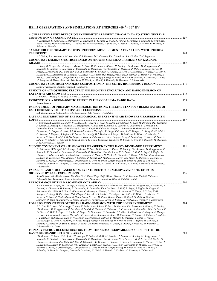# **HE.1.3 OBSERVATIONS AND SIMULATIONS AT ENERGIES ~1016 – 1018 EV**

| A CHERENKOV LIGHT DETECTION EXPERIMENT AT MOUNT CHACALTAYA TO STUDY NUCLEAR                                                                                                                                                                                                                                                                                                                                                                                                                                                                                                                                                                                                                                                                                                                                                                                                                                                                                  |  |
|--------------------------------------------------------------------------------------------------------------------------------------------------------------------------------------------------------------------------------------------------------------------------------------------------------------------------------------------------------------------------------------------------------------------------------------------------------------------------------------------------------------------------------------------------------------------------------------------------------------------------------------------------------------------------------------------------------------------------------------------------------------------------------------------------------------------------------------------------------------------------------------------------------------------------------------------------------------|--|
| Y. Tsunesada, F. Kakimoto, H. Matsumoto, T. Sugawara, G. Soejima, K. Nishi, N. Tajima, Y. Yamada, S. Shimoda, Shoichi Ogio,<br>Hisao Tokuno, Yutaka Matsubara, K. Kadota, Yoshihiko Mizumoto, Y. Shirasaki, H. Yoshii, T. Kaneko, V. Flores, P. Miranda, J.<br>Salinas, A. Velarde                                                                                                                                                                                                                                                                                                                                                                                                                                                                                                                                                                                                                                                                           |  |
| "A METHOD FOR PRIMARY PROTON SPECTRUM MEASUREMENT AT $E_0 \ge 10$ PEV WITH SPHERE-2                                                                                                                                                                                                                                                                                                                                                                                                                                                                                                                                                                                                                                                                                                                                                                                                                                                                          |  |
| V.I. Galkin, R.A. Antonov, A.M. Anokhina, E.A. Bonvech, D.V. Chernov, T.A. Dzhatdoev, A.A. Kirillov, T.M. Roganova                                                                                                                                                                                                                                                                                                                                                                                                                                                                                                                                                                                                                                                                                                                                                                                                                                           |  |
| <b>COSMIC RAY ENERGY SPECTRUM BASED ON SHOWER SIZE MEASUREMENTS OF KASCADE-</b>                                                                                                                                                                                                                                                                                                                                                                                                                                                                                                                                                                                                                                                                                                                                                                                                                                                                              |  |
| D. Kang, W.D. Apel, J.C. Arteaga, F. Badea, K. Bekk, M. Bertaina, J. Blumer, H. Bozdog, I.M. Brancus, M. Bruggemann, P.<br>Buchholz, E. Cantoni, A. Chiavassa, F. Cossavella, K. Daumiller, Vitor SouzaDe, F. PierroDi, P. Doll, R. Engel, J. Engler, M.<br>Finger, D. Fuhrmann, P.L. Ghia, H.J. Gils, R. Glasstetter, C. Grupen, A. Haungs, D. Heck, J.R. Horandel, T. Huege, P.G. Isar, K.-<br>H. Kampert, D. Kickelbick, H.O. Klages, P. Luczak, H.J. Mathes, H.J. Mayer, Jens Milke, B. Mitrica, C. Morello, G. Navarra, S.<br>Nehls, J. Oehlschlager, S. Ostapchenko, S. Over, M. Petcu, Tanguy Pierog, H. Rebel, M. Roth, H. Schieler, F. Schroder, O. Sima,<br>M. Stumpert, G. Toma, Ginacarlo Trinchero, H. Ulrich, A. Weindl, J. Wochele, M. Wommer, J. Zabierowski                                                                                                                                                                                 |  |
| COSMIC RAY SPECTRUM AND MASS COMPOSITION IN THE ULTRA-HIGH ENERGY REGION 171<br>Stanislav Knurenko, Anatoly Ivanov, A.V. Sabourov                                                                                                                                                                                                                                                                                                                                                                                                                                                                                                                                                                                                                                                                                                                                                                                                                            |  |
| EFFECTS OF ATMOSPHERIC ELECTRIC FIELDS ON THE EVOLUTION AND RADIO EMISSION OF                                                                                                                                                                                                                                                                                                                                                                                                                                                                                                                                                                                                                                                                                                                                                                                                                                                                                |  |
| S. Buitink, T. Huege, H. Falcke, D. Heck, J. Kuijpers                                                                                                                                                                                                                                                                                                                                                                                                                                                                                                                                                                                                                                                                                                                                                                                                                                                                                                        |  |
| <b>Benoit Revenu</b>                                                                                                                                                                                                                                                                                                                                                                                                                                                                                                                                                                                                                                                                                                                                                                                                                                                                                                                                         |  |
| IMPROVEMENT OF PRIMARY MASS RESOLUTION USING THE SIMULTANEOUS REGISTRATION OF                                                                                                                                                                                                                                                                                                                                                                                                                                                                                                                                                                                                                                                                                                                                                                                                                                                                                |  |
| L.A. Kuzmichev, N.N. Kalmykov, E.E. Korosteleva, V.V. Prosin, V.P. Sulakov<br>LATERAL DISTRIBUTION OF THE RADIO SIGNAL IN EXTENSIVE AIR SHOWERS MEASURED WITH                                                                                                                                                                                                                                                                                                                                                                                                                                                                                                                                                                                                                                                                                                                                                                                                |  |
|                                                                                                                                                                                                                                                                                                                                                                                                                                                                                                                                                                                                                                                                                                                                                                                                                                                                                                                                                              |  |
| F. Schroder, A. Haungs, M. Ender, W.D. Apel, J.C. Arteaga, T. Asch, F. Badea, Lars Bahren, K. Bekk, M. Bertaina, P.L. Biermann,<br>J. Blumer, H. Bozdog, I.M. Brancus, M. Bruggemann, P. Buchholz, S. Buitink, E. Cantoni, A. Chiavassa, F. Cossavella, K.<br>Daumiller, Vitor De Souza, F. Di Pierro, P. Doll, R. Engel, H. Falcke, M. Finger, D. Fuhrmann, H. Gemmeke, P.L. Ghia, R.<br>Glasstetter, C. Grupen, D. Heck, J.R. Horandel, Andreas Horneffer, T. Huege, P.G. Isar, K.-H. Kampert, D. Kang, D. Kickelbick,<br>O. Kromer, J. Kuijpers, S. Lafebre, P. Luczak, M. Ludwig, H.J. Mathes, H.J. Mayer, M. Melissas, B. Mitrica, C. Morello, G.<br>Navarra, S. Nehls, A. Nigl, J. Oehlschlager, S. Over, N. Palmieri, M. Petcu, Tanguy Pierog, J. Rautenberg, H. Rebel, M. Roth, A.<br>Saftoiu, H. Schieler, A. Schmidt, O. Sima, K. Singh, G. Toma, Ginacarlo Trinchero, H. Ulrich, A. Weindl, J. Wochele, M. Wommer,<br>J. Zabierowski, J.A. Zensus |  |
|                                                                                                                                                                                                                                                                                                                                                                                                                                                                                                                                                                                                                                                                                                                                                                                                                                                                                                                                                              |  |
| D. Fuhrmann, W.D. Apel, J.C. Arteaga, F. Badea, K. Bekk, M. Bertaina, J. Blumer, H. Bozdog, I.M. Brancus, M. Bruggemann, P.<br>Buchholz, E. Cantoni, A. Chiavassa, F. Cossavella, K. Daumiller, Vitor De Souza, F. Di Pierro, P. Doll, R. Engel, J. Engler, M.<br>Finger, P.L. Ghia, H.J. Gils, R. Glasstetter, C. Grupen, A. Haungs, D. Heck, J.R. Horandel, T. Huege, P.G. Isar, K.-H. Kampert,<br>D. Kang, D. Kickelbick, H.O. Klages, Y. Kolotaev, P. Luczak, H.J. Mathes, H.J. Mayer, Jens Milke, B. Mitrica, C. Morello, G.<br>Navarra, S. Nehls, J. Oehlschlager, S. Ostapchenko, S. Over, M. Petcu, Tanguy Pierog, H. Rebel, M. Roth, H. Schieler, F.<br>Schroder, O. Sima, M. Stumpert, G. Toma, Ginacarlo Trinchero, H. Ulrich, W. Walkowiak, A. Weindl, J. Wochele, M. Wommer, J.<br>Zabierowski                                                                                                                                                  |  |
| <b>PARALLEL AND SIMULTANEOUS EAS EVENTS DUE TO GERASIMOVA-ZATSEPIN EFFECTS</b>                                                                                                                                                                                                                                                                                                                                                                                                                                                                                                                                                                                                                                                                                                                                                                                                                                                                               |  |
| Atsushi Iyono, Hiroki Matsumoto, Kazuhide Okei, Shuhei Tsuji, Sohji Ohara, Nobuaki Ochi, Takeharu Konishi, Nobusuke<br>Takahashi, Isao Yamamoto, Takaro Nakatsuka, Toru Nakamura, Nobuharu Ohmori, Katuhiko Saitoh                                                                                                                                                                                                                                                                                                                                                                                                                                                                                                                                                                                                                                                                                                                                           |  |
|                                                                                                                                                                                                                                                                                                                                                                                                                                                                                                                                                                                                                                                                                                                                                                                                                                                                                                                                                              |  |
| F. Di Pierro, W.D. Apel, J.C. Arteaga, F. Badea, K. Bekk, M. Bertaina, J. Blumer, I.M. Brancus, M. Bruggemann, P. Buchholz, E.<br>Cantoni, A. Chiavassa, H. Bozdog, F. Cossavella, K. Daumiller, Vitor De Souza, P. Doll, R. Engel, J. Engler, M. Finger, D.<br>Fuhrmann, P.L. Ghia, H.J. Gils, R. Glasstetter, C. Grupen, A. Haungs, D. Heck, J.R. Horandel, T. Huege, P.G. Isar, K.-H.<br>Kampert, D. Kang, D. Kickelbick, H.O. Klages, P. Luczak, H.J. Mathes, H.J. Mayer, Jens Milke, B. Mitrica, C. Morello, G.<br>Navarra, S. Nehls, J. Oehlschlager, S. Ostapchenko, S. Over, M. Petcu, Tanguy Pierog, H. Rebel, M. Roth, H. Schieler, F.<br>Schroder, O. Sima, M. Stumpert, G. Toma, Ginacarlo Trinchero, H. Ulrich, A. Weindl, J. Wochele, M. Wommer, J. Zabierowski                                                                                                                                                                                |  |
|                                                                                                                                                                                                                                                                                                                                                                                                                                                                                                                                                                                                                                                                                                                                                                                                                                                                                                                                                              |  |
| P.G. Isar, W.D. Apel, J.C. Arteaga, T. Asch, F. Badea, Lars Bahren, K. Bekk, M. Bertaina, P.L. Biermann, J. Blumer, H. Bozdog,<br>I.M. Brancus, M. Bruggemann, P. Buchholz, S. Buitink, E. Cantoni, A. Chiavassa, F. Cossavella, K. Daumiller, Vitor De Souza, F.<br>Di Pierro, P. Doll, R. Engel, H. Falcke, M. Finger, D. Fuhrmann, H. Gemmeke, P.L. Ghia, R. Glasstetter, C. Grupen, A. Haungs,<br>D. Heck, J.R. Horandel, Andreas Horneffer, T. Huege, K.-H. Kampert, D. Kang, D. Kickelbick, O. Kromer, J. Kuijpers, S. Lafebre,<br>P. Luczak, M. Ludwig, H.J. Mathes, H.J. Mayer, M. Melissas, B. Mitrica, C. Morello, G. Navarra, S. Nehls, A. Nigl, J.<br>Oehlschlager, S. Over, N. Palmieri, M. Petcu, Tanguy Pierog, J. Rautenberg, H. Rebel, M. Roth, A. Saftoiu, H. Schieler, A.<br>Schmidt, F. Schroder, O. Sima, K. Singh, G. Toma, Ginacarlo Trinchero, H. Ulrich, A. Weindl, J. Wochele, M. Wommer, J.<br>Zabierowski, J.A. Zensus           |  |
| PRIMARY ENERGY RECONSTRUCTION FROM THE S(500) OBSERVABLE RECORDED WITH THE                                                                                                                                                                                                                                                                                                                                                                                                                                                                                                                                                                                                                                                                                                                                                                                                                                                                                   |  |
| I.M. Brancus, G. Toma, W.D. Apel, J.C. Arteaga, F. Badea, K. Bekk, M. Bertaina, J. Blumer, H. Bozdog, M. Bruggemann, P.<br>Buchholz, E. Cantoni, A. Chiavassa, F. Cossavella, K. Daumiller, Vitor De Souza, F. Di Pierro, P. Doll, R. Engel, J. Engler, M.<br>Finger, D. Fuhrmann, P.L. Ghia, H.J. Gils, R. Glasstetter, C. Grupen, A. Haungs, D. Heck, J.R. Horandel, T. Huege, P.G. Isar, K.-<br>H. Kampert, D. Kang, D. Kickelbick, H.O. Klages, P. Luczak, H.J. Mathes, H.J. Mayer, Jens Milke, B. Mitrica, C. Morello, G.                                                                                                                                                                                                                                                                                                                                                                                                                               |  |

*Navarra, S. Nehls, J. Oehlschlager, S. Ostapchenko, S. Over, M. Petcu, Tanguy Pierog, H. Rebel, M. Roth, H. Schieler, F. Schroder, O. Sima, M. Stumpert, Ginacarlo Trinchero, H. Ulrich, A. Weindl, J. Wochele, M. Wommer, J. Zabierowski*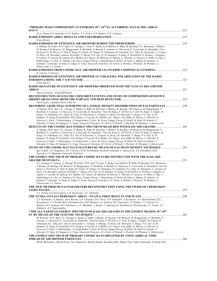| Yu.A. Fomin, N.N. Kalmykov, G.V. Kulikov, V.V. Prosin, V.P. Sulakov, O.V. Vedeneev                                                                                                                                                                                                                                                                                                                                                                                                                                                                                                                                                                                                                                                                                                                                                                                                                                                                           |  |
|--------------------------------------------------------------------------------------------------------------------------------------------------------------------------------------------------------------------------------------------------------------------------------------------------------------------------------------------------------------------------------------------------------------------------------------------------------------------------------------------------------------------------------------------------------------------------------------------------------------------------------------------------------------------------------------------------------------------------------------------------------------------------------------------------------------------------------------------------------------------------------------------------------------------------------------------------------------|--|
| Colas Riviere                                                                                                                                                                                                                                                                                                                                                                                                                                                                                                                                                                                                                                                                                                                                                                                                                                                                                                                                                |  |
|                                                                                                                                                                                                                                                                                                                                                                                                                                                                                                                                                                                                                                                                                                                                                                                                                                                                                                                                                              |  |
| A. Haungs, M. Ender, W.D. Apel, J.C. Arteaga, T. Asch, F. Badea, Lars Bahren, K. Bekk, M. Bertaina, P.L. Biermann, J. Blumer,<br>H. Bozdog, I.M. Brancus, M. Bruggemann, P. Buchholz, S. Buitink, E. Cantoni, A. Chiavassa, F. Cossavella, K. Daumiller, Vitor<br>De Souza, F. Di Pierro, P. Doll, R. Engel, H. Falcke, M. Finger, D. Fuhrmann, H. Gemmeke, P.L. Ghia, R. Glasstetter, C. Grupen,<br>D. Heck, J.R. Horandel, Andreas Horneffer, T. Huege, P.G. Isar, K.-H. Kampert, D. Kang, D. Kickelbick, O. Kromer, J. Kuijpers,<br>S. Lafebre, P. Luczak, M. Ludwig, H.J. Mathes, H.J. Mayer, M. Melissas, B. Mitrica, C. Morello, G. Navarra, S. Nehls, A. Nigl, J.<br>Oehlschlager, S. Over, N. Palmieri, M. Petcu, Tanguy Pierog, J. Rautenberg, H. Rebel, M. Roth, A. Saftoiu, H. Schieler, A.<br>Schmidt, F. Schroder, O. Sima, K. Singh, G. Toma, Ginacarlo Trinchero, H. Ulrich, A. Weindl, J. Wochele, M. Wommer, J.<br>Zabierowski, J.A. Zensus |  |
| D. Lebrun, J. Chauvin                                                                                                                                                                                                                                                                                                                                                                                                                                                                                                                                                                                                                                                                                                                                                                                                                                                                                                                                        |  |
| RADIO EMISSION OF EXTENSIVE AIR SHOWER AT CODALEMA: POLARIZATION OF THE RADIO                                                                                                                                                                                                                                                                                                                                                                                                                                                                                                                                                                                                                                                                                                                                                                                                                                                                                |  |
|                                                                                                                                                                                                                                                                                                                                                                                                                                                                                                                                                                                                                                                                                                                                                                                                                                                                                                                                                              |  |
| Colas Riviere<br><b>RADIO SIGNATURE OF EXTENSIVE AIR SHOWERS OBSERVED WITH THE NANCAY DECAMETER</b>                                                                                                                                                                                                                                                                                                                                                                                                                                                                                                                                                                                                                                                                                                                                                                                                                                                          |  |
|                                                                                                                                                                                                                                                                                                                                                                                                                                                                                                                                                                                                                                                                                                                                                                                                                                                                                                                                                              |  |
| Alain Lecacheux, Arnaud Belletoile                                                                                                                                                                                                                                                                                                                                                                                                                                                                                                                                                                                                                                                                                                                                                                                                                                                                                                                           |  |
| RECONSTRUCTION OF ICECUBE COINCIDENT EVENTS AND STUDY OF COMPOSITION-SENSITIVE                                                                                                                                                                                                                                                                                                                                                                                                                                                                                                                                                                                                                                                                                                                                                                                                                                                                               |  |
| Tom Feusels, Jonathan Eisch, Chen Xu                                                                                                                                                                                                                                                                                                                                                                                                                                                                                                                                                                                                                                                                                                                                                                                                                                                                                                                         |  |
| RESTORING AZIMUTHAL SYMMETRY OF LATERAL DENSITY DISTRIBUTIONS OF EAS PARTICLES239                                                                                                                                                                                                                                                                                                                                                                                                                                                                                                                                                                                                                                                                                                                                                                                                                                                                            |  |
| A. Haungs, W.D. Apel, J.C. Arteaga, F. Badea, K. Bekk, M. Bertaina, J. Blumer, H. Bozdog, I.M. Brancus, M. Bruggemann, P.<br>Buchholz, E. Cantoni, A. Chiavassa, F. Cossavella, K. Daumiller, Vitor De Souza, F. Di Pierro, P. Doll, R. Engel, J. Engler, M.<br>Finger, D. Fuhrmann, P.L. Ghia, H.J. Gils, R. Glasstetter, C. Grupen, D. Heck, J.R. Horandel, T. Huege, P.G. Isar, K.-H.<br>Kampert, D. Kang, D. Kickelbick, H.O. Klages, P. Luczak, H.J. Mathes, H.J. Mayer, Jens Milke, B. Mitrica, C. Morello, G.<br>Navarra, S. Nehls, J. Oehlschlager, S. Ostapchenko, S. Over, M. Petcu, Tanguy Pierog, H. Rebel, M. Roth, H. Schieler, F.                                                                                                                                                                                                                                                                                                             |  |
| Schroder, O. Sima, M. Stumpert, G. Toma, Ginacarlo Trinchero, H. Ulrich, A. Weindl, J. Wochele, M. Wommer, J. Zabierowski                                                                                                                                                                                                                                                                                                                                                                                                                                                                                                                                                                                                                                                                                                                                                                                                                                    |  |
|                                                                                                                                                                                                                                                                                                                                                                                                                                                                                                                                                                                                                                                                                                                                                                                                                                                                                                                                                              |  |
| A. Haungs, W.D. Apel, J.C. Arteaga, F. Badea, K. Bekk, M. Bertaina, J. Blumer, H. Bozdog, I.M. Brancus, M. Bruggemann, P.<br>Buchholz, E. Cantoni, A. Chiavassa, F. Cossavella, K. Daumiller, Vitor De Souza, F. Di Pierro, P. Doll, R. Engel, J. Engler, M.<br>Finger, D. Fuhrmann, P.L. Ghia, H.J. Gils, R. Glasstetter, C. Grupen, D. Heck, J.R. Horandel, T. Huege, P.G. Isar, K.-H.<br>Kampert, D. Kang, D. Kickelbick, H.O. Klages, P. Luczak, H.J. Mathes, H.J. Mayer, Jens Milke, B. Mitrica, C. Morello, G.<br>Navarra, S. Nehls, J. Oehlschlager, S. Ostapchenko, S. Over, M. Petcu, Tanguy Pierog, H. Rebel, M. Roth, H. Schieler, F.<br>Schroder, O. Sima, M. Stumpert, G. Toma, Ginacarlo Trinchero, H. Ulrich, A. Weindl, J. Wochele, M. Wommer, J. Zabierowski                                                                                                                                                                                |  |
| STUDY OF UHE COSMIC RAY FLUX FEATURES BY MEANS OF EAS MUON DENSITY TECHNIQUE 247<br>Igor Yashin, A.G. Bogdanov, D.V. Chernov, D.M. Gromushkin, Rostislav Kokoulin, G. Mannocchi, A.A. Petrukhin, Oscar<br>Saavedra, V.V. Shutenko, Ginacarlo Trinchero                                                                                                                                                                                                                                                                                                                                                                                                                                                                                                                                                                                                                                                                                                       |  |
| THE ENERGY SPECTRUM OF PRIMARY COSMIC RAYS RECONSTRUCTED WITH THE KASCADE-                                                                                                                                                                                                                                                                                                                                                                                                                                                                                                                                                                                                                                                                                                                                                                                                                                                                                   |  |
| J.C. Arteaga, E. Cantoni, A. Haungs, M. Ender, W.D. Apel, T. Asch, F. Badea, Lars Bahren, K. Bekk, M. Bertaina, P.L. Biermann,<br>J. Blumer, H. Bozdog, I.M. Brancus, M. Bruggemann, P. Buchholz, S. Buitink, A. Chiavassa, F. Cossavella, K. Daumiller, Vitor De<br>Souza, F. Di Pierro, P. Doll, R. Engel, H. Falcke, M. Finger, D. Fuhrmann, H. Gemmeke, P.L. Ghia, R. Glasstetter, C. Grupen, D.<br>Heck, J.R. Horandel, Andreas Horneffer, T. Huege, P.G. Isar, K.-H. Kampert, D. Kang, D. Kickelbick, O. Kromer, J. Kuijpers, S.<br>Lafebre, P. Luczak, M. Ludwig, H.J. Mathes, H.J. Mayer, M. Melissas, B. Mitrica, C. Morello, G. Navarra, S. Nehls, A. Nigl, J.<br>Oehlschlager, S. Over, N. Palmieri, M. Petcu, Tanguy Pierog, J. Rautenberg, H. Rebel, M. Roth, A. Saftoiu, H. Schieler, A.<br>Schmidt, F. Schroder, O. Sima, K. Singh, G. Toma, Ginacarlo Trinchero, H. Ulrich, A. Weindl, J. Wochele, M. Wommer, J.<br>Zabierowski, J.A. Zensus |  |
| THE NEW METHOD OF EAS PARAMETERS RECONSTRUCTION USING THE FWHM OF CHERENKOV                                                                                                                                                                                                                                                                                                                                                                                                                                                                                                                                                                                                                                                                                                                                                                                                                                                                                  |  |
|                                                                                                                                                                                                                                                                                                                                                                                                                                                                                                                                                                                                                                                                                                                                                                                                                                                                                                                                                              |  |
| V.V. Prosin, E.E. Korosteleva, L.A. Kuzmichev, A.V. Zablotsky                                                                                                                                                                                                                                                                                                                                                                                                                                                                                                                                                                                                                                                                                                                                                                                                                                                                                                |  |
|                                                                                                                                                                                                                                                                                                                                                                                                                                                                                                                                                                                                                                                                                                                                                                                                                                                                                                                                                              |  |
| L.A. Kuzmichev, N. Budnev, Dave Besson, O.A. Chvalaev, O.A. Gress, N.N. Kalmykov, A. Kochanov, A.V. Korobchenko, E.E.<br>Korosteleva, V.A. Kozhin, B.K. Lubsandorzhiev, R.R. Mirgazov, G. Navarra, M.I. Panasyuk, L.V. Pankov, V.V. Prosin, V.S.<br>Ptuskin, Yu.A. Semeney, B.A. Shaibonov, A.V. Skurikhin, J. Snyder, C. Spiering, M. Stockham, R. Wischnewski, I.V. Yashin, A.V.<br>Zablotsky, A.V. Zagorodnikov                                                                                                                                                                                                                                                                                                                                                                                                                                                                                                                                           |  |
| "THE ALL PARTICLE ENERGY SPECTRUM OF KASCADE-GRANDE IN THE ENERGY REGION 10 <sup>16</sup> -10 <sup>18</sup>                                                                                                                                                                                                                                                                                                                                                                                                                                                                                                                                                                                                                                                                                                                                                                                                                                                  |  |
|                                                                                                                                                                                                                                                                                                                                                                                                                                                                                                                                                                                                                                                                                                                                                                                                                                                                                                                                                              |  |
| M. Bertaina, W.D. Apel, J.C. Arteaga, F. Badea, K. Bekk, J. Blumer, H. Bozdog, I.M. Brancus, M. Bruggemann, P. Buchholz, E.<br>Cantoni, A. Chiavassa, F. Cossavella, K. Daumiller, Vitor De Souza, F. Di Pierro, P. Doll, R. Engel, J. Engler, M. Finger, D.<br>Fuhrmann, P.L. Ghia, H.J. Gils, R. Glasstetter, C. Grupen, A. Haungs, D. Heck, J.R. Horandel, T. Huege, P.G. Isar, K.-H.<br>Kampert, D. Kang, D. Kickelbick, H.O. Klages, P. Luczak, H.J. Mathes, H.J. Mayer, Jens Milke, B. Mitrica, C. Morello, G.<br>Navarra, S. Nehls, J. Oehlschlager, S. Ostapchenko, S. Over, M. Petcu, Tanguy Pierog, H. Rebel, M. Roth, H. Schieler, F.<br>Schroder, O. Sima, M. Stumpert, G. Toma, Ginacarlo Trinchero, H. Ulrich, A. Weindl, J. Wochele, M. Wommer, J. Zabierowski                                                                                                                                                                                |  |
| THE ENERGY SPECTRUM OF PRIMARY COSMIC RAYS OBTAINED BY USING ARRIVAL TIME                                                                                                                                                                                                                                                                                                                                                                                                                                                                                                                                                                                                                                                                                                                                                                                                                                                                                    |  |
|                                                                                                                                                                                                                                                                                                                                                                                                                                                                                                                                                                                                                                                                                                                                                                                                                                                                                                                                                              |  |

*Hiroki Matsumoto, Atsushi Iyono, Isao Yamamoto, Masaki Kohata, Kazuhide Okei, Shuhei Tsuji, Takao Nakatsuka, Nobuaki Ochi*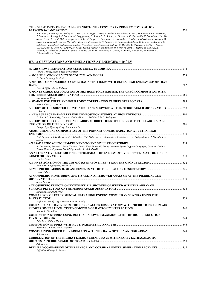#### **"THE SENSITIVITY OF KASCADE-GRANDE TO THE COSMIC RAY PRIMARY COMPOSITION BETWEEN 1016 AND 1018 EV"** ....................................................................................................................................................................270

*E. Cantoni, A. Haungs, M. Ender, W.D. Apel, J.C. Arteaga, T. Asch, F. Badea, Lars Bahren, K. Bekk, M. Bertaina, P.L. Biermann, J. Blumer, H. Bozdog, I.M. Brancus, M. Bruggemann, P. Buchholz, S. Buitink, A. Chiavassa, F. Cossavella, K. Daumiller, Vitor De Souza, F. Di Pierro, P. Doll, R. Engel, H. Falcke, M. Finger, D. Fuhrmann, H. Gemmeke, P.L. Ghia, R. Glasstetter, C. Grupen, D. Heck, J.R. Horandel, Andreas Horneffer, T. Huege, P.G. Isar, K.-H. Kampert, D. Kang, D. Kickelbick, O. Kromer, J. Kuijpers, S. Lafebre, P. Luczak, M. Ludwig, H.J. Mathes, H.J. Mayer, M. Melissas, B. Mitrica, C. Morello, G. Navarra, S. Nehls, A. Nigl, J. Oehlschlager, S. Over, N. Palmieri, M. Petcu, Tanguy Pierog, J. Rautenberg, H. Rebel, M. Roth, A. Saftoiu, H. Schieler, A. Schmidt, F. Schroder, O. Sima, K. Singh, G. Toma, Ginacarlo Trinchero, H. Ulrich, A. Weindl, J. Wochele, M. Wommer, J. Zabierowski, J.A. Zensus* 

#### **HE.1.4 OBSERVATIONS AND SIMULATIONS AT ENERGIES > 1018 EV**

| Tanguy Pierog, Ralph Engel, Dieter Heck                                                                                      |  |
|------------------------------------------------------------------------------------------------------------------------------|--|
|                                                                                                                              |  |
| D. Góra, M. Haag, M. Roth                                                                                                    |  |
| A METHOD OF MEASURING COSMIC MAGNETIC FIELDS WITH ULTRA HIGH ENERGY COSMIC RAY                                               |  |
|                                                                                                                              |  |
| Peter Schiffer, Martin Erdmann                                                                                               |  |
| A MONTE CARLO EXPLORATION OF METHODS TO DETERMINE THE UHECR COMPOSITION WITH                                                 |  |
|                                                                                                                              |  |
| Domenico D'Urso                                                                                                              |  |
|                                                                                                                              |  |
| Rasha Abbasi, C.C.H. Jui                                                                                                     |  |
| A STUDY OF THE SHOWER FRONT IN INCLINED SHOWERS AT THE PIERRE AUGER OBSERVATORY 298                                          |  |
| L. Cazon                                                                                                                     |  |
|                                                                                                                              |  |
| G. Ros, A.D. Supanitsky, Gustavo Medina-Tanco, L. Del Peral, M.D. Rodriguez                                                  |  |
| A STUDY OF THE CORRELATION OF ARRIVAL DIRECTIONS OF UHECRS WITH THE LARGE SCALE                                              |  |
|                                                                                                                              |  |
| Dongsu Ryu, Hyesung Kang, Santabrata Das                                                                                     |  |
| ABOUT CHEMICAL COMPOSITION OF THE PRIMARY COSMIC RADIATION AT ULTRA-HIGH                                                     |  |
|                                                                                                                              |  |
| T.M. Roganova, L.G. Dedenko, A.V. Glushkov, G.F. Fedorova, S.P. Knurenko, I.T. Makarov, D.A. Podgrudkov, M.I. Pravdin, I.Ye. |  |
| Sleptzov                                                                                                                     |  |
|                                                                                                                              |  |
| A. Santangelo, Francesco Fenu, Thomas Mernik, Kenji Shinozaki, Dmitry Naumov, Sylvie Dagoret-Campagne, Gustavo Medina-       |  |
| Tanco, Hiroko Miyamoto, Daniel Supanitsky, Jacek Szabelski                                                                   |  |
| AN ALTERNATIVE METHOD FOR DETERMINING THE ENERGY OF HYBRID EVENTS AT THE PIERRE                                              |  |
|                                                                                                                              |  |
| Patrick Younk                                                                                                                |  |
|                                                                                                                              |  |
| Huihai He, Lingling Ma, Zhen Cao                                                                                             |  |
|                                                                                                                              |  |
| Laura Valore                                                                                                                 |  |
| ATMOSPHERIC MONITORING AND ITS USE IN AIR SHOWER ANALYSIS AT THE PIERRE AUGER                                                |  |
|                                                                                                                              |  |
| Segev BenZvi                                                                                                                 |  |
| ATMOSPHERIC EFFECTS ON EXTENSIVE AIR SHOWERS OBSERVED WITH THE ARRAY OF                                                      |  |
|                                                                                                                              |  |
| Benjamin Rouille d'Orfeuil                                                                                                   |  |
| COMPARISON OF EXPERIMENTAL ULTRAHIGH ENERGY COSMIC RAY SPECTRA USING THE                                                     |  |
|                                                                                                                              |  |
| Stefan Westerhoff, Segev BenZvi, Brian Connolly                                                                              |  |
| <b>COMPARISON OF DATA FROM THE PIERRE AUGER OBSERVATORY WITH PREDICTIONS FROM AIR</b>                                        |  |
|                                                                                                                              |  |
| Antonella Castellina                                                                                                         |  |
| <b>COMPOSITION STUDIES USING DEPTH OF SHOWER MAXIMUM WITH THE HIGH-RESOLUTION</b>                                            |  |
|                                                                                                                              |  |
| John Belz, William Hanlon                                                                                                    |  |
|                                                                                                                              |  |
| Fernando Catalani, Vitor De Souza                                                                                            |  |
|                                                                                                                              |  |
| A.A. Ivanov                                                                                                                  |  |
| <b>CORRELATION OF THE HIGHEST ENERGY COSMIC RAYS WITH NEARBY EXTRAGALACTIC</b>                                               |  |
|                                                                                                                              |  |
| J.D. Hague                                                                                                                   |  |
|                                                                                                                              |  |
| Jeff Allen, Glennys R. Farrar                                                                                                |  |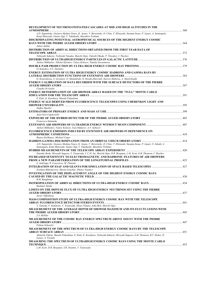| DEVELOPMENT OF NEUTRINO INITIATED CASCADES AT MID AND HIGH ALTITUDES IN THE                                                                 |  |
|---------------------------------------------------------------------------------------------------------------------------------------------|--|
| A.D. Supanitsky, Gustavo Medina-Tanco, K. Asano, V. Berezinsky, D. Cline, T. Ebisuzaki, Susumu Inoue, P. Lipari, A. Santangelo,             |  |
| Kenji Shinozaki, Gunter Sigl, Y. Takahashi, Masahiro Teshima<br>DISCRIMINATING POTENTIAL ASTROPHYSICAL SOURCES OF THE HIGHEST ENERGY COSMIC |  |
|                                                                                                                                             |  |
| Julien Aublin                                                                                                                               |  |
| DISTRIBUTION OF ARRIVAL DIRECTIONS OBTAINED FROM THE FIRST YEAR DATA OF                                                                     |  |
| Nobuyuki Sakurai, Toshiyuki Nonaka, Shoichi Ogio, Takeshi Okuda, P. Tinyakov, I. Tkachev                                                    |  |
|                                                                                                                                             |  |
| Aleksei Mikhailov, Nikolai Efremov, Valery Kolosov, Natalia Gerasimova                                                                      |  |
|                                                                                                                                             |  |
| O. Kalashev, S.V. Demidov<br>ENERGY ESTIMATION OF ULTRA HIGH ENERGY COSMIC HADRONS AND GAMMA RAYS BY                                        |  |
|                                                                                                                                             |  |
| D. Koutsokosta, A. Geranios, O. Malandraki, H. Rosaki-Mavrouli, Stavros Maltezos, A. Mastichiadis                                           |  |
| <b>ENERGY CALIBRATION OF DATA RECORDED WITH THE SURFACE DETECTORS OF THE PIERRE</b>                                                         |  |
| Claudio Di Giulio                                                                                                                           |  |
| ENERGY DETERMINATION OF AIR SHOWER ARRAY BASED ON THE "FULL" MONTE CARLO                                                                    |  |
|                                                                                                                                             |  |
| E. Kido, K. Kasahara, Masaki Fukushima                                                                                                      |  |
| ENERGY SCALE DERIVED FROM FLUORESCENCE TELESCOPES USING CHERENKOV LIGHT AND                                                                 |  |
| Steffen Mueller                                                                                                                             |  |
|                                                                                                                                             |  |
| Jean-Noel Capdevielle                                                                                                                       |  |
| Francesco Salamida                                                                                                                          |  |
|                                                                                                                                             |  |
| Aleksei Mikhailov, Valery Kolosov, Ivan Makarov, A.V. Saburov                                                                               |  |
| FLUORESCENCE EMISSION INDUCED BY EXTENSIVE AIR SHOWERS IN DEPENDENCE ON                                                                     |  |
| Bianca Keilhauer, Michael Unger                                                                                                             |  |
|                                                                                                                                             |  |
| A.D. Supanitsky, Gustavo Medina-Tanco, K. Asano, V. Berezinsky, D. Cline, T. Ebisuzaki, Susumu Inoue, P. Lipari, N. Sakaki, A.              |  |
| Santangelo, Kenji Shinozaki, Gunter Sigl, Y. Takahashi, Masahiro Teshima                                                                    |  |
| Daisuke Ikeda, Hiroyuki Sagawa, Y. Tsunesada, C.C.H. Jui, Shoichi Ogio, D.R. Bergman, L.M. Scott, G.B. Thomson, I. Tkachev                  |  |
| INCREASED SENSITIVITY TO ELECTROMAGNETIC AND HADRONIC FEATURES OF AIR SHOWERS                                                               |  |
|                                                                                                                                             |  |
| S. Andringa, R. Conceicao, M. Pimenta                                                                                                       |  |
| Svetlana Biktemerova, Maxim Gonchar, Dmitry Naumov                                                                                          |  |
| INVESTIGATION OF THE DISPLACEMENT ANGLE OF THE HIGHEST ENERGY COSMIC RAYS                                                                   |  |
| B.M. Baughman                                                                                                                               |  |
|                                                                                                                                             |  |
| Radomir Smida                                                                                                                               |  |
| LIMITS ON THE DIFFUSE FLUX OF ULTRA HIGH ENERGY NEUTRINOS SET USING THE PIERRE                                                              |  |
| Javier Tiffenberg                                                                                                                           |  |
| MASS COMPOSITION STUDY OF ULTRA-HIGH ENERGY COSMIC RAY WITH THE TELESCOPE                                                                   |  |
|                                                                                                                                             |  |
| Y. Tameda, F. Kakimoto, Y. Tsunesada, Hisao Tokuno, John Belz, Shoichi Ogio                                                                 |  |
| MEASUREMENT OF THE AVERAGE DEPTH OF SHOWER MAXIMUM AND ITS FLUCTUATIONS WITH                                                                |  |
| J.A. Bellido                                                                                                                                |  |
| <b>MEASUREMENT OF THE COSMIC RAY ENERGY SPECTRUM ABOVE 1018 EV WITH THE PIERRE</b>                                                          |  |
|                                                                                                                                             |  |
| Fabian Schussler<br>MEASUREMENT OF THE SPECTRUM OF ULTRA-HIGH ENERGY COSMIC RAYS BY THE TELESCOPE                                           |  |
|                                                                                                                                             |  |
| Akimichi Taketa, Masaki Fukushima, E. Kido, K. Kasahara, Nobuyuki Sakurai, Hiroyuki Sagawa, G.B. Thomson, B.T. Stokes, D.                   |  |
| Ivanov, S. Troitsky<br>MEASURING THE SPECTRUM OF ULTRAHIGH ENERGY COSMIC RAYS USING THE MONTE CARLO                                         |  |
|                                                                                                                                             |  |
| L.M. Scott, D.R. Bergman, S.R. Stratton, Y. Tsunesada                                                                                       |  |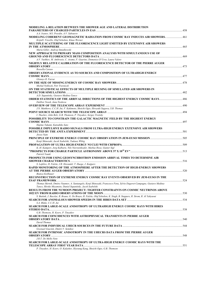| MODELING A RELATION BETWEEN THE SHOWER AGE AND LATERAL DISTRIBUTION                                                                                                                                      |            |
|----------------------------------------------------------------------------------------------------------------------------------------------------------------------------------------------------------|------------|
| A.A. Ivanov, M.I. Pravdin, A.V. Sabourov                                                                                                                                                                 |            |
| MODELING COHERENT GEOMAGNETIC RADIATION FROM COSMIC RAY INDUCES AIR SHOWERS.  461<br>KrijnD. VriesDe, Olaf Scholten, Klaus Werner                                                                        |            |
| MULTIPLE SCATTERING OF THE FLUORESCENCE LIGHT EMITTED BY EXTENSIVE AIR SHOWERS                                                                                                                           |            |
| Maria Giller, Andrzej Smialkowski                                                                                                                                                                        |            |
| NEW APPROACH TO PRIMARY MASS COMPOSITION ANALYSIS WITH SIMULTANEOUS USE OF                                                                                                                               |            |
| A.V. Yushkov, M. Ambrosio, C. Aramo, F. Guarino, Domenico D'Urso, Laura Valore                                                                                                                           |            |
| NIGHTLY RELATIVE CALIBRATION OF THE FLUORESCENCE DETECTOR OF THE PIERRE AUGER<br>Rossella Caruso                                                                                                         |            |
| <b>OBSERVATIONAL EVIDENCE AS TO SOURCES AND COMPOSITION OF ULTRAHIGH ENERGY</b>                                                                                                                          |            |
| Glennys R. Farrar                                                                                                                                                                                        |            |
| Michal Nyklicek, Petr Travnicek                                                                                                                                                                          |            |
| ON THE STATISTICAL EFFECTS OF MULTIPLE REUSING OF SIMULATED AIR SHOWERS IN                                                                                                                               |            |
| A.D. Supanitsky, Gustavo Medina-Tanco                                                                                                                                                                    |            |
| <b>ORDER STATISTICS OF THE ARRIVAL DIRECTIONS OF THE HIGHEST ENERGY COSMIC RAYS 486</b><br>Dalibor Nosek, Jana Noskova                                                                                   |            |
|                                                                                                                                                                                                          |            |
| J.N. Matthews, C.C.H. Jui, F. Kakimoto, Shoichi Ogio, Hiroyuki Sagawa, S.B. Thomas                                                                                                                       |            |
| I. Tkachev, John Belz, G.B. Thomson, P. Tinyakov, Sergey Troitsky                                                                                                                                        |            |
| POSSIBILITY TO CONSTRAIN THE GALACTIC MAGNETIC FIELD BY THE HIGHEST ENERGY                                                                                                                               |            |
| Hajime Takami, Katsuhiko Sato                                                                                                                                                                            |            |
| POSSIBLE IMPULSIVE RADIO SIGNALS FROM ULTRA-HIGH ENERGY EXTENSIVE AIR SHOWERS                                                                                                                            |            |
| Jiwoo Nam<br>Kenji Shinozaki, Jacek Szabelski, Tadeusz Wibig                                                                                                                                             |            |
| K.-H. Kampert, Jorg Kulbartz, Nils Nierstenhoefer, Markus Risse, Gunter Sigl                                                                                                                             |            |
| Patrick Younk                                                                                                                                                                                            |            |
| PROSPECTS FOR USING GEOSYNCHROTRON EMISSION ARRIVAL TIMES TO DETERMINE AIR                                                                                                                               |            |
| S. Lafebre, H. Falcke, J.R. Horandel, T. Huege, J. Kuijpers                                                                                                                                              |            |
| RAPID MONITORING OF THE ATMOSPHERE AFTER THE DETECTION OF HIGH-ENERGY SHOWERS                                                                                                                            | $\sim$ 520 |
| Bianca Keilhauer                                                                                                                                                                                         |            |
| RECONSTRUCTION OF EXTREME ENERGY COSMIC RAY EVENTS OBSERVED BY JEM-EUSO IN THE<br>Thomas Mernik, Dmitry Naumov, A. Santangelo, Kenji Shinozaki, Francesco Fenu, Sylvie Dagoret-Campagne, Gustavo Medina- |            |
| Tanco, Hiroko Miyamoto, Daniel Supanitsky, Jacek Szabelski<br><b>RESULTS FROM THE NUMOON PROJECT: TIGHTER CONSTRAINTS ON COSMIC NEUTRINOS ABOVE</b>                                                      |            |
| S. Buitink, J. Bacelar, R. Braun, G. De Bruyn, H. Falcke, Olaf Scholten, K. Singh, B. Stappers, R. Strom, R. Al Yahyaoui                                                                                 |            |
| S.A. Blake, C.C.H. Jui                                                                                                                                                                                   |            |
| SEARCH FOR LARGE-SCALE ANISOTROPY OF ULTRAHIGH ENERGY COSMIC RAYS WITH HIRES                                                                                                                             |            |
| G.B. Thomson, H. Koers, P. Tinyakov                                                                                                                                                                      |            |
| <b>SEARCH FOR COINCIDENCES WITH ASTROPHYSICAL TRANSIENTS IN PIERRE AUGER</b>                                                                                                                             |            |
| David Thomas<br>Gwenael Giacinti, Dmitri V. Semikoz                                                                                                                                                      |            |
| SEARCH FOR INTRINSIC ANISOTROPY IN THE UHECRS DATA FROM THE PIERRE AUGER                                                                                                                                 |            |
| J.R.T. De Mello Neto<br>SEARCH FOR LARGE-SCALE ANISOTROPY OF ULTRA-HIGH ENERGY COSMIC RAYS WITH THE                                                                                                      |            |
| P. Tinyakov, H. Koers, O. Kalashev, Hyesung Kang, Shoichi Ogio, G.B. Thomson                                                                                                                             |            |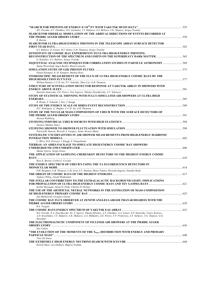| M.I. Pravdin, A.V. Glushkov, D.S. Gorbunov, I.T. Makarov, G.I. Rubtsov, I.Ye. Sleptsov, Sergey Troitsky<br>SEARCH FOR SIDEREAL MODULATION OF THE ARRIVAL DIRECTIONS OF EVENTS RECORDED AT                                                                   |       |
|-------------------------------------------------------------------------------------------------------------------------------------------------------------------------------------------------------------------------------------------------------------|-------|
| R. Bonino                                                                                                                                                                                                                                                   |       |
| SEARCH FOR ULTRA-HIGH ENERGY PHOTONS IN THE TELESCOPE ARRAY SURFACE DETECTOR                                                                                                                                                                                |       |
|                                                                                                                                                                                                                                                             |       |
| G.I. Rubtsov, D. Ivanov, B.T. Stokes, G.B. Thomson, Sergey Troitsky                                                                                                                                                                                         |       |
| <b>SENSITIVITY OF COSMIC-RAY EXPERIMENTS TO ULTRA-HIGH-ENERGY PHOTONS:</b>                                                                                                                                                                                  |       |
|                                                                                                                                                                                                                                                             |       |
| O. Kalashev, G.I. Rubtsov, Sergey Troitsky<br>SEQUENTIAL ANALYSIS TECHNIQUES FOR CORRELATION STUDIES IN PARTICLE ASTRONOMY 569                                                                                                                              |       |
| Stefan Westerhoff, Segev BenZvi, Brian Connolly                                                                                                                                                                                                             |       |
|                                                                                                                                                                                                                                                             |       |
| Daniel Kuempel, K.-H. Kampert, Markus Risse                                                                                                                                                                                                                 |       |
| STEREOSCOPIC MEASUREMENT OF THE FLUX OF ULTRA HIGH ENERGY COSMIC RAYS BY THE                                                                                                                                                                                |       |
|                                                                                                                                                                                                                                                             |       |
| William Hanlon, C.C.H. Jui, P.V. Sokolsky, Zhen Cao, G.B. Thomson<br>STRUCTURE OF SCINTILLATION DETECTOR RESPONSE AT YAKUTSK ARRAY IN SHOWERS WITH                                                                                                          |       |
|                                                                                                                                                                                                                                                             |       |
| Stanislav Knurenko, Z.E. Petrov, Yuri Yegorov, Nikolay Dyachkovsky, A.V. Sabourov                                                                                                                                                                           |       |
| STUDY OF STATISTICAL THINNING WITH FULLY-SIMULATED AIR SHOWERS AT ULTRA HIGH                                                                                                                                                                                |       |
|                                                                                                                                                                                                                                                             |       |
| R. Bruijn, F. Schmidt, J. Ilee, J. Knapp                                                                                                                                                                                                                    |       |
| D.C. Rodriguez, G. Hughes, C.C.H. Jui, G.B. Thomson                                                                                                                                                                                                         |       |
| STUDY OF THE NUCLEAR MASS COMPOSITION OF UHECR WITH THE SURFACE DETECTORS OF                                                                                                                                                                                |       |
|                                                                                                                                                                                                                                                             |       |
| Hernan Wahlberg                                                                                                                                                                                                                                             |       |
| Gustavo Medina-Tanco                                                                                                                                                                                                                                        |       |
|                                                                                                                                                                                                                                                             |       |
| PatriciaM. Hansen, Ricardo A. Vazquez, Jaime Alvarez-Muniz                                                                                                                                                                                                  |       |
| SYSTEMATIC UNCERTAINTIES IN AIR SHOWER MEASUREMENTS FROM HIGH-ENERGY HADRONIC                                                                                                                                                                               |       |
|                                                                                                                                                                                                                                                             |       |
| C. Bleve, R.D. Parsons, J. Knapp, S. Ostapchenko                                                                                                                                                                                                            |       |
| TIERRAS: AN AIRES PACKAGE TO SIMULATE HIGH ENERGY COSMIC RAY SHOWERS                                                                                                                                                                                        |       |
| Matias Tueros, Sergio Sciuto                                                                                                                                                                                                                                |       |
| THE APPLICATION OF SAMPLING CHERENKOV DETECTORS TO THE HIGHEST ENERGY COSMIC                                                                                                                                                                                |       |
|                                                                                                                                                                                                                                                             |       |
| Ross E. Burton, Corbin E. Covault                                                                                                                                                                                                                           |       |
| THE ENERGY SPECTRUM OF UHECR'S USING THE TA FLUORESCENCE DETECTORS IN                                                                                                                                                                                       |       |
| $\sim$ 614<br>D.R. Bergman, G.B. Thomson, L.M. Scott, S.T. Stratton, Hisao Tokuno, Hiroyuki Sagawa, Daisuke Ikeda                                                                                                                                           |       |
|                                                                                                                                                                                                                                                             |       |
| Tadeusz Wibig, Arnold Wolfendale                                                                                                                                                                                                                            |       |
| THE STELLAR CONTRIBUTION TO THE EXTRAGALACTIC BACKGROUND LIGHT: IMPLICATIONS                                                                                                                                                                                |       |
| FOR PROPAGATION OF ULTRA HIGH ENERGY COSMIC RAYS AND TEV GAMMA RAYS                                                                                                                                                                                         | . 621 |
| Soebur Razzaque, Justin D. Finke, Charles D. Dermer                                                                                                                                                                                                         |       |
| THE USE OF THE ARTIFICIAL NEURAL NETWORKS IN THE ESTIMATION OF MASS COMPOSITION                                                                                                                                                                             |       |
| Jan Malinowski, Grzegorz Gustek                                                                                                                                                                                                                             |       |
| THE COSMIC RAY FLUX OBSERVED AT ZENITH ANGLES LARGER THAN 60 DEGREES WITH THE                                                                                                                                                                               |       |
|                                                                                                                                                                                                                                                             |       |
| R.A. Vazquez                                                                                                                                                                                                                                                |       |
|                                                                                                                                                                                                                                                             |       |
| M.I. Pravdin, N.A. Dyachkovsky, Yu. A. Egorov, Nikolai Efremov, A.V. Glushkov, A.A. Ivanov, S.P. Knurenko, Valery Kolosov,<br>A.D. Krasilnikov, I.T. Makarov, A.K. Makarov, A.A. Mikhailov, Z.E. Petrov, V.P. Prohorova, A.V. Saburov, I.Ye. Sleptsov, G.G. |       |
| Struchkov                                                                                                                                                                                                                                                   |       |
| THE ELECTROMAGNETIC COMPONENT OF INCLINED AIR SHOWERS AT THE PIERRE AUGER                                                                                                                                                                                   |       |
|                                                                                                                                                                                                                                                             |       |
| Ines Valino                                                                                                                                                                                                                                                 |       |
| "THE EVOLUTION OF THE MOMENTS OF THE X <sub>MAX</sub> DISTRIBUTION WITH ENERGY AND PRIMARY                                                                                                                                                                  |       |
| Vitor De Souza                                                                                                                                                                                                                                              |       |
|                                                                                                                                                                                                                                                             |       |
| Keiichi Mase, Aya Ishihara, Shigeru Yoshida                                                                                                                                                                                                                 |       |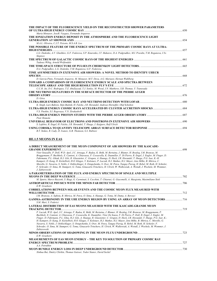| THE IMPACT OF THE FLUORESCENCE YIELD ON THE RECONSTRUCTED SHOWER PARAMETERS                                                  |      |
|------------------------------------------------------------------------------------------------------------------------------|------|
|                                                                                                                              | 650  |
| Maria Monasor, JoseR. Vazquez, Fernando Arqueros                                                                             |      |
| THE IONIZATION ENERGY DEPOSIT IN THE ATMOSPHERE AND THE FLUORESCENCE LIGHT                                                   | 654  |
|                                                                                                                              |      |
| M.A.L. Oliveira, C.J.T. Peixoto, M.S.A.B. Leo                                                                                |      |
| THE POSSIBLE FEATURE OF THE ENERGY SPECTRUM OF THE PRIMARY COSMIC RAYS AT ULTRA-                                             |      |
| L.G. Dedenko, A.V. Glushkov, G.F. Fedorova, S.P. Knurenko, I.T. Makarov, D.A. Podgrudkov, M.I. Pravdin, T.M. Roganova, I.Ye. |      |
| Sleptzov                                                                                                                     |      |
|                                                                                                                              |      |
| Tadeusz Wibig, Arnold Wolfendale                                                                                             |      |
|                                                                                                                              |      |
| D.A. Podgrudkov, L.G. Dedenko, T.M. Roganova, G.F. Fedorova                                                                  |      |
| TIME ASYMMETRIES IN EXTENSIVE AIR SHOWERS: A NOVEL METHOD TO IDENTIFY UHECR                                                  |      |
| <b>SPECIES</b>                                                                                                               | 668  |
| D. Garcia-Pinto, Fernando Arqueros, M. Monasor, M.T. Dova, A.G. Mariazzi, Hernan Wahlberg                                    |      |
| TOWARD A COMPARISON OF FLUORESCENCE ENERGY SCALE AND SPECTRA BETWEEN                                                         |      |
|                                                                                                                              | .672 |
| C.C.H. Jui, D.C. Rodriguez, T.Z. AbuZayyad, T.J. Sonley, M. Wood, J.N. Matthews, S.B. Thomas, Y. Tsunesada                   |      |
| UHE NEUTRINO SIGNATURES IN THE SURFACE DETECTOR OF THE PIERRE AUGER                                                          |      |
| OBSERVATORY <b>CONSERVATORY</b>                                                                                              |      |
| D. Góra                                                                                                                      |      |
|                                                                                                                              |      |
| K. Singh, Lars Bahren, Stijn Buitink, H. Falcke, J.R. Horandel, Andreas Horneffer, Olaf Scholten                             |      |
| V.S. Ptuskin, S.I. Rogovaya, V.N. Zirakashvili                                                                               |      |
|                                                                                                                              |      |
| Piotr Homola                                                                                                                 |      |
|                                                                                                                              |      |
| S. Lafebre, R. Engel, H. Falcke, J.R. Horandel, T. Huege, J. Kuijpers, Ralf Ulrich                                           |      |
|                                                                                                                              |      |

#### *B.T. Stokes, R. Cady, D. Ivanov, G.B. Thomson, G.I. Rubtsov*

#### **HE.1.5 MUONS IN EAS**

| A DIRECT MEASUREMENT OF THE MUON COMPONENT OF AIR SHOWERS BY THE KASCADE-                                                                                                                                                                                                                                                                                                                                                                                                                                                                                                                                                                                                                                                                                                                                    |      |
|--------------------------------------------------------------------------------------------------------------------------------------------------------------------------------------------------------------------------------------------------------------------------------------------------------------------------------------------------------------------------------------------------------------------------------------------------------------------------------------------------------------------------------------------------------------------------------------------------------------------------------------------------------------------------------------------------------------------------------------------------------------------------------------------------------------|------|
|                                                                                                                                                                                                                                                                                                                                                                                                                                                                                                                                                                                                                                                                                                                                                                                                              | 698  |
| Vitor SouzaDe, P. Doll, W.D. Apel, J.C. Arteaga, F. Badea, K. Bekk, M. Bertaina, J. Blumer, H. Bozdog, I.M. Brancus, M.<br>Bruggemann, P. Buchholz, E. Cantoni, A. Chiavassa, F. Cossavella, K. Daumiller, F. Di Pierro, R. Engel, J. Engler, M. Finger, D.<br>Fuhrmann, P.L. Ghiak, H.J. Gils, R. Glasstetter, C. Grupen, A. Haungs, D. Heck, J.R. Horandel, T. Huege, P.G. Isar, K.-H.<br>Kampert, D. Kang, D. Kickelbick, H.O. Klages, Y. Kolotaev, P. Luczak, H.J. Mathes, H.J. Mayer, Jens Milke, B. Mitrica, C.<br>Morello, G. Navarra, S. Nehls, J. Oehlschlager, S. Ostapchenko, S. Over, M. Petcu, Tanguy Pierog, H. Rebel, M. Roth, H. Schieler,<br>F. Schroder, O. Sima, M. Stumpert, G. Toma, Ginacarlo Trinchero, H. Ulrich, W. Walkowiak, A. Weindl, J. Wochele, M. Wommer,<br>J. Zabierowski  |      |
| A PARAMETERISATION OF THE FLUX AND ENERGY SPECTRUM OF SINGLE AND MULTIPLE                                                                                                                                                                                                                                                                                                                                                                                                                                                                                                                                                                                                                                                                                                                                    |      |
|                                                                                                                                                                                                                                                                                                                                                                                                                                                                                                                                                                                                                                                                                                                                                                                                              | .702 |
| M. Spurio, Marco Bazzotti, S. Biagi, G. Carminati, S. Cecchini, T. Chiarusi, G. Giacomelli, A. Margiotta, Maximiliano Sioli                                                                                                                                                                                                                                                                                                                                                                                                                                                                                                                                                                                                                                                                                  |      |
|                                                                                                                                                                                                                                                                                                                                                                                                                                                                                                                                                                                                                                                                                                                                                                                                              | .706 |
| E.W. Grashorn                                                                                                                                                                                                                                                                                                                                                                                                                                                                                                                                                                                                                                                                                                                                                                                                |      |
| <b>CORRELATIONS BETWEEN SOLAR EVENTS AND THE COSMIC MUON FLUX MEASURED WITH</b>                                                                                                                                                                                                                                                                                                                                                                                                                                                                                                                                                                                                                                                                                                                              | .712 |
| WILLI DETECTOR.<br>I.M. Brancus, A. Saftoiu, B. Mitrica, M. Petcu, O. Sima, A. Haungs, G. Toma, M. Duma, A. Bercuci                                                                                                                                                                                                                                                                                                                                                                                                                                                                                                                                                                                                                                                                                          |      |
| <b>GAMMA-ASTRONOMY IN THE UHE ENERGY REGION BY USING AN ARRAY OF MUON DETECTORS </b> 716                                                                                                                                                                                                                                                                                                                                                                                                                                                                                                                                                                                                                                                                                                                     |      |
| S.M. Mari, S. Federici                                                                                                                                                                                                                                                                                                                                                                                                                                                                                                                                                                                                                                                                                                                                                                                       |      |
| LATERAL DISTRIBUTION OF EAS MUONS MEASURED WITH THE KASCADE-GRANDE MUON                                                                                                                                                                                                                                                                                                                                                                                                                                                                                                                                                                                                                                                                                                                                      |      |
| <b>TRACKING DETECTOR.</b>                                                                                                                                                                                                                                                                                                                                                                                                                                                                                                                                                                                                                                                                                                                                                                                    | 719  |
| P. Luczak, W.D. Apel, J.C. Arteaga, F. Badea, K. Bekk, M. Bertaina, J. Blumer, H. Bozdog, I.M. Brancus, M. Bruggemann, P.<br>Buchholz, E. Cantoni, A. Chiavassa, F. Cossavella, K. Daumiller, Vitor De Souza, F. Di Pierro, P. Doll, R. Engel, J. Engler, M.<br>Finger, D. Fuhrmann, P.L. Ghia, H.J. Gils, A. Haungs, R. Glasstetter, C. Grupen, D. Heck, J.R. Horandel, T. Huege, P.G. Isar, K.-<br>H. Kampert, D. Kang, D. Kickelbick, H.O. Klages, Y. Kolotaev, H.J. Mathes, H.J. Mayer, Jens Milke, B. Mitrica, C. Morello, G.<br>Navarra, S. Nehls, J. Oehlschlager, S. Ostapchenko, S. Over, M. Petcu, Tanguy Pierog, H. Rebel, M. Roth, H. Schieler, F.<br>Schroder, O. Sima, M. Stumpert, G. Toma, Ginacarlo Trinchero, H. Ulrich, W. Walkowiak, A. Weindl, J. Wochele, M. Wommer, J.<br>Zabierowski |      |
|                                                                                                                                                                                                                                                                                                                                                                                                                                                                                                                                                                                                                                                                                                                                                                                                              | 723  |
| E.W. Grashorn                                                                                                                                                                                                                                                                                                                                                                                                                                                                                                                                                                                                                                                                                                                                                                                                |      |
| MEASUREMENTS OF EAS MUON ENERGY – THE KEY TO SOLUTION OF PRIMARY COSMIC RAY                                                                                                                                                                                                                                                                                                                                                                                                                                                                                                                                                                                                                                                                                                                                  |      |
| <b>ENERGY SPECTRUM PROBLEM</b>                                                                                                                                                                                                                                                                                                                                                                                                                                                                                                                                                                                                                                                                                                                                                                               | 727  |
| A.A. Petrukhin                                                                                                                                                                                                                                                                                                                                                                                                                                                                                                                                                                                                                                                                                                                                                                                               |      |
| MUON BUNDLE ENERGY LOSS IN DEEP UNDERGROUND DETECTOR                                                                                                                                                                                                                                                                                                                                                                                                                                                                                                                                                                                                                                                                                                                                                         | 730  |
| Xinhua Bai, Dmitry Chirkin, Thomas Gaisser, Todor Stanev, David Seckel                                                                                                                                                                                                                                                                                                                                                                                                                                                                                                                                                                                                                                                                                                                                       |      |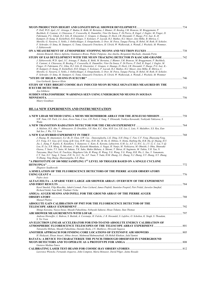| P. Doll, W.D. Apel, J.C. Arteaga, F. Badea, K. Bekk, M. Bertaina, J. Blumer, H. Bozdog, I.M. Brancus, M. Bruggemann, P.<br>Buchholz, E. Cantoni, A. Chiavassa, F. Cossavella, K. Daumiller, Vitor De Souza, F. Di Pierro, R. Engel, J. Engler, M. Finger, D.          |     |
|-----------------------------------------------------------------------------------------------------------------------------------------------------------------------------------------------------------------------------------------------------------------------|-----|
| Fuhrmann, P.L. Ghiak, H.J. Gils, R. Glasstetter, C. Grupen, A. Haungs, D. Heck, J.R. Horandel, T. Huege, P.G. Isar, K.-H.                                                                                                                                             |     |
| Kampert, D. Kang, D. Kickelbick, H.O. Klages, Y. Kolotaev, P. Luczak, H.J. Mathes, H.J. Mayer, Jens Milke, B. Mitrica, C.                                                                                                                                             |     |
| Morello, G. Navarra, S. Nehls, J. Oehlschlager, S. Ostapchenko, S. Over, M. Petcu, Tanguy Pierog, H. Rebel, M. Roth, H. Schieler,                                                                                                                                     |     |
| F. Schroder, O. Sima, M. Stumpert, G. Toma, Ginacarlo Trinchero, H. Ulrich, W. Walkowiak, A. Weindl, J. Wochele, M. Wommer,<br>J. Zabierowski                                                                                                                         |     |
|                                                                                                                                                                                                                                                                       |     |
| Antonio Bonardi, Marco Aglietta, Gianmarco Bruno, Walter Fulgione, Ana Amelia, Bergamini Machado, Amanda Porta                                                                                                                                                        |     |
|                                                                                                                                                                                                                                                                       |     |
| J. Zabierowski, W.D. Apel, J.C. Arteaga, F. Badea, K. Bekk, M. Bertaina, J. Blumer, I.M. Brancus, M. Bruggemann, P. Buchholz,                                                                                                                                         |     |
| E. Cantoni, A. Chiavassa, H. Bozdog, F. Cossavella, K. Daumiller, Vitor De Souza, F. Di Pierro, P. Doll, R. Engel, J. Engler, M.<br>Finger, D. Fuhrmann, P.L. Ghia, H.J. Gils, R. Glasstetter, C. Grupen, A. Haungs, D. Heck, J.R. Horandel, T. Huege, P.G. Isar, K.- |     |
| H. Kampert, D. Kang, D. Kickelbick, H.O. Klages, Y. Kolotaev, P. Luczak, H.J. Mathes, H.J. Mayer, Jens Milke, B. Mitrica, C.                                                                                                                                          |     |
| Morello, G. Navarra, S. Nehls, J. Oehlschlager, S. Ostapchenko, S. Over, M. Petcu, Tanguy Pierog, H. Rebel, M. Roth, H. Schieler,                                                                                                                                     |     |
| F. Schroder, O. Sima, M. Stumpert, G. Toma, Ginacarlo Trinchero, H. Ulrich, W. Walkowiak, A. Weindl, J. Wochele, M. Wommer                                                                                                                                            |     |
|                                                                                                                                                                                                                                                                       |     |
| Lisa Gerhardt, Spencer Klein<br>STUDY OF VERY BRIGHT COSMIC-RAY INDUCED MUON BUNDLE SIGNATURES MEASURED BY THE                                                                                                                                                        |     |
|                                                                                                                                                                                                                                                                       |     |
| Aya Ishihara                                                                                                                                                                                                                                                          |     |
| SUDDEN STRATOSPHERIC WARMINGS SEEN USING UNDERGROUND MUONS IN SOUDAN                                                                                                                                                                                                  |     |
|                                                                                                                                                                                                                                                                       |     |
| Maury Goodman                                                                                                                                                                                                                                                         |     |
|                                                                                                                                                                                                                                                                       |     |
| <b>HE.1.6 NEW EXPERIMENTS AND INSTRUMENTATION</b>                                                                                                                                                                                                                     |     |
|                                                                                                                                                                                                                                                                       |     |
| A NEW LIDAR METHOD USING A MEMS MICROMIRROR ARRAY FOR THE JEM-EUSO MISSION                                                                                                                                                                                            |     |
| S.W. Nam, I.H. Park, J.A. Jeon, Jiwoo Nam, J. Lee, J.H. Park, J. Yang, T. Ebisuzaki, Yoshiya Kawasaki, Yoshiyuki Takizawa, S.<br>Wada                                                                                                                                 |     |
|                                                                                                                                                                                                                                                                       |     |
| A. Malinin, H.S. Ahn, V. Akhnazarov, D. Druzhkin, J.H. Han, K.C. Kim, M.H. Lee, S.E. Lee, L. Lutz, N. Malakhov, S.S. Ryu, Eun-                                                                                                                                        |     |
| Suk Seo, J. Wu, Y.S. Yoon                                                                                                                                                                                                                                             |     |
|                                                                                                                                                                                                                                                                       |     |
| J. Huang, M. Amenomori, X.J. Bi, D. Chen, S.W. Cui, . Danzengluobu, L.K. Ding, X.H. Ding, C. Fan, C.F. Feng, Zhaoyang Feng,                                                                                                                                           |     |
| Z.Y. Feng, X.Y. Gao, O.X. Geng, O.B. Gou, H.W. Guo, H.H. He, M. He, K. Hibino, N. Hotta, Haibing Hu, H.B. Hu, O. Huang, H.Y.<br>Jia, L. Jiang, F. Kajino, K. Kasahara, Y. Katayose, C. Kato, K. Kawata, Labaciren, G.M. Le, A.F. Li, H.C. Li, J.Y. Li, C. Liu, Y.-O.  |     |
| Lou, H. Lu, X.R. Meng, K. Mizutani, J. Mu, Kazuoki Munakata, A. Nagai, H. Nanjo, M. Nishizawa, M. Ohnishi, I. Ohta, Shunsuke                                                                                                                                          |     |
| Ozawa, T. Saito, T.Y. Saito, M. Sakata, T.K. Sako, Makio Shibata, A. Shiomi, T. Shirai, H. Sugimoto, M. Takita, Y.H. Tan, N.                                                                                                                                          |     |
| Tateyama, Shoji Torii, H. Tsuchiya, Shigeharu Udo, B. Wang, H. Wang, Y.G. Wang, Y.G. Wang, H.R. Wu, L. Xue, Y. Yamamoto,                                                                                                                                              |     |
| C.T. Yan, X.C. Yang, S. Yasue, Z.H. Ye, G.C. Yu, A.F. Yuan, T. Yuda, H.M. Zhang, J.L. Zhang, N.J. Zhang, X.Y. Zhang, X.Y. Zhang,<br>Yi Zhang, Ying Zhang, Zhaxisangzhu, X.X. Zhou                                                                                     |     |
| "A PROTOTYPE OF 100 MHZ SAMPLING 1 <sup>st</sup> LEVEL SD TRIGGER BASED ON A SINGLE CYCLONE                                                                                                                                                                           |     |
|                                                                                                                                                                                                                                                                       |     |
| Zbigniew Szadkowski                                                                                                                                                                                                                                                   |     |
| A SIMULATION OF THE FLUORESCENCE DETECTORS OF THE PIERRE AUGER OBSERVATORY                                                                                                                                                                                            |     |
|                                                                                                                                                                                                                                                                       |     |
| Pedro Assis<br>ALTA/CZELTA - A SPARSE VERY LARGE AIR SHOWER ARRAY: OVERVIEW OF THE EXPERIMENT                                                                                                                                                                         |     |
| AND FIRST RESULTS                                                                                                                                                                                                                                                     | 784 |
| Karel Smolek, Filip Blaschke, Jakub Cermak, Peter Lichard, James Pinfold, Stanislav Pospisil, Petr Pridal, Jaroslav Smejkal,                                                                                                                                          |     |
| Richard Soluk, Ivan Stekl, Vladimir Vicha                                                                                                                                                                                                                             |     |
| AMIGA: AUGER MUONS AND INFILL FOR THE GROUND ARRAY OF THE PIERRE AUGER                                                                                                                                                                                                |     |
|                                                                                                                                                                                                                                                                       |     |
| Manuel Platino                                                                                                                                                                                                                                                        |     |
| ABSOLUTE GAIN CALIBRATION OF PMT FOR THE FLUORESCENCE DETECTOR OF THE                                                                                                                                                                                                 |     |
| Shingo Kawana, Naoya Inoue, Masaki Fukushima, Nobuyuki Sakurai, Hisao Tokuno, Stan Thomas                                                                                                                                                                             |     |
|                                                                                                                                                                                                                                                                       |     |
| Andreas Horneffer, L. Bahren, S. Buitink, A. Corstanje, H. Falcke, J. R. Horandel, S. Lafebre, O. Scholten, K. Singh, S. Thoudam,                                                                                                                                     |     |
| S. Ter Veen                                                                                                                                                                                                                                                           |     |
| AN ELECTRON LINEAR ACCELERATOR FOR END-TO-END ABSOLUTE ENERGY CALIBRATION OF                                                                                                                                                                                          |     |
| 801. ATMOSPHERIC FLUORESCENCE TELESCOPES OF THE TELESCOPE ARRAY EXPERIMENT ………………………………………<br>Tatsunobu Shibata, Masaki Fukushima, Daisuke Ikeda, J.N. Matthews, Hiroyuki Sagawa                                                                                      |     |
|                                                                                                                                                                                                                                                                       |     |
| H. Hedayati, Ehsan Ansari, Abbas Anvari, Mahmoud Bahmanabadi, Gh.Mehdi Khakian, Jalal Samini                                                                                                                                                                          |     |
| <b>BATATA: A DEVICE TO CHARACTERIZE THE PUNCH-THROUGH OBSERVED IN UNDERGROUND</b>                                                                                                                                                                                     |     |
|                                                                                                                                                                                                                                                                       |     |
| Gustavo Medina-Tanco                                                                                                                                                                                                                                                  |     |
|                                                                                                                                                                                                                                                                       |     |
| Lawrence Wiencke, Fernando Arqueros, John Compton, Maria Monasor, David Pilger, Jaime Rosado                                                                                                                                                                          |     |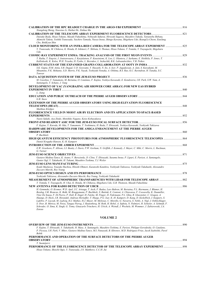| Xiangdong Sheng, Xiaoxiao Li, Huihai He, Xinhua Ma                                                                                                                                                                                                                                                                                                                                                                                                                                                                                                                                                                                                                                                                                                                                                       |  |
|----------------------------------------------------------------------------------------------------------------------------------------------------------------------------------------------------------------------------------------------------------------------------------------------------------------------------------------------------------------------------------------------------------------------------------------------------------------------------------------------------------------------------------------------------------------------------------------------------------------------------------------------------------------------------------------------------------------------------------------------------------------------------------------------------------|--|
|                                                                                                                                                                                                                                                                                                                                                                                                                                                                                                                                                                                                                                                                                                                                                                                                          |  |
| Daisuke Ikeda, Hisao Tokuno, Masaki Fukushima, Nobuyuki Sakurai, Hiroyuki Sagawa, Masahiro Takeda, Tatsunobu Shibata,<br>Akimichi Taketa, Yoshiki Tsunesada, Yuichiro Tameda, Naoya Inoue, Shingo Kawana, Shigeharu Udo, ByungCu Cheon, EunJung<br>Cho, BokKyun Shin                                                                                                                                                                                                                                                                                                                                                                                                                                                                                                                                     |  |
| CLOUD MONITORING WITH AN INFRA-RED CAMERA FOR THE TELESCOPE ARRAY EXPERIMENT  825                                                                                                                                                                                                                                                                                                                                                                                                                                                                                                                                                                                                                                                                                                                        |  |
| Y. Tsunesada, M. Chikawa, K. Honda, R. Ishimori, F. Shibata, S. Thomas, Hisao Tokuno, T. Tomida, Y. Tsuyuguchi, Shigeharu<br>Udo                                                                                                                                                                                                                                                                                                                                                                                                                                                                                                                                                                                                                                                                         |  |
| T. Raiha, T. Engvist, J. Joutsenvaara, J. Karjalainen, P. Kuusiniemi, K. Loo, L. Olantera, J. Sarkamo, E. Heikkila, P. Jones, T.<br>Kalliokoski, K. Kolos, W.H. Trzaska, H. Fynbo, L. Bezrukov, L. Inzhechik, B.K. Lubsandorzhiev, V.B. Petkov                                                                                                                                                                                                                                                                                                                                                                                                                                                                                                                                                           |  |
|                                                                                                                                                                                                                                                                                                                                                                                                                                                                                                                                                                                                                                                                                                                                                                                                          |  |
| S.K. Gupta, H.M. Antia, S.R. Dugad, U.D. Goswami, Y. Hayashi, N. Ito, A. Iyer, P. Jagadeesan, A. Jain, S. Kawakami, M.<br>Minamino, P.K. Mohanty, S.D. Morris, P.K. Nayak, Toshiyuki Nonaka, A. Oshima, B.S. Rao, K.C. Ravindran, H. Tanaka, S.C.<br>Tonwar                                                                                                                                                                                                                                                                                                                                                                                                                                                                                                                                              |  |
|                                                                                                                                                                                                                                                                                                                                                                                                                                                                                                                                                                                                                                                                                                                                                                                                          |  |
| M. Casolino, T. Yamamoto, M. Bertaina, O. Catalano, F. Kajino, Yoshiya Kawasaki, E. Kendziorra, I.H. Park, S.W. Nam, A.<br>Santangelo, T. Schanz, J. Yang                                                                                                                                                                                                                                                                                                                                                                                                                                                                                                                                                                                                                                                |  |
| DEVELOPMENT OF YAC (YANGBAJING AIR SHOWER CORE ARRAY) FOR NEW EAS HYBRID                                                                                                                                                                                                                                                                                                                                                                                                                                                                                                                                                                                                                                                                                                                                 |  |
|                                                                                                                                                                                                                                                                                                                                                                                                                                                                                                                                                                                                                                                                                                                                                                                                          |  |
| L. Jiang                                                                                                                                                                                                                                                                                                                                                                                                                                                                                                                                                                                                                                                                                                                                                                                                 |  |
|                                                                                                                                                                                                                                                                                                                                                                                                                                                                                                                                                                                                                                                                                                                                                                                                          |  |
| $G.R.$ Snow                                                                                                                                                                                                                                                                                                                                                                                                                                                                                                                                                                                                                                                                                                                                                                                              |  |
| <b>EXTENSION OF THE PIERRE AUGER OBSERVATORY USING HIGH-ELEVATION FLUORESCENCE</b>                                                                                                                                                                                                                                                                                                                                                                                                                                                                                                                                                                                                                                                                                                                       |  |
|                                                                                                                                                                                                                                                                                                                                                                                                                                                                                                                                                                                                                                                                                                                                                                                                          |  |
| Matthias Kleifges                                                                                                                                                                                                                                                                                                                                                                                                                                                                                                                                                                                                                                                                                                                                                                                        |  |
| FLUORESCENCE YIELD IN MOIST AIR BY ELECTRON AND ITS APPLICATION TO SPACE-BASED                                                                                                                                                                                                                                                                                                                                                                                                                                                                                                                                                                                                                                                                                                                           |  |
| Naoto Sakaki, Aya Zindo, Motohiko Nagano, Keizo Kobayakawa                                                                                                                                                                                                                                                                                                                                                                                                                                                                                                                                                                                                                                                                                                                                               |  |
|                                                                                                                                                                                                                                                                                                                                                                                                                                                                                                                                                                                                                                                                                                                                                                                                          |  |
| F. Kajino, Y. Kuroda, M. Oda, T. Yamamoto, T. Yoshimura, H. Ikeda, T. Ebisuzaki, Yoshiya Kawasaki, Yoshiyuki Takizawa                                                                                                                                                                                                                                                                                                                                                                                                                                                                                                                                                                                                                                                                                    |  |
| HARDWARE DEVELOPMENTS FOR THE AMIGA ENHANCEMENT AT THE PIERRE AUGER                                                                                                                                                                                                                                                                                                                                                                                                                                                                                                                                                                                                                                                                                                                                      |  |
|                                                                                                                                                                                                                                                                                                                                                                                                                                                                                                                                                                                                                                                                                                                                                                                                          |  |
| P. Buchholz                                                                                                                                                                                                                                                                                                                                                                                                                                                                                                                                                                                                                                                                                                                                                                                              |  |
| HIGH QUANTUM EFFICIENCY PHOTOTUBES FOR ATMOSPHERIC FLUORESCENCE TELESCOPES                                                                                                                                                                                                                                                                                                                                                                                                                                                                                                                                                                                                                                                                                                                               |  |
| Daniel Kruppke-Hansen, K.-H. Kampert                                                                                                                                                                                                                                                                                                                                                                                                                                                                                                                                                                                                                                                                                                                                                                     |  |
|                                                                                                                                                                                                                                                                                                                                                                                                                                                                                                                                                                                                                                                                                                                                                                                                          |  |
| E.W. Grashorn, P. Allison, J.J. Beatty, J. Davis, P.W. Gorham, N. Griffith, J. Kennedy, J. Mayer, C. Miki, C. Morris, L. Ruckman,<br>G. Varner                                                                                                                                                                                                                                                                                                                                                                                                                                                                                                                                                                                                                                                           |  |
|                                                                                                                                                                                                                                                                                                                                                                                                                                                                                                                                                                                                                                                                                                                                                                                                          |  |
| Gustavo Medina-Tanco, K. Asano, V. Berezinsky, D. Cline, T. Ebisuzaki, Susumu Inoue, P. Lipari, E. Parizot, A. Santangelo,<br>Gunter Sigl, Y. Takahashi, H. Takami, Masahiro Teshima, T.J. Weiler                                                                                                                                                                                                                                                                                                                                                                                                                                                                                                                                                                                                        |  |
|                                                                                                                                                                                                                                                                                                                                                                                                                                                                                                                                                                                                                                                                                                                                                                                                          |  |
| Kouki Maekawa, Yousuke Hachisu, Hitoshi Ohmori, Kazutoshi Katahira, Yoshiyuki Takizawa, Yoshiyuki Takahashi, Alessandro<br>Zuccaro Marchi, Roy Young                                                                                                                                                                                                                                                                                                                                                                                                                                                                                                                                                                                                                                                     |  |
|                                                                                                                                                                                                                                                                                                                                                                                                                                                                                                                                                                                                                                                                                                                                                                                                          |  |
| Yoshiyuki Takizawa, Alessandro Zuccaro Marchi, Roy Young, Yoshiyuki Takahashi                                                                                                                                                                                                                                                                                                                                                                                                                                                                                                                                                                                                                                                                                                                            |  |
|                                                                                                                                                                                                                                                                                                                                                                                                                                                                                                                                                                                                                                                                                                                                                                                                          |  |
| T. Tomida, Y. Tsuyuguchi, H. Ukai, K. Honda, M. Chikawa, Shigeharu Udo, G.B. Thomson, Masaki Fukushima                                                                                                                                                                                                                                                                                                                                                                                                                                                                                                                                                                                                                                                                                                   |  |
| H. Gemmeke, O. Kromer, W.D. Apel, J.C. Arteaga, T. Asch, F. Badea, Lars Bahren, M. Bertaina, P.L. Biermann, J. Blumer, H.<br>Bozdog, I.M. Brancus, K. Bekk, M. Bruggemann, P. Buchholz, S. Buitink, E. Cantoni, A. Chiavassa, F. Cossavella, K. Daumiller,<br>Vitor De Souza, F. Di Pierro, P. Doll, R. Engel, H. Falcke, M. Finger, D. Fuhrmann, P.L. Ghia, R. Glasstetter, C. Grupen, A.<br>Haungs, D. Heck, J.R. Horandel, Andreas Horneffer, T. Huege, P.G. Isar, K.-H. Kampert, D. Kang, D. Kickelbick, J. Kuijpers, S.<br>Lafebre, P. Luczak, M. Ludwig, H.J. Mathes, H.J. Mayer, M. Melissas, C. Morello, G. Navarra, S. Nehls, A. Nigl, J. Oehlschlager,<br>S. Over, B. Mitrica, M. Petcu, Tanguy Pierog, J. Rautenberg, M. Roth, H. Rebel, A. Saftoiu, N. Palmieri, H. Schieler, A. Schmidt, F. |  |
| Schroder, O. Sima, K. Singh, G. Toma, Ginacarlo Trinchero, H. Ulrich, A. Weindl, J. Wochele, M. Wommer, J. Zabierowski, J.A.<br>Zensus                                                                                                                                                                                                                                                                                                                                                                                                                                                                                                                                                                                                                                                                   |  |

#### **VOLUME 2**

|                                                                                                                                | -890 |
|--------------------------------------------------------------------------------------------------------------------------------|------|
| F. Kajino, T. Ebisuzaki, Y. Takahashi, H. Mase, A. Santangelo, Masahiro Teshima, E. Parizot, Philippe Gorodetzky, O. Catalano, |      |
| P. Picozza, I.H. Park, V. Mitev, Gustavo Medina-Tanco, M.I. Panasyuk, B. Khrenov, M.D. Rodriguez-Frias, Jacek Szabelski, Pavol |      |
| <b>Robik</b>                                                                                                                   |      |
| PERFORMANCE AND OPERATION OF THE SURFACE DETECTORS OF THE PIERRE AUGER                                                         |      |
|                                                                                                                                | 894  |
| T. Suomijarvi                                                                                                                  |      |
|                                                                                                                                |      |
| Hisao Tokuno, Shoichi Ogio, Y. Tsunesada, J.N. Matthews, C.C.H. Jui                                                            |      |
|                                                                                                                                |      |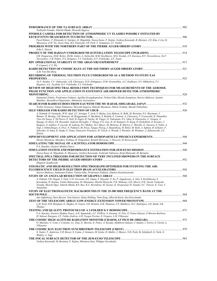| Toshiyuki Nonaka, Takeshi Okuda, Hiroyuki Sagawa                                                                                                                                                                                                             |  |
|--------------------------------------------------------------------------------------------------------------------------------------------------------------------------------------------------------------------------------------------------------------|--|
| PINHOLE CAMERA FOR DETECTION OF ATMOSPHERIC UV FLASHES POSSIBLY INITIATED BY                                                                                                                                                                                 |  |
|                                                                                                                                                                                                                                                              |  |
| Pavel Klimov, T. Ebisuzaki, G. Garipov, K. Higashide, Naoya Inoue, F. Kajino, Yoshiya Kawasaki, B. Khrenov, J.E. Kim, J. Lee, K.<br>Miyazawa, G.W. Na, Jiwoo Nam, M.I. Panasyuk, I.H. Park, T. Yamamoto, I.V. Yashin                                         |  |
| John L. Harton                                                                                                                                                                                                                                               |  |
|                                                                                                                                                                                                                                                              |  |
| I.M. Dzaparova, M.M. Boliev, Zh.Sh. Guliev, L. Inzhechik, M.M. Kochkarov, M.G. Kostuk, A.N. Kurenya, R.V. Novoseltseva, Yu.F.                                                                                                                                |  |
| Novoseltsev, V.B. Petkov, P.S. Striganov, V.I. Volchenko, G.V. Volchenko, A.F. Yanin                                                                                                                                                                         |  |
| P. Camarri, C.Y. Wu                                                                                                                                                                                                                                          |  |
| A.M. Van Den Berg                                                                                                                                                                                                                                            |  |
| RECORDING OF THERMAL NEUTRON FLUX UNDERGROUND AS A METHOD TO STUDY EAS                                                                                                                                                                                       |  |
|                                                                                                                                                                                                                                                              |  |
| Yu.V. Stenkin, V.V. Alekseenko, A.B. Chernyaev, D.D. Dzhappuev, D.M. Gromushkin, A.U. Kudhzaev, O.I. Mikhailova, V.I.<br>Stepanov, A.L. Tsyabuk, G.V. Volchenko, V.I. Volchenko                                                                              |  |
| REVIEW OF HIGH SPECTRAL RESOLUTION TECHNIQUES FOR MEASUREMENTS OF THE AEROSOL                                                                                                                                                                                |  |
| PHASE FUNCTION AND APPLICATION IN EXTENSIVE AIR SHOWER DETECTOR ATMOSPHERIC                                                                                                                                                                                  |  |
| Emmanuel Fokitis, Prodromos Fetfatzis, Agelika Georgakopoulou, Violeta Gika, Mixalis Kompitsas, Stavros Maltezos, Ioannis                                                                                                                                    |  |
| Manthos, Alexandros Papayannis, Athanasios Aravantinos                                                                                                                                                                                                       |  |
|                                                                                                                                                                                                                                                              |  |
| Toshio Terasawa, Takuji Nakamura, Hiroyuki Sagawa, Hideaki Miyamoto, Hideto Yoshida, Masaki Fukushima                                                                                                                                                        |  |
| A. Schmidt, H. Gemmeke, W.D. Apel, J.C. Arteaga, T. Asch, F. Badea, Lars Bahren, K. Bekk, M. Bertaina, P.L. Biermann, J.                                                                                                                                     |  |
| Blumer, H. Bozdog, I.M. Brancus, M. Bruggemann, P. Buchholz, S. Buitink, E. Cantoni, A. Chiavassa, F. Cossavella, K. Daumiller,                                                                                                                              |  |
| Vitor De Souza, F. Di Pierro, P. Doll, R. Engel, H. Falcke, M. Finger, D. Fuhrmann, P.L. Ghia, R. Glasstetter, C. Grupen, A.<br>Haungs, D. Heck, J.R. Horandel, Andreas Horneffer, T. Huege, P.G. Isar, K.-H. Kampert, D. Kang, D. Kickelbick, O. Kromer, J. |  |
| Kuijpers, S. Lafebre, P. Luczak, M. Ludwig, H.J. Mathes, H.J. Mayer, M. Melissas, B. Mitrica, C. Morello, G. Navarra, S. Nehls, A.                                                                                                                           |  |
| Nigl, J. Oehlschlager, S. Over, N. Palmieri, M. Petcu, Tanguy Pierog, J. Rautenberg, H. Rebel, M. Roth, A. Saftoiu, H. Schieler, F.                                                                                                                          |  |
| Schroder, O. Sima, K. Singh, G. Toma, Ginacarlo Trinchero, H. Ulrich, A. Weindl, J. Wochele, M. Wommer, J. Zabierowski, J.A.<br>Zensus                                                                                                                       |  |
|                                                                                                                                                                                                                                                              |  |
| Hiroko Miyamoto, Masahiro Teshima, B. Dolgoshein, Razmik Mirzoyan, J. Nincovic, H. Krawczynski                                                                                                                                                               |  |
|                                                                                                                                                                                                                                                              |  |
| F.A. Sanchez, Gustavo Medina-Tanco                                                                                                                                                                                                                           |  |
| Naoya Inoue, K. Higashide, K. Miyazawa, Yoshiya Kawasaki, Yoshiyuki Takizawa, Kenji Shinozaki, M. Bertaina                                                                                                                                                   |  |
| SPECTRAL FPGA TRIGGERS FOR DETECTION OF VERY INCLINED SHOWERS IN THE SURFACE                                                                                                                                                                                 |  |
|                                                                                                                                                                                                                                                              |  |
| Zbigniew Szadkowski                                                                                                                                                                                                                                          |  |
| STIGMATIC AND HIGH-RESOLUTION SPECTROGRAPH OPTIMIZED FOR STUDYING THE AIR-                                                                                                                                                                                   |  |
| Stavros Maltezos, Emmanuel Fokitis, Violeta Gika, Prodromos Fetfatzis, Dimitris Karabourniotis                                                                                                                                                               |  |
|                                                                                                                                                                                                                                                              |  |
| A. Oshima, S.R. Dugad, T. Fujii, U.D. Goswami, S.K. Gupta, Y. Hayashi, N. Ito, P. Jagadeesan, A. Jain, S. Karthikeyan, S.                                                                                                                                    |  |
| Kawakami, H. Kojima, Toshio Matsuyama, M. Minamino, Hitoshi Miyauchi, P.K. Mohanty, S.D. Morris, P.K. Nayak, Toshiyuki<br>Nonaka, Shoichi Ogio, Takeshi Okuda, B.S. Rao, K.C. Ravindran, M. Sasano, K. Sivaprasad, H. Tanaka, S.C. Tonwar, E. Usui, Y.       |  |
| Yamashita                                                                                                                                                                                                                                                    |  |
| STUDY OF ELECTROMAGNETIC BACKGROUNDS IN THE 25-300 MHZ FREQUENCY BAND AT THE                                                                                                                                                                                 |  |
| Jan Auffenberg, Dave Besson, Tom Gaisser, Klaus Helbing, Timo Karg, Albrecht Karle, Ilya Kravchenko                                                                                                                                                          |  |
|                                                                                                                                                                                                                                                              |  |
| L.M. Scott, D.R. Bergman, G. Hughes, D. Ivanov, S.R. Stratton, G.B. Thomson, J.N. Matthews, D.C. Rodriguez, J.D. Smith, S.B.                                                                                                                                 |  |
| <b>Thomas</b>                                                                                                                                                                                                                                                |  |
| F.A. Sanchez, Gustavo Medina-Tanco, A.D. Supanitsky, J.C. D'Olivo, A. Guzman, G. Paic, E. Patino Salazar, E.Moreno Barbosa,                                                                                                                                  |  |
| H. Salazar Ibarguen, J.F. Valdes-Galicia, A.D. Vargas-Trevino, S. Vergara, L.M. Villasenor                                                                                                                                                                   |  |
|                                                                                                                                                                                                                                                              |  |
| O. Martinez, U. Cotti, J. Cotzomi, J.L. Diaz, E. Moreno, E. Ponce, A. Rosado, Humberto Salazar, J. Sandre, I. Torres, E. Varela, L.<br>Villasenor                                                                                                            |  |
|                                                                                                                                                                                                                                                              |  |
| S. Nutter, T. Anderson, C.R. Bower, S. Coutu, J. Gennaro, M. Geske, D. Muller, J. Musser, N.H. Park, M. Schubnell, G. Tarle, S.<br>Wakely, A. Yagi                                                                                                           |  |
|                                                                                                                                                                                                                                                              |  |
| Yoshiya Kawasaki, M. Bertaina, F. Kajino, Mitsuteru Sato, Philippe Gorodetzky                                                                                                                                                                                |  |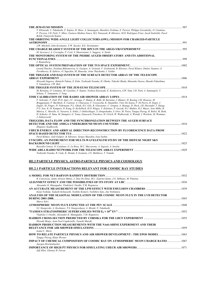| T. Ebisuzaki, Y. Takahashi, F. Kajino, H. Mase, A. Santangelo, Masahiro Teshima, E. Parizot, Philippe Gorodetzky, O. Catalano,<br>P. Picozza, I.H. Park, V. Mitev, Gustavo Medina-Tanco, M.I. Panasyuk, B. Khrenov, M.D. Rodriguez-Frias, Jacek Szabelski, Pavol<br>Bobik, Fumiyoshi Kajino                                                                                                                                                                                                                                                                                                                                                                                                                                                                                                                  |       |
|--------------------------------------------------------------------------------------------------------------------------------------------------------------------------------------------------------------------------------------------------------------------------------------------------------------------------------------------------------------------------------------------------------------------------------------------------------------------------------------------------------------------------------------------------------------------------------------------------------------------------------------------------------------------------------------------------------------------------------------------------------------------------------------------------------------|-------|
| THE ORBITING WIDE-ANGLE LIGHT COLLECTORS (OWL) MISSION FOR CHARGED-PARTICLE                                                                                                                                                                                                                                                                                                                                                                                                                                                                                                                                                                                                                                                                                                                                  |       |
|                                                                                                                                                                                                                                                                                                                                                                                                                                                                                                                                                                                                                                                                                                                                                                                                              |       |
| J.W. Mitchell, John Krizmanic, F.W. Stecker, R.E. Streitmatter                                                                                                                                                                                                                                                                                                                                                                                                                                                                                                                                                                                                                                                                                                                                               |       |
|                                                                                                                                                                                                                                                                                                                                                                                                                                                                                                                                                                                                                                                                                                                                                                                                              |       |
| M. Iacovacci, A. Corvaglia, P. Creti, S. Mastroianni, L. Saggese, A. Surdo<br>THE MONITORING SYSTEM OF THE PIERRE AUGER OBSERVATORY AND ITS ADDITIONAL                                                                                                                                                                                                                                                                                                                                                                                                                                                                                                                                                                                                                                                       |       |
|                                                                                                                                                                                                                                                                                                                                                                                                                                                                                                                                                                                                                                                                                                                                                                                                              |       |
| J. Rautenberg                                                                                                                                                                                                                                                                                                                                                                                                                                                                                                                                                                                                                                                                                                                                                                                                |       |
|                                                                                                                                                                                                                                                                                                                                                                                                                                                                                                                                                                                                                                                                                                                                                                                                              |       |
| Leonid Tkachev, Svetlana Biktemerova, G. Garipov, A. Grinyuk, V. Grebenyuk, B. Khrenov, Pavel Klimov, Dmitry Naumov, S.<br>Porokhovoy, B. Sabirov, O. Saprykin, M. Slunecka, Artur Tkachenko, I. Yashin                                                                                                                                                                                                                                                                                                                                                                                                                                                                                                                                                                                                      |       |
| THE TRIGGER AND DAO SYSTEM OF THE SURFACE DETECTOR ARRAY OF THE TELESCOPE                                                                                                                                                                                                                                                                                                                                                                                                                                                                                                                                                                                                                                                                                                                                    |       |
|                                                                                                                                                                                                                                                                                                                                                                                                                                                                                                                                                                                                                                                                                                                                                                                                              |       |
| Hiroyuki Sagawa, Akimichi Taketa, E. Kido, Toshiyuki Nonaka, H. Ohoka, Takeshi Okuda, Shunsuke Ozawa, Masaki Fukushima,<br>Y. Yamakawa, J.W. Belz                                                                                                                                                                                                                                                                                                                                                                                                                                                                                                                                                                                                                                                            |       |
|                                                                                                                                                                                                                                                                                                                                                                                                                                                                                                                                                                                                                                                                                                                                                                                                              |       |
| M. Bertaina, O. Catalano, M. Casolino, F. Kajino, Yoshiya Kawasaki, E. Kendziorra, S.W. Nam, I.H. Park, A. Santangelo, T.<br>Schanz, T. Yamamoto, J. Yang                                                                                                                                                                                                                                                                                                                                                                                                                                                                                                                                                                                                                                                    |       |
|                                                                                                                                                                                                                                                                                                                                                                                                                                                                                                                                                                                                                                                                                                                                                                                                              | .1014 |
| F. Schroder, P. Doll, W.D. Apel, J.C. Arteaga, F. Badea, K. Bekk, M. Bertaina, J. Blumer, H. Bozdog, I.M. Brancus, M.<br>Bruggemann, P. Buchholz, E. Cantoni, A. Chiavassa, F. Cossavella, K. Daumiller, Vitor De Souza, F. Di Pierro, R. Engel, J.<br>Engler, M. Finger, D. Fuhrmann, P.L. Ghiak, H.J. Gils, R. Glasstetter, C. Grupen, A. Haungs, D. Heck, J.R. Horandel, T. Huege,<br>P.G. Isar, K.-H. Kampert, D. Kang, D. Kickelbick, H.O. Klages, Y. Kolotaev, P. Luczak, H.J. Mathes, H.J. Mayer, Jens Milke, B.<br>Mitrica, C. Morello, G. Navarra, S. Nehls, J. Oehlschlager, S. Ostapchenko, S. Over, M. Petcu, Tanguy Pierog, H. Rebel, M. Roth,<br>H. Schieler, O. Sima, M. Stumpert, G. Toma, Ginacarlo Trinchero, H. Ulrich, W. Walkowiak, A. Weindl, J. Wochele, M. Wommer,<br>J. Zabierowski |       |
| TRIGGERS, DATA FLOW AND THE SYNCHRONIZATION BETWEEN THE AUGER SURFACE                                                                                                                                                                                                                                                                                                                                                                                                                                                                                                                                                                                                                                                                                                                                        |       |
| Zbigniew Szadkowski                                                                                                                                                                                                                                                                                                                                                                                                                                                                                                                                                                                                                                                                                                                                                                                          | .1018 |
| UHECR ENERGY AND ARRIVAL DIRECTION RECONSTRUCTION BY FLUORESCENCE DATA FROM                                                                                                                                                                                                                                                                                                                                                                                                                                                                                                                                                                                                                                                                                                                                  |       |
|                                                                                                                                                                                                                                                                                                                                                                                                                                                                                                                                                                                                                                                                                                                                                                                                              | .1022 |
| Pavel Klimov, Gali Galipov, B. Khrenov, Sergey Sharakin, Ivan Yashin                                                                                                                                                                                                                                                                                                                                                                                                                                                                                                                                                                                                                                                                                                                                         |       |
| UVSCOPE: AN INSTRUMENT FOR MULTI-WAVELENGTH STUDY OF THE DIFFUSE NIGHT SKY                                                                                                                                                                                                                                                                                                                                                                                                                                                                                                                                                                                                                                                                                                                                   |       |
| Rossella Caruso, O. Catalano, G. La Rosa, M.C. Maccarone, A. Segreto, A. Insolia                                                                                                                                                                                                                                                                                                                                                                                                                                                                                                                                                                                                                                                                                                                             |       |
|                                                                                                                                                                                                                                                                                                                                                                                                                                                                                                                                                                                                                                                                                                                                                                                                              |       |
|                                                                                                                                                                                                                                                                                                                                                                                                                                                                                                                                                                                                                                                                                                                                                                                                              |       |

#### **HE.2 PARTICLE PHYSICS, ASTRO-PARTICLE PHYSICS AND COSMOLOGY**

#### **HE.2.1 PARTICLE INTERACTIONS RELEVANT FOR COSMIC RAY STUDIES**

| R. Conceicao, Jaime Alvarez-Muniz, J. Dias De Deus, M.C. Espirito-Santo, J.G. Milhano, M. Pimenta |      |
|---------------------------------------------------------------------------------------------------|------|
|                                                                                                   |      |
| Alexander K. Managadze, VladislavI. Osedlo, T.M. Roganova                                         |      |
|                                                                                                   |      |
| Kenji Yoshida, Tadashi Kobayashi, Yoshiko Komori, Yoshihiro Sato, Jun Nishimura                   |      |
| ANALYSIS OF THE SEASONAL MODULATION OF THE COSMIC MUON FLUX IN THE LVD DETECTOR                   |      |
|                                                                                                   | 1043 |
| Marco Selvi                                                                                       |      |
|                                                                                                   |      |
| S.I. Sinegovsky, A. Kochanov, T.S. Sinegovskaya, A. Misaki, N. Takahashi                          |      |
|                                                                                                   |      |
| Vladislav I. Osedlo, Alexander K. Managadze, T.M. Roganova                                        |      |
|                                                                                                   |      |
| Hiroaki Menjo, Jean-Noel Capdevielle, Yasushi Muraki                                              |      |
| HADRON PRODUCTION MEASUREMENTS WITH THE NA61-SHINE EXPERIMENT AND THEIR                           |      |
|                                                                                                   | 1059 |
| Ioana C. Maris                                                                                    |      |
| HOW TO RELATE PARTICLE PHYSICS AND AIR SHOWER DEVELOPMENT : THE EPOS MODEL                        |      |
| Tanguy Pierog, Klaus Werner                                                                       |      |
| <b>IMPACT OF CHEMICAL COMPOSITION OF COSMIC RAY ON ATMOSPHERIC MUON CHARGE RATIO 1067</b>         |      |
| Juergen Reichenbacher                                                                             |      |
|                                                                                                   |      |
| Jeff Allen, Glennys R. Farrar                                                                     |      |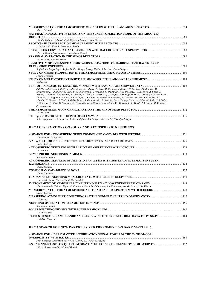| Marco Bazzotti                                                                                                                                                                                                                                                |  |
|---------------------------------------------------------------------------------------------------------------------------------------------------------------------------------------------------------------------------------------------------------------|--|
| NATURAL RADIOACTIVITY EFFECTS ON THE SCALER OPERATION MODE OF THE ARGO-YBJ                                                                                                                                                                                    |  |
| Claudio Cattaneo, Elio Giroletti, Giuseppe Liguori, Paola Salvini                                                                                                                                                                                             |  |
|                                                                                                                                                                                                                                                               |  |
| I. De Mitri, C. Bleve, L. Perrone, A. Surdo                                                                                                                                                                                                                   |  |
| Ph. Von Doetinchem, Henning Gast, Stefan Schael                                                                                                                                                                                                               |  |
| J.K. De Jong, E.W. Grashorn                                                                                                                                                                                                                                   |  |
| SENSITIVITY OF EXTENSIVE AIR SHOWERS TO FEATURES OF HADRONIC INTERACTIONS AT                                                                                                                                                                                  |  |
| Ralf Ulrich, Ralph Engel, Steffen Muller, Tanguy Pierog, Fabian Schussler, Michael Unger                                                                                                                                                                      |  |
|                                                                                                                                                                                                                                                               |  |
| Maury Goodman                                                                                                                                                                                                                                                 |  |
| Xinhua Ma                                                                                                                                                                                                                                                     |  |
|                                                                                                                                                                                                                                                               |  |
| J.R. Horandel, P. Doll, W.D. Apel, J.C. Arteaga, F. Badea, K. Bekk, M. Bertaina, J. Blumer, H. Bozdog, I.M. Brancus, M.<br>Bruggemann, P. Buchholz, E. Cantoni, A. Chiavassa, F. Cossavella, K. Daumiller, Vitor De Souza, F. Di Pierro, R. Engel, J.         |  |
| Engler, M. Finger, D. Fuhrmann, P.L. Ghiak, H.J. Gils, R. Glasstetter, C. Grupen, A. Haungs, D. Heck, T. Huege, P.G. Isar, K.-H.<br>Kampert, D. Kang, D. Kickelbick, H.O. Klages, Y. Kolotaev, P. Luczak, H.J. Mathes, H.J. Mayer, Jens Milke, B. Mitrica, C. |  |
| Morello, G. Navarra, S. Nehls, J. Oehlschlager, S. Ostapchenko, S. Over, M. Petcu, Tanguy Pierog, H. Rebel, M. Roth, H. Schieler,                                                                                                                             |  |
| F. Schroder, O. Sima, M. Stumpert, G. Toma, Ginacarlo Trinchero, H. Ulrich, W. Walkowiak, A. Weindl, J. Wochele, M. Wommer,<br>J. Zabierowski                                                                                                                 |  |
|                                                                                                                                                                                                                                                               |  |
| J.K. De Jong                                                                                                                                                                                                                                                  |  |
| N.Yu. Agafonova, V.V. Boyarkin, Walter Fulgione, A.S. Malgin, Marco Selvi, O.G. Ryazhskaya                                                                                                                                                                    |  |
|                                                                                                                                                                                                                                                               |  |
| <b>HE.2.2 OBSERVATIONS ON SOLAR AND ATMOSPHERIC NEUTRINOS</b>                                                                                                                                                                                                 |  |
|                                                                                                                                                                                                                                                               |  |
| Michelangelo D'Agostino                                                                                                                                                                                                                                       |  |
| Dmitry Chirkin                                                                                                                                                                                                                                                |  |
|                                                                                                                                                                                                                                                               |  |
| Carsten Rott                                                                                                                                                                                                                                                  |  |
| Katarzyna Grzelak                                                                                                                                                                                                                                             |  |
| ATMOSPHERIC NEUTRINO OSCILLATION ANALYSIS WITH SUB-LEADING EFFECTS IN SUPER-                                                                                                                                                                                  |  |
| Chizue Ishihara                                                                                                                                                                                                                                               |  |
|                                                                                                                                                                                                                                                               |  |
| Maury Goodman                                                                                                                                                                                                                                                 |  |
| D.Jason Koskinen, Darren Grant, Carsten Rott                                                                                                                                                                                                                  |  |
| Morihiro Honda, Takaaki Kajita, K. Kasahara, Shouichi Midorikawa, Jun Nishimura, Atsushi Okada, Yuki Shimizu                                                                                                                                                  |  |
| Dmitry Chirkin                                                                                                                                                                                                                                                |  |
|                                                                                                                                                                                                                                                               |  |
| T.J. Sonley                                                                                                                                                                                                                                                   |  |
| Katarzyna Grzelak                                                                                                                                                                                                                                             |  |
| Michael B. Smy                                                                                                                                                                                                                                                |  |
| STATUS OF SUPER-KAMIOKANDE AND EARLY ATMOSPHERIC NEUTRINO DATA FROM SK-IV 1164<br>Yoshihisa Obayashi                                                                                                                                                          |  |
| <b>HE.2.3 SEARCH FOR NEW PARTICLES AND PHENOMENA (AS DARK MATTER)</b>                                                                                                                                                                                         |  |

| A SEARCH FOR A DARK MATTER ANNIHILATION SIGNAL TOWARDS THE CANIS MAJOR |      |
|------------------------------------------------------------------------|------|
|                                                                        | 1168 |
| Jean-Francois Glicenstein, M. Vivier, P. Brun, E. Moulin, B. Peyaud    |      |
|                                                                        |      |
| Ulisses-Barres Almeida. Michael Daniel                                 |      |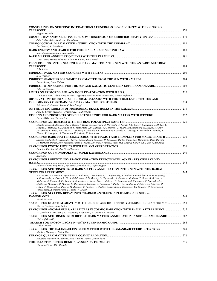| <b>CONSTRAINTS ON NEUTRINO INTERACTIONS AT ENERGIES BEYOND 100 PEV WITH NEUTRINO</b>                                                                                                                                                                                                                                                                                                                                                                                                                                                                                                                                                                                                                                                                                                       |  |
|--------------------------------------------------------------------------------------------------------------------------------------------------------------------------------------------------------------------------------------------------------------------------------------------------------------------------------------------------------------------------------------------------------------------------------------------------------------------------------------------------------------------------------------------------------------------------------------------------------------------------------------------------------------------------------------------------------------------------------------------------------------------------------------------|--|
| Shigeru Yoshida                                                                                                                                                                                                                                                                                                                                                                                                                                                                                                                                                                                                                                                                                                                                                                            |  |
| Julie Saikia, Balendra Kr Dev Choudhury                                                                                                                                                                                                                                                                                                                                                                                                                                                                                                                                                                                                                                                                                                                                                    |  |
| Jan Conrad, A. Sellerholm                                                                                                                                                                                                                                                                                                                                                                                                                                                                                                                                                                                                                                                                                                                                                                  |  |
| Balendra Devchoudhury, Julie Saikia                                                                                                                                                                                                                                                                                                                                                                                                                                                                                                                                                                                                                                                                                                                                                        |  |
| Tomi Ylinen, Yvonne Edmonds, Elliott D. Bloom, Jan Conrad                                                                                                                                                                                                                                                                                                                                                                                                                                                                                                                                                                                                                                                                                                                                  |  |
| FIRST RESULTS ON THE SEARCH FOR DARK MATTER IN THE SUN WITH THE ANTARES NEUTRINO                                                                                                                                                                                                                                                                                                                                                                                                                                                                                                                                                                                                                                                                                                           |  |
| G.M.A. Lim                                                                                                                                                                                                                                                                                                                                                                                                                                                                                                                                                                                                                                                                                                                                                                                 |  |
| R.G. Wagner                                                                                                                                                                                                                                                                                                                                                                                                                                                                                                                                                                                                                                                                                                                                                                                |  |
| James Braun, Daan Hubert<br>Takayuki Tanaka                                                                                                                                                                                                                                                                                                                                                                                                                                                                                                                                                                                                                                                                                                                                                |  |
| Matthieu Vivier, Tobias Herr, Bernard Degrange, Jean-Francois Glicenstein, Werner Hofmann                                                                                                                                                                                                                                                                                                                                                                                                                                                                                                                                                                                                                                                                                                  |  |
| <b>OBSERVATIONS OF DWARF SPHEROIDAL GALAXIES WITH THE FERMI-LAT DETECTOR AND</b>                                                                                                                                                                                                                                                                                                                                                                                                                                                                                                                                                                                                                                                                                                           |  |
| Eric Nuss, C. Farnier, Johann Cohen-Tanugi                                                                                                                                                                                                                                                                                                                                                                                                                                                                                                                                                                                                                                                                                                                                                 |  |
| Julia K. Becker, Marek A. Abramowicz, P.L. Biermann                                                                                                                                                                                                                                                                                                                                                                                                                                                                                                                                                                                                                                                                                                                                        |  |
| Gustav Wikstrom, Carsten Rott                                                                                                                                                                                                                                                                                                                                                                                                                                                                                                                                                                                                                                                                                                                                                              |  |
|                                                                                                                                                                                                                                                                                                                                                                                                                                                                                                                                                                                                                                                                                                                                                                                            |  |
| Makoto Sasaki, K. Abe, H. Fuke, S. Haino, T. Hams, M. Hasegawa, A. Horikoshi, A. Itazaki, K.C. Kim, T. Kumazawa, M.H. Lee, Y.<br>Makida, S. Matsuda, Y. Matsukawa, K. Matsumoto, J.W. Mitchell, A.A. Moiseev, Z. Myers, Jun Nishimura, M. Nozaki, R. Orito,<br>J.F. Ormes, K. Sakai, Eun-Suk Seo, Y. Shikaze, R. Shinoda, R.E. Streitmatter, J. Suzuki, Y. Takasugi, K. Takeuchi, K. Tanaka, N.<br>Thakur, T. Yamagami, A. Yamamoto, T. Yoshida, K. Yoshimura                                                                                                                                                                                                                                                                                                                              |  |
| Saverio Lombardi, J. Aleksic, J.A. Barrio, Adrian Biland, M. Doro, D. Elsaesser, Markus Gaug, Karl Mannheim, Mose Mariotti,<br>M. Martinez, Daniel Nieto, Massimo Persic, F. Prada, Javier Rico, Michael Rissi, M.A. Sanchez-Conde, L.S. Stark, F. Zandanel                                                                                                                                                                                                                                                                                                                                                                                                                                                                                                                                |  |
|                                                                                                                                                                                                                                                                                                                                                                                                                                                                                                                                                                                                                                                                                                                                                                                            |  |
| Gabriela Pavalas, Nicolas Picot Clemente                                                                                                                                                                                                                                                                                                                                                                                                                                                                                                                                                                                                                                                                                                                                                   |  |
| Koh Ueno                                                                                                                                                                                                                                                                                                                                                                                                                                                                                                                                                                                                                                                                                                                                                                                   |  |
| <b>SEARCH FOR LORENTZ INVARIANCE VIOLATION EFFECTS WITH AGN FLARES OBSERVED BY</b>                                                                                                                                                                                                                                                                                                                                                                                                                                                                                                                                                                                                                                                                                                         |  |
| Julien Bolmont, Rolf Buhler, Agnieszka Jacholkowska, Stefan Wagner                                                                                                                                                                                                                                                                                                                                                                                                                                                                                                                                                                                                                                                                                                                         |  |
| SEARCH FOR NEUTRINOS FROM DARK MATTER ANNIHILATION IN THE SUN WITH THE BAIKAL                                                                                                                                                                                                                                                                                                                                                                                                                                                                                                                                                                                                                                                                                                              |  |
| V.V. Prosin, A. Avrorin, V. Aynutdinov, V. Balkanov, I. Belolaptikov, D. Bogorodsky, N. Budnev, I. Danilchenko, G. Domogatsky,<br>A. Doroshenko, A. Dyachok, Zh.-A. Dzhilkibaev, S. Fialkovsky, O. Gaponenko, K. Golubkov, O. Gress, T. Gress, O. Grishin, A.<br>Klabukov, A. Klimov, A. Kochanov, K. Konischev, A. Koshechkin, V. Kulepov, D. Kuleshov, L.A. Kuzmichev, V. Lyashuk, Eike<br>Middell, S. Mikheyev, M. Milenin, R. Mirgazov, E. Osipova, G. Pankov, L.V. Pankov, A. Panfilov, D. Petuhov, E. Pliskovsky, P.<br>Pokhil, V. Poleschuk, E. Popova, M. Rozanov, V. Rubtzov, A. Sheifler, A. Shirokov, B. Shoibonov, Ch. Spiering, O. Suvorova, B.<br>Tarashansky, R. Wischnewski, I. Yashin, V. Zhukov<br>SEARCH FOR NUCLEON DECAY INTO CHARGED ANTILEPTON PLUS MESON IN SUPER- |  |
|                                                                                                                                                                                                                                                                                                                                                                                                                                                                                                                                                                                                                                                                                                                                                                                            |  |
| Haruki Nishino<br>SEARCH FOR QUANTUM GRAVITY WITH ICECUBE AND HIGH ENERGY ATMOSPHERIC NEUTRINOS  1253                                                                                                                                                                                                                                                                                                                                                                                                                                                                                                                                                                                                                                                                                      |  |
| Warren Huelsnitz, John Kelley<br>SEARCH FOR ANOMALOUS Z/A PARTICLES IN COSMIC RADIATION WITH PAMELA EXPERIMENT  1257                                                                                                                                                                                                                                                                                                                                                                                                                                                                                                                                                                                                                                                                       |  |
| M. Casolino, C. De Santis, N. De Simone, F. Guescini, N. Nikonov, P. Picozza                                                                                                                                                                                                                                                                                                                                                                                                                                                                                                                                                                                                                                                                                                               |  |
| Piotr Mijakowski                                                                                                                                                                                                                                                                                                                                                                                                                                                                                                                                                                                                                                                                                                                                                                           |  |
| Makoto Miura<br>SEARCH FOR THE KALUZA-KLEIN DARK MATTER WITH THE AMANDA/ICECUBE DETECTORS  1268                                                                                                                                                                                                                                                                                                                                                                                                                                                                                                                                                                                                                                                                                            |  |
| Matthias Danninger, Kahae Han                                                                                                                                                                                                                                                                                                                                                                                                                                                                                                                                                                                                                                                                                                                                                              |  |
| Zouleikha Mohammed Sahnoun, Reda Attallah, Ahmed Chafk Chami,                                                                                                                                                                                                                                                                                                                                                                                                                                                                                                                                                                                                                                                                                                                              |  |
| Vincenzo Vitale, Aldo Morselli                                                                                                                                                                                                                                                                                                                                                                                                                                                                                                                                                                                                                                                                                                                                                             |  |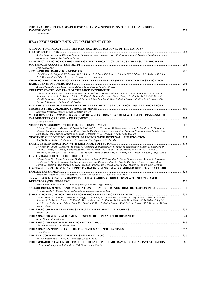#### **THE FINAL RESULT OF A SEARCH FOR NEUTRON-ANTINEUTRON OSCILLATION IN SUPER-KAMIOKANDE-I** ........................................................................................................................................................................................1279

*Jun Kameda* 

#### **HE.2.4 NEW EXPERIMENTS AND INSTRUMENTATION**

| A ROBOT TO CHARACTERIZE THE PHOTOCATHODE RESPONSE OF THE HAWC 8"                                                                                                                                                                                                                                                                                                                                                      |  |
|-----------------------------------------------------------------------------------------------------------------------------------------------------------------------------------------------------------------------------------------------------------------------------------------------------------------------------------------------------------------------------------------------------------------------|--|
| Andres Sandoval, Ruben Alfaro, E. Belmont-Moreno, Mayra Cervantez, Varlen Grabski, H. Marti, A. Martinez-Davalos, Alejandro<br>Renteria, O. Vazquez, A. Menchaca-Rocha                                                                                                                                                                                                                                                |  |
| ACOUSTIC DETECTION OF HIGH ENERGY NEUTRINOS IN ICE: STATUS AND RESULTS FROM THE                                                                                                                                                                                                                                                                                                                                       |  |
|                                                                                                                                                                                                                                                                                                                                                                                                                       |  |
| Freija Descamps                                                                                                                                                                                                                                                                                                                                                                                                       |  |
|                                                                                                                                                                                                                                                                                                                                                                                                                       |  |
| M.A.Oliveira De Leigui, C.J.T. Peixoto, M.S.A.B. Leao, R.M. Lima, E.F. Lima, V.P. Luzio, N.T.S. Ribeiro, A.F. Barbosa, H.P. Lima<br>Jr, L.M. Andrade De Filho, A.B. Vilar, E. Kemp, L.F.G. Gonzales                                                                                                                                                                                                                   |  |
| <b>CHARACTERIZATION OF POLYETHYLENE TEREPHTHALATE (PET) DETECTOR TO SEARCH FOR</b>                                                                                                                                                                                                                                                                                                                                    |  |
| A. Maulik, D. Bhowmik, S. Dey, Sibaji Raha, S. Saha, Swapan K. Saha, D. Syam                                                                                                                                                                                                                                                                                                                                          |  |
|                                                                                                                                                                                                                                                                                                                                                                                                                       |  |
| Takashi Sako, O. Adriani, L. Bonechi, M. Bongi, G. Castellini, R. D'Alessandro, A. Faus, K. Fukui, M. Haguenauer, Y. Itow, K.                                                                                                                                                                                                                                                                                         |  |
| Kasahara, K. Kawade, D. Macina, T. Mase, K. Masuda, Yutaka Matsubara, Hiroaki Menjo, G. Mitsuka, M. Mizuishi, Yasushi                                                                                                                                                                                                                                                                                                 |  |
| Muraki, M. Nakai, P. Papini, A.-L. Perrot, S. Ricciarini, Yuki Shimizu, K. Taki, Tadahisa Tamura, Shoji Torii, A. Tricomi, W.C.<br>Turner, J. Velasco, A. Viciani, Kenji Yoshida                                                                                                                                                                                                                                      |  |
| <b>IMPLIMENTATION OF A MUON LIFETIME EXPERIMENT IN AN UNDERGRADUATE LABORATORY</b>                                                                                                                                                                                                                                                                                                                                    |  |
|                                                                                                                                                                                                                                                                                                                                                                                                                       |  |
| Lawrence Wiencke, Matthew Bowles, Jonathan Powers                                                                                                                                                                                                                                                                                                                                                                     |  |
| MEASUREMENT OF COSMIC RAYS POSITRON-ELECTRON SPECTRUM WITH ELECTRO-MAGNETIC                                                                                                                                                                                                                                                                                                                                           |  |
|                                                                                                                                                                                                                                                                                                                                                                                                                       |  |
| Stanislav Borisov                                                                                                                                                                                                                                                                                                                                                                                                     |  |
| T. Mase, O. Adriani, L. Bonechi, M. Bongi, G. Castellini, R. D'Alessandro, M. Haguenauer, Y. Itow, K. Kasahara, D. Macina, K.                                                                                                                                                                                                                                                                                         |  |
| Masuda, Yutaka Matsubara, Hiroaki Menjo, Yasushi Muraki, M. Nakai, P. Papini, A.-L. Perrot, S. Ricciarini, Takashi Sako, Yuki<br>Shimizu, K. Taki, Tadahisa Tamura, Shoji Torii, A. Tricomi, W.C. Turner, A. Viciani, Kenji Yoshida                                                                                                                                                                                   |  |
|                                                                                                                                                                                                                                                                                                                                                                                                                       |  |
| Rauf Mukhamedshin, A.P. Chubenko, D. Karmanov, S.A. Legotin, V.N. Murashev                                                                                                                                                                                                                                                                                                                                            |  |
| M. Nakai, O. Adriani, L. Bonechi, M. Bongi, G. Castellini, R. D'Alessandro, K. Fukui, M. Haguenauer, Y. Itow, K. Kasahara, D.                                                                                                                                                                                                                                                                                         |  |
| Macina, T. Mase, K. Masuda, Yutaka Matsubara, Hiroaki Menjo, M. Mizuishi, Yasushi Muraki, P. Papini, A.-L. Perrot, S.<br>Ricciarini, Takashi Sako, Yuki Shimizu, K. Taki, Tadahisa Tamura, Shoji Torii, A. Tricomi, W.C. Turner, A. Viciani, Kenji Yoshida                                                                                                                                                            |  |
|                                                                                                                                                                                                                                                                                                                                                                                                                       |  |
| Takashi Sako, O. Adriani, L. Bonechi, M. Bongi, G. Castellini, R. D'Alessandro, K. Fukui, M. Haguenauer, Y. Itow, K. Kasahara,<br>D. Macina, T. Mase, K. Masuda, Yutaka Matsubara, Hiroaki Menjo, M. Mizuishi, Yasushi Muraki, M. Nakai, P. Papini, A.-L.<br>Perrot, S. Ricciarini, Yuki Shimizu, K. Taki, Tadahisa Tamura, Shoji Torii, A. Tricomi, W.C. Turner, A. Viciani, Kenji Yoshida                           |  |
| POSITRON IDENTIFICATION ON PROTON BACKGROUND USING COMBINED DETECTOR DATA FOR                                                                                                                                                                                                                                                                                                                                         |  |
|                                                                                                                                                                                                                                                                                                                                                                                                                       |  |
| Alexander Karelin, G.I. Vasiliev, Sergey Voronov, A.M. Galper, A.V. Koldobsky, M.F. Runtso                                                                                                                                                                                                                                                                                                                            |  |
| SEARCH FOR GLOBAL ASYMMETRY OF UHECR ARRIVAL DIRECTIONS WITH SPACE-BASED                                                                                                                                                                                                                                                                                                                                              |  |
| Pavel Klimov, Oleg Kalachev, B. Khrenov, Sergey Sharakin, Sergey Troitsky                                                                                                                                                                                                                                                                                                                                             |  |
|                                                                                                                                                                                                                                                                                                                                                                                                                       |  |
| Timo Karg, Martin Bissok, Karim Laihem, Benjamin Semburg, Delia Tosi                                                                                                                                                                                                                                                                                                                                                  |  |
|                                                                                                                                                                                                                                                                                                                                                                                                                       |  |
| Hiroaki Menjo, O. Adriani, L. Bonechi, M. Bongi, G. Castellini, R. D'Alessandro, K. Fukui, M. Haguenauer, Y. Itow, K. Kasahara,<br>K. Kawade, D. Macina, T. Mase, K. Masuda, Yutaka Matsubara, G. Mitsuka, M. Mizuishi, Yasushi Muraki, M. Nakai, P. Papini,<br>A.-L. Perrot, S. Ricciarini, Takashi Sako, Yuki Shimizu, K. Taki, Tadahisa Tamura, Shoji Torii, A. Tricomi, W.C. Turner, A. Viciani,<br>Kenji Yoshida |  |
| Alberto Oliva                                                                                                                                                                                                                                                                                                                                                                                                         |  |
| Sonia Natale, Stefan Schael                                                                                                                                                                                                                                                                                                                                                                                           |  |
| Thorsten Siedenburg, Chanhoon Chung                                                                                                                                                                                                                                                                                                                                                                                   |  |
|                                                                                                                                                                                                                                                                                                                                                                                                                       |  |
| Paolo Zuccon                                                                                                                                                                                                                                                                                                                                                                                                          |  |
| Ph. Von Doetinchem, T. Kirn, K. Lubelsmeyer, Stefan Schael                                                                                                                                                                                                                                                                                                                                                            |  |
| THE EM/HADRON CALORIMETER FOR HIGH ENERGY COSMIC RAY ELECTRONS INVESTIGATION  1360<br>G.L. Bashindzhahyan, N.A. Korotkova, N.B. Sinev, Leonid Tkachev                                                                                                                                                                                                                                                                 |  |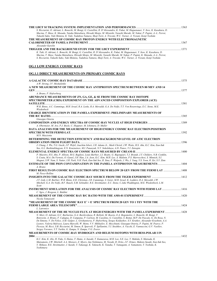| S. Ricciarini, O. Adriani, L. Bonechi, M. Bongi, G. Castellini, R. D'Alessandro, K. Fukui, M. Haguenauer, Y. Itow, K. Kasahara, D.<br>Macina, T. Mase, K. Masuda, Yutaka Matsubara, Hiroaki Menjo, M. Mizuishi, Yasushi Muraki, M. Nakai, P. Papini, A.-L. Perrot,                                                                                                                                                                                                                                                            |  |
|-------------------------------------------------------------------------------------------------------------------------------------------------------------------------------------------------------------------------------------------------------------------------------------------------------------------------------------------------------------------------------------------------------------------------------------------------------------------------------------------------------------------------------|--|
| Takashi Sako, Yuki Shimizu, K. Taki, Tadahisa Tamura, Shoji Torii, A. Tricomi, W.C. Turner, A. Viciani, Kenji Yoshida<br>THE MEASUREMENT OF COSMIC RAY PROTON ENERGY WITH ELECTROMAGNETIC                                                                                                                                                                                                                                                                                                                                     |  |
| Alexander Karelin                                                                                                                                                                                                                                                                                                                                                                                                                                                                                                             |  |
|                                                                                                                                                                                                                                                                                                                                                                                                                                                                                                                               |  |
| K. Taki, O. Adriani, L. Bonechi, M. Bongi, G. Castellini, R. D'Alessandro, K. Fukui, M. Haguenauer, Y. Itow, K. Kasahara, D.<br>Macina, T. Mase, Yutaka Matsubara, Hiroaki Menjo, M. Mizuishi, Yasushi Muraki, M. Nakai, P. Papini, K. Masuda, A.-L. Perrot,<br>S. Ricciarini, Takashi Sako, Yuki Shimizu, Tadahisa Tamura, Shoji Torii, A. Tricomi, W.C. Turner, A. Viciani, Kenji Yoshida                                                                                                                                   |  |
| <b>OG.1 LOW ENERGY COSMIC RAYS</b>                                                                                                                                                                                                                                                                                                                                                                                                                                                                                            |  |
| <b>OG.1.1 DIRECT MEASUREMENTS ON PRIMARY COSMIC RAYS</b>                                                                                                                                                                                                                                                                                                                                                                                                                                                                      |  |
| A.W. Strong, I.V. Moskalenko                                                                                                                                                                                                                                                                                                                                                                                                                                                                                                  |  |
| A NEW MEASUREMENT OF THE COSMIC RAY ANTIPROTON SPECTRUM BETWEEN 80 MEV AND 14                                                                                                                                                                                                                                                                                                                                                                                                                                                 |  |
| A. Bruno, P. Hofverberg                                                                                                                                                                                                                                                                                                                                                                                                                                                                                                       |  |
| ABUNDANCE MEASUREMENTS OF ZN, GA, GE, & SE FROM THE COSMIC RAY ISOTOPE<br>SPECTROMETER (CRIS) EXPERIMENT ON THE ADVANCED COMPOSITION EXPLORER (ACE)                                                                                                                                                                                                                                                                                                                                                                           |  |
| W.R. Binns, A.C. Cummings, M.H. Israel, R.A. Leske, R.A. Mewaldt, G.A. De Nolfo, T.T. Von Rosenvinge, E.C. Stone, M.E.<br>Wiedenbeck                                                                                                                                                                                                                                                                                                                                                                                          |  |
| <b>CHARGE IDENTIFICATION IN THE PAMELA EXPERIMENT: PRELIMINARY MEASUREMENTS OF</b>                                                                                                                                                                                                                                                                                                                                                                                                                                            |  |
| Giuseppe Osteria<br>A. Obermeier, M. Ave, P.J. Boyle, C. Hoppner, M. Ichimura, D. Muller                                                                                                                                                                                                                                                                                                                                                                                                                                      |  |
| DATA ANALYSIS FOR THE MEASUREMENT OF HIGH ENERGY COSMIC RAY ELECTRON/POSITRON                                                                                                                                                                                                                                                                                                                                                                                                                                                 |  |
| M.N. Mazziotta                                                                                                                                                                                                                                                                                                                                                                                                                                                                                                                |  |
| DETERMINING THE DETECTION EFFICIENCY AND BACKGROUND LEVEL OF ATIC ELECTRON                                                                                                                                                                                                                                                                                                                                                                                                                                                    |  |
| J. Chang, J. Wu, T.G. Guzik, J.P. Wefel, Joachim Isbert, J.H. Adams Jr., Mark Christl, J.W. Watts, H.S. Ahn, K.C. Kim, Eun-Suk<br>Seo, G.L. Bashindzhagyan, E.N. Kouznetsov, M.I. Panasyuk, N.V. Sokolskaya, A.D. Panov, V.I. Zatsepin                                                                                                                                                                                                                                                                                        |  |
|                                                                                                                                                                                                                                                                                                                                                                                                                                                                                                                               |  |
| P. Maestro, H.S. Ahn, P. Allison, M.G. Bagliesi, Louis Barbier, J.J. Beatty, G. Bigongiari, T.J. Brandt, J.T. Childers, N.B. Conklin,<br>S. Coutu, M.A. Du Vernois, O. Ganel, J.H. Han, J.A. Jeon, K.C. Kim, M.H. Lee, A. Malinin, P.S. Marrocchesi, S. Minnick, S.I.<br>Mognet, S.W. Nam, S. Nutter, I.H. Park, N.H. Park, Eun-Suk Seo, R. Sina, P. Walpole, J. Wu, J. Yang, Y.S. Yoon, R. Zei, S.Y. Zinn                                                                                                                    |  |
| A. Bruno                                                                                                                                                                                                                                                                                                                                                                                                                                                                                                                      |  |
| FIRST RESULTS ON COSMIC RAY ELECTRON SPECTRUM BELOW 20 GEV FROM THE FERMI LAT  1408<br>M. Pesce-Rollins                                                                                                                                                                                                                                                                                                                                                                                                                       |  |
|                                                                                                                                                                                                                                                                                                                                                                                                                                                                                                                               |  |
| J.T. Link, L.M. Barbier, W.R. Binns, E.R. Christian, J.R. Cummings, S. Geier, M.H. Israel, K. Lodders, R.A. Mewaldt, J.W.<br>Mitchell, G.A. De Nolfo, B.F. Rauch, S.M. Schindler, R.E. Streitmatter, E.C. Stone, C.Jake Waddington, M.E. Wiedenbeck, L.M.<br>Scott                                                                                                                                                                                                                                                            |  |
| INSTRUMENT SIMULATION FOR THE ANALYSIS OF COSMIC RAY ELECTRON WITH FERMI LAT  1416<br>C. Sgro, J. Bregeon, L. Baldini                                                                                                                                                                                                                                                                                                                                                                                                         |  |
| Nicola Tomassetti                                                                                                                                                                                                                                                                                                                                                                                                                                                                                                             |  |
| "MEASUREMENT OF THE COSMIC RAY E <sup>+</sup> + E <sup>-</sup> SPECTRUM FROM 20 GEV TO 1 TEV WITH THE                                                                                                                                                                                                                                                                                                                                                                                                                         |  |
| L. Latronico<br>1428 MEASUREMENT OF THE HE NUCLEI FLUX AT HIGH ENERGIES WITH THE PAMELA EXPERIMENT  1428                                                                                                                                                                                                                                                                                                                                                                                                                      |  |
| N. Mori, O. Adriani, G.C. Barbarino, G.A. Bazilevskaya, R. Bellotti, M. Boezio, E.A. Bogomolov, L. Bonechi, M. Bongi, V.<br>Bonvicini, A. Bruno, F. Cafagna, D. Campana, P. Carlson, M. Casolino, G. Castellini, S. Bottai, M.P. De Pascale, G. De Rosa, N.<br>De Simone, V. De Felice, A.M. Galper, L. Grishantseva, P. Hofverberg, Sergey Koldashov, S.Y. Krutkov, Alexander Kvashnin, A.A.<br>Leonov, Valeria Malvezzi, Laura Marcelli, W. Menn, V.V. Mikhailov, E. Mocchiutti, Giuseppe Osteria, P. Papini, M. Pearce, P. |  |
| Picozza, M. Ricci, S.B. Ricciarini, M. Simon, R. Sparvoli, P. Spillantini, Y.I. Stozhkov, A. Vacchi, E. Vannuccini, G.V. Vasiliev,<br>Sergey Voronov, Y.T. Yurkin, G. Zampa, N. Zampa, V.G. Zverev                                                                                                                                                                                                                                                                                                                            |  |
| MEASUREMENTS OF COSMIC-RAY HYDROGEN AND HELIUM ISOTOPES WITH BESS-POLAR I IN                                                                                                                                                                                                                                                                                                                                                                                                                                                  |  |
| K.C. Kim, K. Abe, H. Fuke, S. Haino, T. Hams, A. Itazaki, T. Kumazawa, M.H. Lee, S.E. Lee, Y. Makida, S. Matsuda, K.<br>Matsumoto, J.W. Mitchell, A.A. Moiseev, Z. Myers, Jun Nishimura, M. Nozaki, R. Orito, J.F. Ormes, Makoto Sasaki, Eun-Suk Seo,<br>V Chilege D E Christmatton I Comilei V Tabaguai V Tabaguahi V Tangka T Vanagami A Vanamata T Vashida V                                                                                                                                                               |  |

*Y. Shikaze, R.E. Streitmatter, J. Suzuki, Y. Takasugi, K. Takeuchi, K. Tanaka, T. Yamagami, A. Yamamoto, T. Yoshida, K. Yoshimura*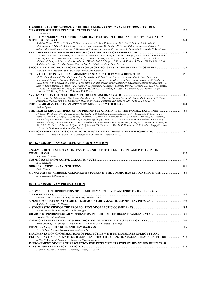| POSSIBLE INTERPRETATIONS OF THE HIGH ENERGY COSMIC RAY ELECTRON SPECTRUM                                                                                                                                                                                           |       |
|--------------------------------------------------------------------------------------------------------------------------------------------------------------------------------------------------------------------------------------------------------------------|-------|
|                                                                                                                                                                                                                                                                    | 1436  |
| Dario Grasso                                                                                                                                                                                                                                                       |       |
| PRECISE MEASUREMENT OF THE COSMIC-RAY PROTON SPECTRUM AND THE TIME VARIATION                                                                                                                                                                                       | 1444  |
|                                                                                                                                                                                                                                                                    |       |
| R. Orito, K. Abe, H. Fuke, S. Haino, T. Hams, A. Itazaki, K.C. Kim, T. Kumazawa, M.H. Lee, Y. Makida, S. Matsuda, K.<br>Matsumoto, J.W. Mitchell, A.A. Moiseev, Z. Myers, Jun Nishimura, M. Nozaki, J.F. Ormes, Makoto Sasaki, Eun-Suk Seo, Y.                     |       |
| Shikaze, R.E. Streitmatter, J. Suzuki, Y. Takasugi, K. Takeuchi, K. Tanaka, T. Yamagami, A. Yamamoto, T. Yoshida, K. Yoshimura                                                                                                                                     |       |
|                                                                                                                                                                                                                                                                    | 1448  |
| Y.S. Yoon, H.S. Ahn, T. Anderson, Louis Barbier, A. Barrau, R. Bazer-Bach, J.J. Beatty, P. Bhovar, T.J. Brandt, M. Buenerd, N.B.                                                                                                                                   |       |
| Conklin, S. Coutu, L. Derome, M.A. DuVernois, O. Ganel, M. Geske, J.H. Han, J.A. Jeon, K.C. Kim, M.H. Lee, J.T. Link, A.                                                                                                                                           |       |
| Malinin, M. Mangin-Brinet, A. Menchaca-Rocha, J.W. Mitchell, S.I. Mognet, G.W. Na, S.W. Nam, S. Nutter, I.H. Park, N.H. Park,                                                                                                                                      |       |
| A. Putze, J.N. Perie, Y. Sallaz-Damaz, Eun-Suk Seo, P. Walpole, J. Wu, J. Yang, J.H. Yoo                                                                                                                                                                           |       |
| SECONDARY ELECTRON SPECTRUM FROM 30 GEV TO 10 TEV IN THE UPPER ATMOSPHERE                                                                                                                                                                                          | 1452  |
| Yoshiko Komori, Tadashi Kobayashi, Kenji Yoshida, Jun Nishimura                                                                                                                                                                                                    |       |
|                                                                                                                                                                                                                                                                    | .1456 |
| M. Casolino, O. Adriani, G.C. Barbarino, G.A. Bazilevskaya, R. Bellotti, M. Boezio, E.A. Bogomolov, L. Bonechi, M. Bongi, V.                                                                                                                                       |       |
| Bonvicini, S. Bottai, A. Bruno, F. Cafagna, D. Campana, P. Carlson, G. Castellini, C. De Santis, N. De Simone, M.P. De Pascale,                                                                                                                                    |       |
| G. De Rosa, V. Di Felice, A.M. Galper, L. Grishantseva, P. Hofverberg, Sergey Koldashov, S.Y. Krutkov, Alexander Kvashnin, A.A.<br>Leonov, Laura Marcelli, W. Menn, V.V. Mikhailov, E. Mocchiutti, N. Nikonov, Giuseppe Osteria, P. Papini, M. Pearce, P. Picozza, |       |
| M. Ricci, S.B. Ricciarini, M. Simon, R. Sparvoli, P. Spillantini, Y.I. Stozhkov, A. Vacchi, E. Vannuccini, G.V. Vasiliev, Sergev                                                                                                                                   |       |
| Voronov, Y.T. Yurkin, G. Zampa, N. Zampa, V.G. Zverev                                                                                                                                                                                                              |       |
|                                                                                                                                                                                                                                                                    | 1460  |
| A.D. Panov, V.I. Zatsepin, N.V. Sokolskaya, J.H. Adams Jr., H.S. Ahn, G.L. Bashindzhagyan, J. Chang, Mark Christl, T.G. Guzik,                                                                                                                                     |       |
| Joachim Isbert, K.C. Kim, E.N. Kouznetsov, M.I. Panasyuk, E.B. Postnikov, Eun-Suk Seo, J.W. Watts, J.P. Wefel, J. Wu                                                                                                                                               |       |
|                                                                                                                                                                                                                                                                    | 1464  |
| Kathrin Egberts                                                                                                                                                                                                                                                    |       |
| THE HIGH-ENERGY ANTIPROTON-TO-PROTON FLUX RATIO WITH THE PAMELA EXPERIMENT                                                                                                                                                                                         | 1465  |
| M. Bongi, O. Adriani, G.C. Barbarino, G.A. Bazilevskaya, R. Bellotti, M. Boezio, E.A. Bogomolov, L. Bonechi, V. Bonvicini, S.                                                                                                                                      |       |
| Bottai, A. Bruno, F. Cafagna, D. Campana, P. Carlson, M. Casolino, G. Castellini, M.P. De Pascale, G. De Rosa, N. De Simone,                                                                                                                                       |       |
| V. Di Felice, A.M. Galper, L. Grishantseva, P. Hofverberg, Sergey Koldashov, S.Y. Krutkov, Alexander Kvashnin, A.A. Leonov,<br>Valeria Malvezzi, Laura Marcelli, W. Menn, V.V. Mikhailov, E. Mocchiutti, Giuseppe Osteria, P. Papini, M. Pearce, P. Picozza, M.    |       |
| Ricci, S.B. Ricciarini, M. Simon, R. Sparvoli, P. Spillantini, Y.I. Stozhkov, A. Vacchi, E. Vannuccini, G.V. Vasiliev, Sergey Voronov,                                                                                                                             |       |
| Y.T. Yurkin, G. Zampa, N. Zampa, V.G. Zverev                                                                                                                                                                                                                       |       |
| VOYAGER OBSERVATIONS OF GALACTIC IONS AND ELECTRONS IN THE HELIOSHEATH                                                                                                                                                                                             | 1469  |
| FrankB. McDonald, E.C. Stone, A.C. Cummings, W.R. Webber, B.C. Heikkila, N. Lal                                                                                                                                                                                    |       |
|                                                                                                                                                                                                                                                                    |       |

#### **OG.1.2 COSMIC RAY SOURCES AND COMPOSITION**

| ANALYSIS OF THE SPECTRAL INTENSITIES AND RATIOS OF ELECTRONS AND POSITRONS IN       | 1473 |
|-------------------------------------------------------------------------------------|------|
| R. Cowsik, B. Burch                                                                 |      |
|                                                                                     |      |
| E.G. Berezhko                                                                       |      |
|                                                                                     | 1481 |
| Catia Grimani                                                                       |      |
| SIGNATURES OF A MIDDLE AGED, NEARBY PULSAR IN THE COSMIC RAY LEPTON SPECTRUM?  1485 |      |
| Ingo Busching, Okkie De Jager                                                       |      |

# **OG.1.3 COSMIC RAY PROPAGATION**

| A COMBINED INTERPRETATION OF COSMIC RAY NUCLEI AND ANTIPROTON HIGH ENERGY              |      |
|----------------------------------------------------------------------------------------|------|
|                                                                                        |      |
| Carmelo Evoli, Daniele Gaggero, Dario Grasso, Luca Maccione                            |      |
|                                                                                        |      |
| A. Putze, L. Derome, D. Maurin                                                         |      |
|                                                                                        |      |
| Hiroshi Muraishi, Shoko Miyake, Shohei Yanagita                                        |      |
|                                                                                        |      |
| Henning Gast, Stefan Schael                                                            |      |
|                                                                                        |      |
| Elena Orlando, A.W. Strong, I.V. Moskalenko, T.A. Porter, G. Johannesson, S.W. Digel   |      |
|                                                                                        | 1509 |
| Toru Shibata, Tomoaki Ishikawa, Souichi Sekiguchi                                      |      |
| <b>FRAGMENTATION CROSS SECTIONS OF PROJECTILE WITH INTERMEDIATE-ENERGY FE AND</b>      |      |
| ULTRA HEAVY NUCLEI (Z>26) ON HYDROGEN USING CR-39 PLASTIC NUCLEAR TRACK DETECTOR  1513 |      |
| S. Ota, N. Yasuda, S. Kodaira, M. Kurano, S. Naka, N. Hasebe                           |      |
| <b>IMPROVEMENT OF CHARGE RESOLUTION FOR INTERMEDIATE ENERGY HEAVY ION USING CR-39</b>  |      |
|                                                                                        | 1516 |
| S. Ota, N. Yasuda, S. Kodaira, M. Kurano, S. Naka, N. Hasebe                           |      |
|                                                                                        |      |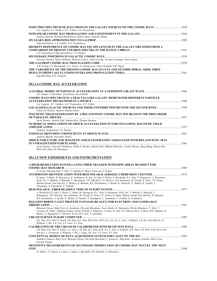| 1520 INJECTION SPECTRUM OF ELECTRONS IN THE GALAXY SOURCES OF THE COSMIC RAYS<br>A.A. Lagutin, A.V. Yushkov, N.V. Volkov, A.G. Tyumentsev |  |
|-------------------------------------------------------------------------------------------------------------------------------------------|--|
|                                                                                                                                           |  |
| Andreas Shalchi, Reinhard Schlickeiser, Robert Tautz, Tomislav Skoda                                                                      |  |
|                                                                                                                                           |  |
| Olga Strelnikova, V.S. Ptuskin, L.G. Sveshnikova                                                                                          |  |
| RIGIDITY DEPENDENCE OF COSMIC RAY ESCAPE LENGTH IN THE GALAXY OBTAINED FROM A                                                             |  |
|                                                                                                                                           |  |
| L.G. Sveshnikova, Olga Strelnikova, V.S. Ptuskin                                                                                          |  |
|                                                                                                                                           |  |
| Fiorenza Donato, Timur Delahaye, Roberto Lineros, Julien Lavalle, Nicolao Fornengo, Pierre Salati                                         |  |
|                                                                                                                                           |  |
| A.W. Strong, I.V. Moskalenko, T.A. Porter, G. Johannesson, Elena Orlando, S.W. Digel                                                      |  |
| THE VARIABILITY OF THE PROTON COMSIC RAY FLUX IN AND OUTSIDE SPIRAL ARMS. FIRST                                                           |  |
|                                                                                                                                           |  |
| Ingo Busching, M.S. Potgieter                                                                                                             |  |

#### **OG.1.4 COSMIC RAY ACCELERATION**

| J.R. Jokipii, J. Giacalone, Jozsef Kota, Pavol Bobik                                                                       |      |
|----------------------------------------------------------------------------------------------------------------------------|------|
| <b>COSMIC RAYS SPECTRUM IN A FRACTAL-LIKE GALAXY MEDIUM FOR DIFFERENT PARTICLE</b>                                         |      |
|                                                                                                                            | 1546 |
| A.A. Lagutin, A.V. Yushkov, A.G. Tyumentsev, N.V. Volkov                                                                   |      |
|                                                                                                                            |      |
| Cinzia De Donato, Gustavo Medina-Tanco                                                                                     |      |
| <b>MAGNETIC FIELD GENERATION BY A RELATIVISTIC COSMIC-RAY ION BEAM IN THE PRECURSOR</b>                                    |      |
|                                                                                                                            | 1553 |
| Jacek Niemiec, Martin Pohl, Antoine Bret, Thomas Stroman                                                                   |      |
| NUMERICAL SIMULATIONS OF SHOCK ACCELERATION IN SNRS INCLUDING MAGNETIC FIELD                                               |      |
|                                                                                                                            | 1557 |
| Vladimir Zirakashvili, V.S. Ptuskin                                                                                        |      |
|                                                                                                                            |      |
| Andreas Shalchi, Alexander Dosch                                                                                           |      |
| SHOCK STRUCTURE AND MAGNETIC-FIELD GENERATION ASSOCIATED WITH RELATIVISTIC JETS                                            |      |
| IN UNMAGNETIZED PAIR PLASMA                                                                                                | 1565 |
| Jacek Niemiec, Ken-Ichi Nishikawa, Philip E. Hardee, Martin Pohl, Mikhail Medvedev, Yosuke Mizuno, Bing Zhang, Mitsuo Oka, |      |
| Helen Sol. Dieter H. Hartmann                                                                                              |      |
|                                                                                                                            |      |

#### **OG.1.5 NEW EXPERIMENTS AND INSTRUMENTATION**

| A HIGH-RESOLUTION SCINTILLATING FIBER TRACKER WITH SIPM ARRAY READOUT FOR                                                        |      |
|----------------------------------------------------------------------------------------------------------------------------------|------|
| <b>COSMIC-RAY RESEARCH</b>                                                                                                       | 1569 |
| R. Greim, Henning Gast, T. Kirn, T. Nakada, G. Roper Yearwood, S. Schael                                                         |      |
| ANTIPROTON IDENTIFICATION WITH BESS POLAR-II AEROGEL CHERENKOV COUNTER                                                           | 1573 |
| K. Sakai, T. Hams, M. Hasegawa, K. Yoshimura, K. Abe, H. Fuke, S. Haino, A. Horikoshi, K.C. Kim, T. Kumazawa, A. Kusumoto,       |      |
| M-H. Lee, Y. Makida, S. Matsuda, Y. Matsukawa, J.W. Mitchell, A.A. Moiseev, Jun Nishimura, M. Nozaki, R. Orito, J.F. Ormes,      |      |
| Makoto Sasaki, Eun-Suk Seo, Y. Shikaze, R. Shinoda, R.E. Streitmatter, J. Suzuki, K. Takeuchi, N. Thakur, K. Tanaka, T.          |      |
| Yamagami, A. Yamamoto, T. Yoshida                                                                                                |      |
|                                                                                                                                  | 1577 |
| A. Horikoshi, H. Fuke, S. Haino, T. Hams, M. Hasegawa, K.C. Kim, A. Kusumoto, M-H. Lee, Y. Makida, S. Matsuda, Y.                |      |
| Matsukawa, J.W. Mitchell, Jun Nishimura, M. Nozaki, R. Orito, J.F. Ormes, K. Sakai, Makoto Sasaki, Eun-Suk Seo, R. Shinoda,      |      |
| R.E. Streitmatter, J. Suzuki, N. Thakur, K. Tanaka, T. Yamagami, A. Yamamoto, T. Yoshida, K. Yoshimura                           |      |
| <b>BALLOON BORNE CALET PROTYPE PAYLOAD (BCALET) FOR ELECTRON AND GAMMA-RAY</b>                                                   |      |
| <b>OBSERVATION.</b>                                                                                                              | 1581 |
| Shunsuke Ozawa, Shoji Torii, K. Kasahara, Hiroyuki Murakami, Yosui Akaike, R. Nakamura, Hiroko Miyamoto, T. Aiba, Y.             |      |
| Ueyama, M. Nakai, Tadahisa Tamura, Kenji Yoshida, Y. Katayose, Y. Saito, H. Yuke, P.S. Marrocchesi, A. Basti, M.G. Bagliesi, K.  |      |
| Batkov, G. Bigongiari, P. Maestro, R. Zei, M.Y. Kim, T. Lomtadze                                                                 |      |
| <b>CREAM SCIENCE FLIGHT COMPUTER</b>                                                                                             | 1585 |
| S.K. Han, H.S. Ahn, O. Ganel, J.H. Han, K.C. Kim, M.H. Kim, M.H. Lee, S.E. Lee, L. Lutz, A. Malinin, S.S. Ryu, Eun-Suk Seo, P.   |      |
| Walpole, J. Wu, J.H. Yoo, Y.S. Yoon, S.Y. Zinn                                                                                   |      |
| <b>CALIBRATION OF THE CREAM-III CALORIMETER WITH BEAM TEST DATA</b>                                                              | 1589 |
| J.H. Han, H.S. Ahn, O. Ganel, J.A. Jeon, C.H. Kim, K.C. Kim, M.H. Lee, L. Luts, A. Malinin, S.W. Nam, I.H. Park, N.H. Park, Eun- |      |
| Suk Seo, A. Vartanyan, P. Walpole, J. Wu, J. Yang, J.H. Yoo, Y.S. Yoon, S.Y. Zinn                                                |      |
|                                                                                                                                  | 1593 |
| Tadahisa Tamura, Shoji Torii, Shunsuke Ozawa, Hiroyuki Murakami, Y. Katayose, Shin Kubo, Atsumasa Yoshida, Shiro Ueno,           |      |
| Hiroshi Tomida                                                                                                                   |      |
| DEFINITIVE MEASUREMENTS OF SECONDARY PRODUCTION OF COSMIC-RAY NUCLEI: THE NEXT                                                   |      |
| <b>STEP</b>                                                                                                                      | 1598 |
| D. Muller, P.J. Boyle, S. Coutu, T. Hams, J. Marshall, J.W. Mitchell, A. Obermeier                                               |      |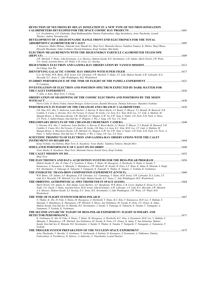| DETECTION OF NEUTRONS BY DELAY IONIZATION IN A NEW TYPE OF NEUTRON-IONIZATION                                                                                                                                                                           |  |
|---------------------------------------------------------------------------------------------------------------------------------------------------------------------------------------------------------------------------------------------------------|--|
| L.G. Sveshnikova, A.P. Chubenko, Rauf Mukhamedshin, Dmitriy Podorozhnyi, Olga Strelnikova, Artur Tkachenko, Leonid                                                                                                                                      |  |
| Tkachev, Andrey Turundaevskii                                                                                                                                                                                                                           |  |
| DEVELOPMENT OF A HIGH DYNAMIC RANGE FRONT-END ELECTRONICS FOR THE TOTAL                                                                                                                                                                                 |  |
| Y. Katayose, Makio Shibata, Takayuki Asai, Masaki Go, Shoji Torii, Shunsuke Oazwa, Tadahisa Tamura, K. Hibino, Shoji Okuno,                                                                                                                             |  |
| Hiroyuki Murakami, Yukio Uchihori, Hisashi Kitamura, Kenji Yoshida, Shin Kubo                                                                                                                                                                           |  |
| ELECTRON MEASUREMENTS WITH THE HIGH ENERGY PARTICLE CALORIMETER TELESCOPE                                                                                                                                                                               |  |
| J.W. Mitchell, T. Hams, John Krizmanic, A.A. Mosieev, Makoto Sasaki, R.E. Streitmatter, J.H. Adams, Mark Christl, J.W. Watts,                                                                                                                           |  |
| T.G. Guzik, Joachim Isbert, J.P. Wefel, C.B. Cosse, S.J. Stochaj                                                                                                                                                                                        |  |
|                                                                                                                                                                                                                                                         |  |
| Jin Chang, Jian Wu                                                                                                                                                                                                                                      |  |
| G.A. De Nolfo, W.R. Binns, M.H. Israel, E.R. Christian, J.W. Mitchell, T. Hams, J.T. Link, Makoto Sasaki, A.W. Labrador, R.A.                                                                                                                           |  |
| Mewaldt, E.C. Stone, C. Jake Waddington, M.E. Wiedenbeck                                                                                                                                                                                                |  |
|                                                                                                                                                                                                                                                         |  |
| D. Campana                                                                                                                                                                                                                                              |  |
| INVESTIGATION OF ELECTRON AND POSITRON SPECTRUM EXPECTED BY DARK MATTER FOR                                                                                                                                                                             |  |
| T. Aiba, A. Kato, Shoji Torii, J. Chang                                                                                                                                                                                                                 |  |
| OBSERVATION OF SHADOWING OF THE COSMIC ELECTRONS AND POSITRONS BY THE MOON                                                                                                                                                                              |  |
|                                                                                                                                                                                                                                                         |  |
| Pierre Colin, D. Borla Tridon, Daniel Britzger, Eckart Lorenz, Razmik Mirzoyan, Thomas Schweizer, Masahiro Teshima                                                                                                                                      |  |
| J.H. Han, H.S. Ahn, T. Anderson, Louis Barbier, A. Barrau, R. Bazer-Bachi, J.J. Beatty, P. Bhoyar, T.J. Brandt, M. Buenerd, N.B.                                                                                                                        |  |
| Conklin, S. Coutu, L. Derome, M.A. Du Vernois, O. Ganel, M. Geske, J.A. Jeon, K.C. Kim, M.H. Lee, J.T. Link, A. Malinin, M.                                                                                                                             |  |
| Mangin-Brinet, A. Menchaca-Rocha, J.W. Mitchell, S.I. Mognet, G.W. Na, S.W. Nam, S. Nutter, I.H. Park, N.H. Park, A. Putze,                                                                                                                             |  |
| J.N. Perie, Y. Sallaz-Damaz, Eun-Suk Seo, P. Walpole, J. Wu, J. Yang, J.H. Yoo, Y.S. Yoon<br>1640 . [1640] PRELIMINARY RESULTS OF THE CREAM-III CHERENKOV CAMERA                                                                                        |  |
| L. Derome, H.S. Ahn, T. Anderson, Louis Barbier, A. Barrau, R. Bazer-Bachi, J.J. Beatty, P. Bhoyar, T.J. Brandt, M. Buenerd, N.B.                                                                                                                       |  |
| Conklin, S. Coutu, M.A. Du Vernois, O. Ganel, M. Geske, J.H. Han, J.A. Jeon, K.C. Kim, M.H. Lee, J.T. Link, A. Malinin, M.                                                                                                                              |  |
| Mangin-Brinet, A. Menchaca-Rocha, J.W. Mitchell, S.I. Mognet, G.W. Na, S.W. Nam, S. Nutter, I.H. Park, N.H. Park, J.N. Perie, A.<br>Putze, Y. Sallaz-Damaz, Eun-Suk Seo, P. Walpole, J. Wu, J. Yang, J.H. Yoo, Y.S. Yoon                                |  |
| SCIENTIFIC PROSPECTS OF ELECTRON AND GAMMA-RAY OBSERVATIONS WITH THE CALET                                                                                                                                                                              |  |
|                                                                                                                                                                                                                                                         |  |
| Kenji Yoshida, Aya Kubota, Shoji Torii, K. Kasahara, Yosui Akaike, Tadahisa Tamura, Masaki Mori                                                                                                                                                         |  |
| Yosui Akaike, K. Kasahara, Shoji Torii, Shunsuke Ozawa, Koichi Taira, Kenji Yoshida                                                                                                                                                                     |  |
|                                                                                                                                                                                                                                                         |  |
| Shoji Torii                                                                                                                                                                                                                                             |  |
|                                                                                                                                                                                                                                                         |  |
| Makoto Sasaki, K. Abe, H. Fuke, P.A. Goodwin, S. Haino, T. Hams, M. Hasegawa, A. Horikoshi, N. Ikeda, A. Itazaki, T.<br>Kumazawa, A. Kusumoto, S. Matsuda, Y. Matsukawa, J.W. Mitchell, M. Nozaki, R. Orito, L.F. Ryan, K. Sakai, R. Shinoda, S. Singh, |  |
| R.E. Streitmatter, Y. Takasugi, K. Takeuchi, T. Taniguchi, K. Tanizaki, N. Thakur, K. Yamato, T. Yoshida, K. Yoshimura                                                                                                                                  |  |
|                                                                                                                                                                                                                                                         |  |
| W.R. Binns, J.H. Adams, A.F. Barghouty, E.R. Christian, A.C. Cummings, T. Hams, M.H. Israel, A.W. Labrador, R.A. Leske, J.T.<br>Link, R.A. Mewaldt, J.W. Mitchell, G.A. De Nolfo, Makoto Sasaki, E.C. Stone, C. Jake Waddington, M.E. Wiedenbeck        |  |
|                                                                                                                                                                                                                                                         |  |
| Mark Christl, J.H. Adams Jr., Rob Adams, Louis Barbier, A.F. Barghouty, W.R. Binns, C.B. Cosse, Stephen E. Elrod, G.A. De                                                                                                                               |  |
| Nolfo, T.G. Guzik, T. Hams, Joachim Isbert, M.H. Israel, John Krizmanic, A.W. Labrador, J.T. Link, R.A. Mewaldt, J.W. Mitchell,                                                                                                                         |  |
| A.A. Moiseev, Makoto Sasaki, S.J. Stochaj, E.C. Stone, R.E. Streitmatter, C.Jake Waddington, J.W. Watts, J.P. Wefel, M.E.<br>Wiedenbeck                                                                                                                 |  |
|                                                                                                                                                                                                                                                         |  |
| N. Thakur, K. Abe, H. Fuke, S. Haino, M. Hasegawa, A. Horikoshi, T. Hams, K.C. Kim, T. Kumazawa, M.H. Lee, Y. Makida, S.                                                                                                                                |  |
| Matsuda, Y. Matsukawa, K. Matsumoto, J.W. Mitchell, Z. Myers, Jun Nishimura, M. Nozaki, R. Orito, J.F. Ormes, K. Sakai,<br>Makoto Sasaki, Eun-Suk Seo, R. Shinoda, R.E. Streitmatter, J. Suzuki, Y. Takasugi, K. Takeuchi, K. Tanaka, T. Yamagami, A.   |  |
| Yamamoto, T. Yoshida, K. Yoshimura                                                                                                                                                                                                                      |  |
| THE SECOND ANTARCTIC FLIGHT OF BESS-POLAR EXPERIMENT: FLIGHT SUMMARY AND                                                                                                                                                                                |  |
| K. Yoshimura, K. Abe, H. Fuke, S. Haino, T. Hams, M. Hasegawa, A. Horikoshi, K.C. Kim, A. Kusumoto, M-H. Lee, Y. Makida, S.                                                                                                                             |  |
| Matsuda, Y. Matsukawa, J.W. Mitchell, Jun Nishimura, M. Nozaki, R. Orito, J.F. Ormes, K. Sakai, F. San Sebastian, Makoto                                                                                                                                |  |
| Sasaki, Eun-Suk Seo, R. Shinoda, R.E. Streitmatter, J. Suzuki, N. Thakur, K. Tanaka, T. Taniguchi, T. Yamagami, A. Yamamoto, T.                                                                                                                         |  |
| Yoshida                                                                                                                                                                                                                                                 |  |
| Artur Tkachenko, V. Boreiko, N. Gorbunov, V. Grebenyuk, A. Kalinin, D. Karmanov, Z. Krumstein, A. Pakhomov, Dmitriy                                                                                                                                     |  |
|                                                                                                                                                                                                                                                         |  |

*Podorozhnyi, S. Porokhovoy, B. Sabirov, A. Sadovsky, A. Timoshenko, Leonid Tkachev*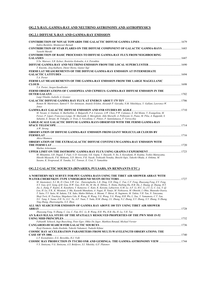#### **OG.2 X-RAY, GAMMA-RAY AND NEUTRINO ASTRONOMY AND ASTROPHYSICS**

#### **OG.2.1 DIFFUSE X-RAY AND GAMMA-RAY EMISSION**

| Indira Bardoloi, Monmovuri Baruah                                                                                                                                                                                                                                                                                                                                                          |       |
|--------------------------------------------------------------------------------------------------------------------------------------------------------------------------------------------------------------------------------------------------------------------------------------------------------------------------------------------------------------------------------------------|-------|
| CONTRIBUTION OF STAR FLARES ON THE DIFFUSE COMPONENT OF GALACTIC GAMMA-RAYS  1683<br>Yasushi Muraki                                                                                                                                                                                                                                                                                        |       |
| CONTRIBUTION OF BASIC PROCESSES TO DIFFUSE GAMMA-RAY FLUX FROM NEIGHBOURING                                                                                                                                                                                                                                                                                                                |       |
| S.Yu. Matveev, S.R. Kelner, Rostislav Kokoulin, A.A. Petrukhin                                                                                                                                                                                                                                                                                                                             |       |
| T. Kneiske, Jorg Kulbartz, Dieter Horns, Gunter Sigl<br>FERMI LAT MEASUREMENTS OF THE DIFFUSE GAMMA-RAY EMISSION AT INTERMEDIATE                                                                                                                                                                                                                                                           |       |
| T.A. Porter<br>FERMI LAT MEASUREMENTS OF THE GAMMA-RAY EMISSION FROM THE LARGE MAGELLANIC                                                                                                                                                                                                                                                                                                  |       |
| T.A. Porter, Jurgen Knodlseder                                                                                                                                                                                                                                                                                                                                                             | .1698 |
| FERMI OBSERVATIONS OF CASSIOPEIA AND CEPHEUS: GAMMA-RAY DIFFUSE EMISSION IN THE<br>Luigi Tibaldo, Isabelle A. Grenier                                                                                                                                                                                                                                                                      |       |
| Romen M. Martirosov, Samvel V. Ter-Antonyan, Anatoly Erlykin, Alexandr P. Garyaka, N.M. Nikolskaya, Y. Gallant, Lawrence W.                                                                                                                                                                                                                                                                |       |
| Jones.<br>M. Tavani, A. Giuliani, G. Barbiellini, A. Bulgarelli, P.A. Caraveo, A.W. Chen, P.W. Cattaneo, E. Del Monte, Y. Evangelista, M.<br>Feroci, P. Lipari, Francesco Longo, M. Marisaldi, S. Mereghetti, Aldo Morselli, A. Pellizzoni, G. Piano, M. Pilia, A. Rappoldi, S.<br>Sabatini, E. Striani, M. Trifoglio, A. Trois, S. Vercellone, C. Pittori, P. Santolamazza, F. Verrecchia |       |
| LARGE-SCALE GALACTIC DIFFUSE GAMMA RAYS OBSERVED WITH THE FERMI GAMMA-RAY                                                                                                                                                                                                                                                                                                                  | 1714  |
| A.W. Strong<br>OBSERVATION OF DIFFUSE GAMMA-RAY EMISSION FROM GIANT MOLECULAR CLOUDS BY<br>1716                                                                                                                                                                                                                                                                                            |       |
| Akira Okumura<br>OBSERVATION OF THE EXTRAGALACTIC DIFFUSE CONTINUUM GAMMA-RAY EMISSION WITH                                                                                                                                                                                                                                                                                                |       |
| 1720<br>THE FERMI LAT<br>Markus Ackermann                                                                                                                                                                                                                                                                                                                                                  |       |
| M. Minamino, S.R. Dugad, T. Fujii, U.D. Goswami, S.K. Gupta, Y. Hayashi, N. Ito, S. Kawakami, H. Kojima, Toshio Matsuyama,<br>Hitoshi Miyauchi, P.K. Mohanty, S.D. Morris, P.K. Nayak, Toshiyuki Nonaka, Shoichi Ogio, Takeshi Okuda, A. Oshima, M.<br>Sasano, K. Sivaprasad, H. Tanaka, S.C. Tonwar, E. Usui, Y. Yamashita                                                                |       |

#### **OG.2.2 GALACTIC SOURCES (BINARIES, PULSARS, SN REMNANTS ETC.)**

| A NORTHERN SKY SURVEY FOR PEV GAMMA RAYS USING THE TIBET AIR SHOWER ARRAY WITH                                                                                                                                                                                                                                                                                                                                                                                                                                                                                                                                                                                                                                                                                                                                                                                                                                                                                                  |      |
|---------------------------------------------------------------------------------------------------------------------------------------------------------------------------------------------------------------------------------------------------------------------------------------------------------------------------------------------------------------------------------------------------------------------------------------------------------------------------------------------------------------------------------------------------------------------------------------------------------------------------------------------------------------------------------------------------------------------------------------------------------------------------------------------------------------------------------------------------------------------------------------------------------------------------------------------------------------------------------|------|
|                                                                                                                                                                                                                                                                                                                                                                                                                                                                                                                                                                                                                                                                                                                                                                                                                                                                                                                                                                                 | 1727 |
| M. Amenomori, X.J. Bi, D. Chen, S.W. Cui, . Danzengluobu, L.K. Ding, X.H. Ding, C. Fan, C.F. Feng, Zhaoyang Feng, Z.Y. Feng,<br>X.Y. Gao, O.X. Geng, O.B. Gou, H.W. Guo, H.H. He, M. He, K. Hibino, N. Hotta, Haibing Hu, H.B. Hu, J. Huang, O. Huang, H.Y.<br>Jia, L. Jiang, F. Kajino, K. Kasahara, Y. Katayose, C. Kato, K. Kawata, Labaciren, G.M. Le, A.F. Li, H.C. Li, J.Y. Li, C. Liu, Y.-O.<br>Lou, H. Lu, X R., K. Mizutani, J. Mu, Kazuoki Munakata, A. Nagai, H. Nanjo, M. Nishizawa, M. Ohnishi, I. Ohta, Shunsuke Ozawa,<br>T. Saito, T.Y. Saito, M. Sakata, T.K. Sako, Makio Shibata, A. Shiomi, T. Shirai, H. Sugimoto, M. Takita, Y.H. Tan, N. Tateyama,<br>Shoji Torii, H. Tsuchiya, Shigeharu Udo, B. Wang, H. Wang, Y.G. Wang, Y.G. Wang, H.R. Wu, L. Xue, Y. Yamamoto, C.T. Yan,<br>X.C. Yang, S. Yasue, Z.H. Ye, G.C. Yu, A.F. Yuan, T. Yuda, H.M. Zhang, J.L. Zhang, N.J. Zhang, X.Y. Zhang, X.Y. Zhang, Yi Zhang,<br>Ying Zhang, Zhaxisangzhu, X.X. Zhou |      |
| ALL SKY SEARCH FOR EMISSION OF GAMMA RAY ABOVE 100 TEV USING TIBET AIR SHOWER                                                                                                                                                                                                                                                                                                                                                                                                                                                                                                                                                                                                                                                                                                                                                                                                                                                                                                   |      |
| <b>ARRAY</b>                                                                                                                                                                                                                                                                                                                                                                                                                                                                                                                                                                                                                                                                                                                                                                                                                                                                                                                                                                    | 1728 |
| Zhaoyang Feng, Yi Zhang, C. Liu, C. Fan, H.C. Li, B. Wang, H.R. Wu, H.B. Hu, H. Lu, Y.H. Tan                                                                                                                                                                                                                                                                                                                                                                                                                                                                                                                                                                                                                                                                                                                                                                                                                                                                                    |      |
| AN X-RAY/H.E.S.S. STUDY OF THE SPATIALLY RESOLVED PROPERTIES OF THE PWN MSH 15-52                                                                                                                                                                                                                                                                                                                                                                                                                                                                                                                                                                                                                                                                                                                                                                                                                                                                                               |      |
|                                                                                                                                                                                                                                                                                                                                                                                                                                                                                                                                                                                                                                                                                                                                                                                                                                                                                                                                                                                 | 1732 |
| FabianM. Schoeck, Ingo Buesching, Peter Eger, Okkie De Jager, Matthieu Renaud, Michael Vorster                                                                                                                                                                                                                                                                                                                                                                                                                                                                                                                                                                                                                                                                                                                                                                                                                                                                                  |      |
|                                                                                                                                                                                                                                                                                                                                                                                                                                                                                                                                                                                                                                                                                                                                                                                                                                                                                                                                                                                 | 1736 |
| Rvoji Enomoto, Junko Kushida, Takeshi Nakamori, Tadashi Kifune                                                                                                                                                                                                                                                                                                                                                                                                                                                                                                                                                                                                                                                                                                                                                                                                                                                                                                                  |      |
| COSMIC RAY ACCELERATION PARAMETERS FROM MULTI-WAVELENGTH OBSERVATIONS. THE                                                                                                                                                                                                                                                                                                                                                                                                                                                                                                                                                                                                                                                                                                                                                                                                                                                                                                      |      |
| <b>CASE OF SN 1006</b>                                                                                                                                                                                                                                                                                                                                                                                                                                                                                                                                                                                                                                                                                                                                                                                                                                                                                                                                                          | 1740 |
| L.T. Ksenofontov, E.G. Berezhko, H.J. Volk                                                                                                                                                                                                                                                                                                                                                                                                                                                                                                                                                                                                                                                                                                                                                                                                                                                                                                                                      |      |
| V.Y. Sinitsyna, V.G. Sinitsyna, A.S. Boldyrev, S.I. Nikolsky, G.F. Platonov                                                                                                                                                                                                                                                                                                                                                                                                                                                                                                                                                                                                                                                                                                                                                                                                                                                                                                     |      |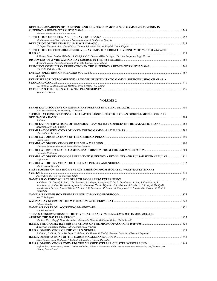| DETAIL COMPARISON OF HADRONIC AND ELECTRONIC MODELS OF GAMMA-RAY ORIGIN IN                                   |      |
|--------------------------------------------------------------------------------------------------------------|------|
|                                                                                                              | 1748 |
| Vladimir Zirakashvili, Felix Aharonian                                                                       |      |
|                                                                                                              | 1752 |
| Melitta Naumann-Godo, Marianne Lemoine-Goumard, Mathieu de Naurois                                           |      |
|                                                                                                              |      |
| M. Lopez, Nepomuk Otte, Michael Rissi, Thomas Schweizer, Maxim Shayduk, Stefan Klepser                       |      |
| "DETECTION OF VERY-HIGH-ENERGY <sub>7</sub> -RAY EMISSION FROM THEVICINITY OF PSR B1706-44 WITH              |      |
| H.E.S.S.''.                                                                                                  | 1759 |
| S. Hoppe, Emma De Ona Wilhelmi, B. Khelifi, R.C.G. Chaves, Okkie De Jager, Christian Stegmann, Regis Terrier |      |
|                                                                                                              | 1763 |
| Armand Fiasson, Vincent Marandon, Ryan C.G. Chaves, Omar Tibolla                                             |      |
|                                                                                                              |      |
| H.J. Volk. E.G. Berezhko                                                                                     |      |
|                                                                                                              |      |
| A. Smith                                                                                                     |      |
| EVENT SELECTION TO IMPROVE ARGO-YBJ SENSITIVITY TO GAMMA SOURCES USING CRAB AS A                             |      |
| <b>STANDARD CANDLE</b>                                                                                       | 1771 |
| G. Marsella, C. Bleve, Daniele Martello, Silvia Vernetto, J.L. Zhang                                         |      |
|                                                                                                              | 1776 |
| Ryan C.G. Chaves                                                                                             |      |

#### **VOLUME 2**

| P.M. Saz-Parkinson, M. Dormody, M. Ziegler                                                                                                                                                                                                                          |  |
|---------------------------------------------------------------------------------------------------------------------------------------------------------------------------------------------------------------------------------------------------------------------|--|
| "FERMI LAT OBSERVATIONS OF LS I +61°303: FIRST DETECTION OF AN ORBITAL MODULATION IN                                                                                                                                                                                |  |
|                                                                                                                                                                                                                                                                     |  |
| R. Dubois                                                                                                                                                                                                                                                           |  |
| <b>FERMI LAT OBSERVATIONS OF TRANSIENT GAMMA-RAY SOURCES IN THE GALACTIC PLANE  1788</b><br>Elizabeth Hays, C.C. Cheung                                                                                                                                             |  |
| Massimiliano Razzano                                                                                                                                                                                                                                                |  |
| Ozlem Celik                                                                                                                                                                                                                                                         |  |
| Marianne Lemoine-Goumard, Marie-Helene Grondin                                                                                                                                                                                                                      |  |
| Yasunobu Uchiyama                                                                                                                                                                                                                                                   |  |
| FERMI-LAT OBSERVATION OF SHELL-TYPE SUPERNOVA REMNANTS AND PULSAR WIND NEBULAE  1811<br>Stefan Funk                                                                                                                                                                 |  |
|                                                                                                                                                                                                                                                                     |  |
| Marie-Helene Grondin                                                                                                                                                                                                                                                |  |
| FIRST BOUNDS ON THE HIGH-ENERGY EMISSION FROM ISOLATED WOLF-RAYET BINARY                                                                                                                                                                                            |  |
|                                                                                                                                                                                                                                                                     |  |
| Javier Rico, D.F. Torres, Vincenzo Vitale                                                                                                                                                                                                                           |  |
| A. Oshima, S.R. Dugad, T. Fujii, U.D. Goswami, S.K. Gupta, Y. Hayashi, N. Ito, P. Jagadeesan, A. Jain, S. Karthikeyan, S.                                                                                                                                           |  |
| Kawakami, H. Kojima, Toshio Matsuyama, M. Minamino, Hitoshi Miyauchi, P.K. Mohanty, S.D. Morris, P.K. Nayak, Toshiyuki<br>Nonaka, Shoichi Ogio, Takeshi Okuda, B.S. Rao, K.C. Ravindran, M. Sasano, K. Sivaprasad, H. Tanaka, S.C. Tonwar, E. Usui, Y.<br>Yamashita |  |
|                                                                                                                                                                                                                                                                     |  |
| Ana Y. Rodriguez                                                                                                                                                                                                                                                    |  |
|                                                                                                                                                                                                                                                                     |  |
| Takaaki Tanaka                                                                                                                                                                                                                                                      |  |
|                                                                                                                                                                                                                                                                     |  |
| <b>Wlodek Bednarek</b>                                                                                                                                                                                                                                              |  |
| "H.E.S.S. OBSERVATIONS OF THE TEV y-RAY BINARY PSRB1259-63/SS 2883 IN 2005, 2006 AND                                                                                                                                                                                |  |
|                                                                                                                                                                                                                                                                     |  |
| Matthias Kerschhaggl, Felix Aharonian, Mathieu De Naurois, Guillaume Dubus, Gavin Rowell                                                                                                                                                                            |  |
|                                                                                                                                                                                                                                                                     |  |
| A. Szostek, Guillaume Dubus, F. Brun, Mathieu De Naurois                                                                                                                                                                                                            |  |
| F. Dubois, B. Gluck, Okkie De Jager, Y. Gallant, Jim Hinton, B. Khelifi, Giovanni Lamanna, Christian Stegmann                                                                                                                                                       |  |
|                                                                                                                                                                                                                                                                     |  |
| Nukri Komin, Okkie De Jager, Y. Gallant, J.A. Hinton, Vincent Marandon                                                                                                                                                                                              |  |
|                                                                                                                                                                                                                                                                     |  |
| Stefan Ohm, Dieter Horns, Emma De Ona Wilhelmi, Milton V. Fernandes, Fabio Acero, Alexandre Marcowith, Olaf Reimer, Jim<br>Hinton, Gavin Rowell                                                                                                                     |  |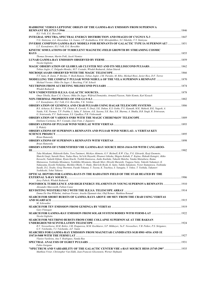| HADRONIC VERSUS LEPTONIC ORIGIN OF THE GAMMA-RAY EMISSION FROM SUPERNOVA                                                                                                                                                                                                                                                                                                                                                                                                                                                                                                                                                                                                                                                                                                                     |      |
|----------------------------------------------------------------------------------------------------------------------------------------------------------------------------------------------------------------------------------------------------------------------------------------------------------------------------------------------------------------------------------------------------------------------------------------------------------------------------------------------------------------------------------------------------------------------------------------------------------------------------------------------------------------------------------------------------------------------------------------------------------------------------------------------|------|
| H.J. Volk, E.G. Berezhko                                                                                                                                                                                                                                                                                                                                                                                                                                                                                                                                                                                                                                                                                                                                                                     |      |
| V.G. Sinitsyna, A.A. Alaverdian, I.A. Ivanov, I.P. Kozhukhova, R.M. Mirzafatikhov, S.I. Nikolsky, V.Y. Sinitsyna                                                                                                                                                                                                                                                                                                                                                                                                                                                                                                                                                                                                                                                                             |      |
| INVERSE COMPTON GAMMA-RAY MODELS FOR REMNANTS OF GALACTIC TYPE IA SUPERNOVAE?  1851<br>L.T. Ksenofontov, H.J. Volk, E.G. Berezhko                                                                                                                                                                                                                                                                                                                                                                                                                                                                                                                                                                                                                                                            |      |
| KINETIC SIMULATIONS OF TURBULENT MAGNETIC-FIELD GROWTH BY STREAMING COSMIC                                                                                                                                                                                                                                                                                                                                                                                                                                                                                                                                                                                                                                                                                                                   |      |
| Thomas Stroman, Martin Pohl, Jacek Niemiec                                                                                                                                                                                                                                                                                                                                                                                                                                                                                                                                                                                                                                                                                                                                                   |      |
| Nicola Giglietto                                                                                                                                                                                                                                                                                                                                                                                                                                                                                                                                                                                                                                                                                                                                                                             |      |
| Tobias Jogler, C. Delgado-Mendez, M.T. Costado, Wlodek Bednarek, Julian Sitarek                                                                                                                                                                                                                                                                                                                                                                                                                                                                                                                                                                                                                                                                                                              |      |
| T.Y. Saito, R. Zanin, P. Bordas, V. Bosh-Ramon, Tobias Jogler, J.M. Paredes, M. Ribo, Michael Rissi, Javier Rico, D.F. Torres                                                                                                                                                                                                                                                                                                                                                                                                                                                                                                                                                                                                                                                                |      |
| 1870 MODELLING THE COMPACT PULSAR WIND NEBULA OF THE VELA SUPERNOVA REMNANT<br>Michael Vorster, Okkie De Jager, I. Busching, F.M. Schock                                                                                                                                                                                                                                                                                                                                                                                                                                                                                                                                                                                                                                                     |      |
| Wlodek Bednarek                                                                                                                                                                                                                                                                                                                                                                                                                                                                                                                                                                                                                                                                                                                                                                              |      |
|                                                                                                                                                                                                                                                                                                                                                                                                                                                                                                                                                                                                                                                                                                                                                                                              |      |
| Omar Tibolla, Ryan C.G. Chaves, Okkie De Jager, Wilfried Domainko, Armand Fiasson, Nukri Komin, Karl Kosack                                                                                                                                                                                                                                                                                                                                                                                                                                                                                                                                                                                                                                                                                  |      |
| L.T. Ksenofontov, H.J. Volk, E.G. Berezhko, V.K. Yelshin                                                                                                                                                                                                                                                                                                                                                                                                                                                                                                                                                                                                                                                                                                                                     |      |
| B.S. Acharya, R.J. Britto, V.R. Chitnis, R. Cowsik, N. Dorji, S.K. Duhan, K.S. Gothe, P.U. Kamath, M.K. Mahesh, B.K. Nagesh, A.<br>Naidu, N.K. Parmar, T.P. Prabhu, L. Saha, F. Saleem, A.K. Saxena, S.K. Rao, S.K. Sharma, A. Shukla, B.B. Singh, R. Srinivasan,<br>G. Srinivasulu, P.V. Sudersanan, S.S. Upadhya, P.R. Vishwanath                                                                                                                                                                                                                                                                                                                                                                                                                                                          |      |
|                                                                                                                                                                                                                                                                                                                                                                                                                                                                                                                                                                                                                                                                                                                                                                                              |      |
| Emiliano Carmona, M.T. Costado, Lluis Font, J. Zapatero                                                                                                                                                                                                                                                                                                                                                                                                                                                                                                                                                                                                                                                                                                                                      |      |
| S. Wakely<br><b>OBSERVATIONS OF SUPERNOVA REMNANTS AND PULSAR WIND NEBULAE: A VERITAS KEY</b>                                                                                                                                                                                                                                                                                                                                                                                                                                                                                                                                                                                                                                                                                                |      |
|                                                                                                                                                                                                                                                                                                                                                                                                                                                                                                                                                                                                                                                                                                                                                                                              |      |
| Brian Humensky<br>Brian Humensky                                                                                                                                                                                                                                                                                                                                                                                                                                                                                                                                                                                                                                                                                                                                                             |      |
| <b>OBSERVATIONS OF UNIDENTIFIED VHE GAMMA-RAY SOURCE HESS J1614-518 WITH CANGAROO-</b><br>Ш                                                                                                                                                                                                                                                                                                                                                                                                                                                                                                                                                                                                                                                                                                  |      |
| Taku Mizukami, Hidetoshi Kubo, Toru Tanimori, Michiyo Akimoto, G.V. Bicknell, R.W. Clay, P.G. Edwards, Ryoji Enomoto,<br>Shuichi Gunji, Satoshi Hara, Tadao Hara, Sei'ichi Hayashi, Hisanori Ishioka, Shigeto Kabuki, F. Kajino, Hideaki Katagiri, Akiko<br>Kawachi, Tadashi Kifune, Ryuta Kiuchi, Toshiki Kunisawa, Junko Kushida, Takashi Matoba, Yutaka Matsubara, Ikuma<br>Matsuzawa, Yoshitaka Mizumura, Yoshihiko Mizumoto, Masaki Mori, Hiroshi Muraishi, Tsuguya Naito, Takeshi Nakamori, K.<br>Nakayama, Kyoshi Nishijima, Michiko Ohishi, Y. Otake, Shin'ichi Ryoki, K. Saito, Yukiko Sakamoto, Victor Stamatescu, Toshitaka<br>Suzuki, D.L. Swaby, Greg Thornton, Fuyuki Tokanai, Y. Toyota, K. Tsuchiya, S. Yanagita, Y. Yokoe, T. Yoshida, Takanori<br>Yoshikoshi, Yohei Yukawa |      |
| OPTICAL DEPTHS FOR GAMMA-RAYS IN THE RADIATION FIELD OF THE STAR HEATED BY THE                                                                                                                                                                                                                                                                                                                                                                                                                                                                                                                                                                                                                                                                                                               |      |
| Jerzy Pabich, Włodek Bednarek                                                                                                                                                                                                                                                                                                                                                                                                                                                                                                                                                                                                                                                                                                                                                                |      |
| POSTSHOCK TURBULENCE AND HIGH ENERGY FILAMENTS IN YOUNG SUPERNOVA REMNANTS<br>Alexandre Marcowith, Fabien Casse                                                                                                                                                                                                                                                                                                                                                                                                                                                                                                                                                                                                                                                                              | 1910 |
| Emma De Ona Wilhelmi, Andreas Forster, Arache Djannati-Atai, Olaf Reimer, Matthieu Renaud                                                                                                                                                                                                                                                                                                                                                                                                                                                                                                                                                                                                                                                                                                    |      |
| SEARCH FOR SHORT BURSTS OF GAMMA RAYS ABOVE 100 MEV FROM THE CRAB USING VERITAS                                                                                                                                                                                                                                                                                                                                                                                                                                                                                                                                                                                                                                                                                                              |      |
| M. Schroedter                                                                                                                                                                                                                                                                                                                                                                                                                                                                                                                                                                                                                                                                                                                                                                                |      |
| Gary Finnegan                                                                                                                                                                                                                                                                                                                                                                                                                                                                                                                                                                                                                                                                                                                                                                                |      |
| Nicola Giglietto<br>SEARCH FOR NEUTRINO BURSTS FROM CORE COLLAPSE SUPERNOVAE AT THE BAKSAN                                                                                                                                                                                                                                                                                                                                                                                                                                                                                                                                                                                                                                                                                                   |      |
| R.V. Novoseltseva, M.M. Boliev, I.M. Dzaparova, M.M. Kochkarov, S.P. Mikhevev, Yu.F. Novoseltsev, V.B. Petkov, P.S. Striganov,                                                                                                                                                                                                                                                                                                                                                                                                                                                                                                                                                                                                                                                               |      |
| G.V. Volchenko, V.I. Volchenko, A.F. Yanin<br>SEARCHES FOR GAMMA-RAY EMISSION FROM MAGNETAR CANDIDATES SGR 0501+4516 AND 1E                                                                                                                                                                                                                                                                                                                                                                                                                                                                                                                                                                                                                                                                  |      |
|                                                                                                                                                                                                                                                                                                                                                                                                                                                                                                                                                                                                                                                                                                                                                                                              |      |
| Vlasios Vasileiou, Ana Y. Rodriguez, Nanda Rea                                                                                                                                                                                                                                                                                                                                                                                                                                                                                                                                                                                                                                                                                                                                               |      |
| Fabio Gargano                                                                                                                                                                                                                                                                                                                                                                                                                                                                                                                                                                                                                                                                                                                                                                                |      |
| "SPECTRUM AND VARIABILITY OF THE GALACTIC CENTER VHE y-RAY SOURCE HESS J1745-290" 1935<br>Matthieu Vivier, Christopher Van Eldik, Jean-Francois Glicenstein, Werner Hofmann                                                                                                                                                                                                                                                                                                                                                                                                                                                                                                                                                                                                                  |      |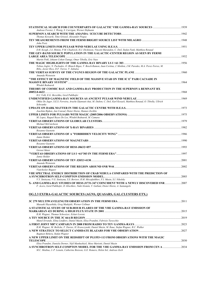| 2007 . X- AND GAMMA-RAY STUDIES OF HESS J1731-347 COINCIDENT WITH A NEWLY DISCOVERED SNR |
|------------------------------------------------------------------------------------------|
|                                                                                          |
|                                                                                          |
|                                                                                          |
|                                                                                          |
|                                                                                          |
|                                                                                          |
|                                                                                          |
|                                                                                          |
|                                                                                          |
|                                                                                          |
|                                                                                          |
| A SYNCHROTRON SELF-COMPTON MODEL FOR THE VHE GAMMA-RAY EMISSION FROM CEN A  2034         |
|                                                                                          |
|                                                                                          |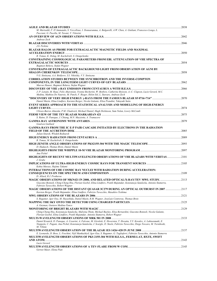| M. Marisaldi, F. D'Ammando, S. Vercellone, I. Donnarumma, A. Bulgarelli, A.W. Chen, A. Giuliani, Francesco Longo, L.                                                            |  |
|---------------------------------------------------------------------------------------------------------------------------------------------------------------------------------|--|
| Pacciani, G. Pucella, M. Tavani, V. Vittorini                                                                                                                                   |  |
| Andreas Zech                                                                                                                                                                    |  |
|                                                                                                                                                                                 |  |
| J.S. Perkins                                                                                                                                                                    |  |
| BLAZAR HALOS AS PROBE FOR EXTRAGALACTIC MAGNETIC FIELDS AND MAXIMAL                                                                                                             |  |
|                                                                                                                                                                                 |  |
| R. Tomas, K. Dolag, M. Kachelrieb, S. Ostapchenko<br>CONSTRAINING COSMOLOGICAL PARAMETERS FROM EBL ATTENUATION OF VHE SPECTRA OF                                                |  |
|                                                                                                                                                                                 |  |
| Bagmeet Behera, Stefan Wagner                                                                                                                                                   |  |
| <b>CONSTRAINS OF EXTRAGALACTIC BACKGROUND LIGHT FROM OBSERVATION OF AGNI BY</b>                                                                                                 |  |
|                                                                                                                                                                                 |  |
| V.G. Sinitsyna, A.A. Boldyrev, S.I. Nikolsky, V.Y. Sinitsyna                                                                                                                    |  |
| <b>CORRELATION STUDIES BETWEEN THE SYNCHROTRON AND THE INVERSE-COMPTON</b>                                                                                                      |  |
| Marcus Hauser, Bagmeet Behera, Stefan Wagner                                                                                                                                    |  |
|                                                                                                                                                                                 |  |
| J.-P. Lenain, M. Raue, Felix Aharonian, Yvonne Becherini, W. Benbow, Catherine Boisson, A.-C. Clapson, Lucie Gerard, M.C.                                                       |  |
| Medina, Mathieu De Naurois, M. Punch, F. Rieger, Helen Sol, L. Stawarz, Andreas Zech                                                                                            |  |
|                                                                                                                                                                                 |  |
| Daniel Mazin, Elina Lindfors, Karsten Berger, Nicola Galante, Elisa Prandini, Takayuki Saito<br>EVENT SERIES APPROACH TO THE STATISTICAL ANALYSIS AND MODELLING OF HIGH-ENERGY  |  |
|                                                                                                                                                                                 |  |
| Ulisses-Barres Almeida, P.M. Chadwick, Michael Daniel, Hugh Dickinson, Sam Nolan, Lowry McComb                                                                                  |  |
|                                                                                                                                                                                 |  |
| S. Raino, D. Paneque, J. Chiang, M.N. Mazziotta, A. Tramacere                                                                                                                   |  |
|                                                                                                                                                                                 |  |
| Goulven Guillard<br><b>GAMMA-RAYS FROM THE IC E-P PAIR CASCADE INITIATED BY ELECTRONS IN THE RADIATION</b>                                                                      |  |
|                                                                                                                                                                                 |  |
| Julian Sitarek, Wlodek Bednarek                                                                                                                                                 |  |
|                                                                                                                                                                                 |  |
| R. Tomas, M. Kachelrieb, S. Ostapchenko                                                                                                                                         |  |
|                                                                                                                                                                                 |  |
| D. Hadasch, Thomas Bretz, Daniel Mazin                                                                                                                                          |  |
| Ana Pichel                                                                                                                                                                      |  |
| HIGHLIGHTS OF RECENT MULTIWAVELENGTH OBSERVATIONS OF VHE BLAZARS WITH VERITAS2101                                                                                               |  |
| J. Grube                                                                                                                                                                        |  |
|                                                                                                                                                                                 |  |
| Kohta Murase, Hajime Takami                                                                                                                                                     |  |
| INTERACTIONS OF UHE COSMIC RAY NUCLEI WITH RADIATION DURING ACCELERATION:                                                                                                       |  |
| D. Allard, R.J. Protheroe                                                                                                                                                       |  |
| MAGIC OBSERVATIONS OF MKN421 IN 2008, AND RELATED OPTICAL/X-RAY/TEV MWL STUDY. 2113                                                                                             |  |
| Giacomo Bonnoli, Ching-Cheng Hsu, Florian Goebel, Elina Lindfors, Pratik Majumdar, Konstancja Satalecka, Antonio Stamerra,                                                      |  |
| Fabrizio Tavecchio, Robert Wagner                                                                                                                                               |  |
| MAGIC OBSERVATIONS OF THE DISTANT QUASAR 3C279 DURING AN OPTICAL OUTBURST IN 2007 2117<br>Karsten Berger, Pratik Majumdar, Elina Lindfors, Fabrizio Tavecchio, Masahiro Teshima |  |
|                                                                                                                                                                                 |  |
| S. Rugamer, Igor Oya, M. Hayashida, Daniel Mazin, R.M. Wagner, JoseLuis Contreras, Thomas Bretz                                                                                 |  |
|                                                                                                                                                                                 |  |
| A. Guzman, Gustavo Medina-Tanco                                                                                                                                                 |  |
| Ching-Cheng Hsu, Konstancja Satalecka, Malwina Thom, Michael Backes, Elisa Bernardini, Giacomo Bonnoli, Nicola Galante,                                                         |  |
| Florian Goebel, Elina Lindfors, Pratik Majumdar, Antonio Stamerra, Robert Wagner                                                                                                |  |
|                                                                                                                                                                                 |  |
| Daniel Kranich, D. Paneque, A. Cesarini, A. Falcone, M. Giroletti, E. Hoversten, T. Hovatta, Y.Y. Kovalev, A. Lahteenmaki, E.                                                   |  |
| Nieppola, C. Pagani, Ana Pichel, Konstancja Satalecka, J. Scargle, D. Steele, Fabrizio Tavecchio, Diego Tescaro, M. Tornikoski,                                                 |  |
| M. Villata                                                                                                                                                                      |  |
| E. Leonardo, D. Bose, L. Foschini, Nijil Mankuzhiyil, Igor Oya, S. Rugamer, G. Tagliaferri, Fabrizio Tavecchio, Antonio Stamerra                                                |  |
| MULTIWAVELENGTH OBSERVATIONS OF PKS 2155-304 WITH H.E.S.S., FERMI-LAT, RXTE, SWIFT                                                                                              |  |
|                                                                                                                                                                                 |  |
| Lucie Gerard                                                                                                                                                                    |  |
| Gernot Maier, Elena Pian                                                                                                                                                        |  |
|                                                                                                                                                                                 |  |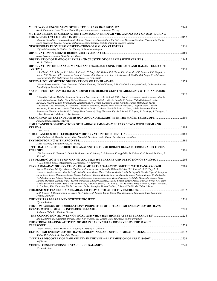| Sarah Kaufmann, Lucie Gerard, Stefan Wagner, Marcus Hauser, Johannes Herzog                                                                                                                                                                                       | .2149 |
|-------------------------------------------------------------------------------------------------------------------------------------------------------------------------------------------------------------------------------------------------------------------|-------|
| MUTIWAVELENGTH OBSERVATION FROM RADIO THROUGH VHE GAMMA-RAY OF 0J287 DURING                                                                                                                                                                                       |       |
|                                                                                                                                                                                                                                                                   |       |
| Masaaki Hayashida, Giacomo Bonnoli, Antonio Stamerra, Elina Lindfors, Kari Nilsson, Masahiro Teshima, Hiromi Seta, Naoki<br>Isobe, Makoto S. Tashiro, Koichiro Nakanishi, Mahito Sasada, Yoshito Shimajiri, Makoto Uemura                                         |       |
| NEW RESULTS FROM HESS OBSERVATIONS OF GALAXY CLUSTERS ………………………………………………………………………2156                                                                                                                                                                             |       |
| Wilfried Domainko, D. Nedbal, J.A. Hinton, O. Martineau-Huynh                                                                                                                                                                                                     |       |
| Silvia Vernetto, Daniele Martello, J.L. Zhang                                                                                                                                                                                                                     |       |
| Nicola Galante                                                                                                                                                                                                                                                    |       |
| OBSERVATIONS OF BLAZARS MKN421 ANS 1ES2344+514 USING THE PACT AND HAGAR TELESCOPE                                                                                                                                                                                 |       |
|                                                                                                                                                                                                                                                                   |       |
| V.R. Chitnis, B.S. Acharya, R.J. Britto, R. Cowsik, N. Dorji, S.K. Duhan, K.S. Gothe, P.U. Kamath, M.K. Mahesh, B.K. Nagesh, A.<br>Naidu, N.K. Parmar, T.P. Prabhu, L. Saha, F. Saleem, A.K. Saxena, S.K. Rao, S.K. Sharma, A. Shukla, B.B. Singh, R. Srinivasan, |       |
| G. Srinivasulu, P.V. Sudersanan, S.S. Upadhya, P.R. Vishwanath                                                                                                                                                                                                    |       |
|                                                                                                                                                                                                                                                                   | 2173  |
| Ulisses-Barres Almeida, Tania Dominici, Zulema Abraham, Gabriel Franco, P.M. Chadwick, Lowry McComb, Catherine Boisson,<br>Jean-Philippe Lenain, Martin Ward                                                                                                      |       |
| SEARCH FOR TEV GAMMA-RAYS AROUND THE MERGER CLUSTER ABELL 3376 WITH CANGAROO-                                                                                                                                                                                     |       |
|                                                                                                                                                                                                                                                                   | 2177  |
| T. Yoshida, Takashi Matoba, Yasufumi Hirai, Michiyo Akimoto, G.V. Bicknell, R.W. Clay, P.G. Edwards, Ryoji Enomoto, Shuichi<br>Gunji, Satoshi Hara, Tadao Hara, Sei'ichi Hayashi, Hisanori Ishioka, Shigeto Kabuki, F. Kajino, Hideaki Katagiri, Akiko            |       |
| Kawachi, Tadashi Kifune, Ryuta Kiuchi, Hidetoshi Kubo, Toshiki Kunisawa, Junko Kushida, Yutaka Matsubara, Ikuma                                                                                                                                                   |       |
| Matsuzawa, Taku Mizukami, Y. Mizumira, Yoshihiko Mizumoto, Masaki Mori, Hiroshi Muraishi, Tsuguya Naito, Takeshi<br>Nakamori, K. Nakayama, Kyoshi Nishijima, Michiko Ohishi, Y. Otake, Shin'ichi Ryoki, K. Saito, Yukiko Sakamoto, Victor                         |       |
| Stamatescu, Toshitaka Suzuki, D.L. Swaby, Toru Tanimori, Greg Thornton, Fuyuki Tokanai, Y. Toyota, K. Tsuchiya, S. Yanagita, Y.                                                                                                                                   |       |
| Yokoe, Takanori Yoshikoshi, Yohei Yukawa                                                                                                                                                                                                                          |       |
| Julian Sitarek, Razmik Mirzoyan                                                                                                                                                                                                                                   |       |
| SIMULTANEOUS OBSERVATIONS OF FLARING GAMMA-RAY BLAZAR 3C 66A WITH FERMI AND                                                                                                                                                                                       |       |
| Luis C. Reye                                                                                                                                                                                                                                                      |       |
|                                                                                                                                                                                                                                                                   |       |
| Nijil Mankuzhiyil, Daniela Dorner, Elisa Prandini, Massimo Persic, Elena Pian, Stefano Vercellone                                                                                                                                                                 |       |
|                                                                                                                                                                                                                                                                   |       |
| Silvia Vernetto, Z. Guglielmotto, J.L. Zhang<br>SPECTRAL ENERGY DISTRIBUTION ANALYSIS OF FERMI BRIGHT BLAZARS FROM RADIO TO TEV                                                                                                                                   |       |
|                                                                                                                                                                                                                                                                   |       |
| M.N. Mazziotta, P. Giommi, S. Cutini, D. Gasparrini, C. Monte, L. Fuhrmann, E. Angelakis, M. Villata, C.M. Raiteri, M. Perri, J.<br>Richards                                                                                                                      |       |
| 2004-100 TEV FLARING ACTIVITY OF MKN 421 AND MKN 501 BLAZARS AND DETECTION OF SN 2006GY                                                                                                                                                                           |       |
| V.G. Sinitsyna, R.M. Mirzafatikhov, S.I. Nikolsky, V.Y. Sinitsyna<br>TEV GAMMA-RAY OBSERVATIONS OF SOME EXTRAGALACTIC OBJECTS WITH CANGAROO-III 2208                                                                                                              |       |
| Kyoshi Nishijima, Michiyo Akimoto, Yoshitaka Mizumura, Junko Kushida, Hidetoshi Kubo, G.V. Bicknell, R.W. Clay, P.G.                                                                                                                                              |       |
| Edwards, Ryoji Enomoto, Shuichi Gunji, Satoshi Hara, Tadao Hara, Takahiro Hattori, Sei'ichi Hayashi, Yusuke Higashi, Yasufumi                                                                                                                                     |       |
| Hirai, Kenji Inoue, Hisanori Ishioka, Shigeto Kabuki, F. Kajino, Hideaki Katagiri, Akiko Kawachi, Tadashi Kifune, Ryuta Kiuchi,<br>Toshiki Kunisawa, Takashi Matoba, Yutaka Matsubara, Ikuma Matsuzawa, Taku Mizukami, Yoshihiko Mizumoto, Masaki Mori,           |       |
| Hiroshi Muraishi, Tsuguya Naito, Takeshi Nakamori, Shintaro Nakano, Michiko Ohishi, Yuhki Ohtake, Shin'ichi Ryoki, Koji Saito,                                                                                                                                    |       |
| Yukiko Sakamoto, Atsushi Seki, Victor Stamatescu, Toshitaka Suzuki, D.L. Swaby, Toru Tanimori, Greg Thornton, Fuyuki Tokanai,<br>K. Tsuchiya, Shio Watanabe, Eiichi Yamazaki, Shohei Yanagita, Tatsuo Yoshida, Takanori Yoshikoshi, Yohei Yukawa                  |       |
|                                                                                                                                                                                                                                                                   |       |
| R.M. Wagner, I. Donnarumma, J. Grube, M. Villata, C.M. Raiteri, Ching-Cheng Hsu, Konstancja Satalecka, Elisa Bernardini,                                                                                                                                          |       |
| Pratik Majumdar                                                                                                                                                                                                                                                   |       |
| Wystan Benbow                                                                                                                                                                                                                                                     |       |
| THE COMPARISON OF CORRELATION'S PROPERTIES OF ULTRA-HIGH ENERGY COSMIC RAYS                                                                                                                                                                                       |       |
| Radoslaw Galazka, Wieslaw Tkaczyk                                                                                                                                                                                                                                 |       |
|                                                                                                                                                                                                                                                                   |       |
| Elina Lindfors, Riho Reinthal, Daniel Mazin, Kari Nilsson, Leo Takalo, Aimo Sillanpaa, Andrei Berduygin                                                                                                                                                           |       |
| THE STRONG FLARING ACTIVITY OF M87 IN EARLY 2008 AS OBSERVED BY THE MAGIC                                                                                                                                                                                         |       |
| Diego Tescaro, Daniel Mazin, R.M. Wagner, K. Berger, N. Galante                                                                                                                                                                                                   |       |
|                                                                                                                                                                                                                                                                   |       |
| Athina Meli, JuliaK. Becker, John Quenby                                                                                                                                                                                                                          |       |
| Asif Imran                                                                                                                                                                                                                                                        |       |
|                                                                                                                                                                                                                                                                   |       |
| Wystan Benbow                                                                                                                                                                                                                                                     |       |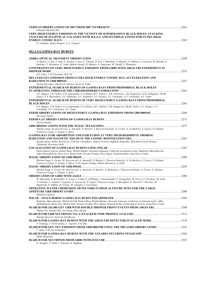| Chiumun Michelle Hui                                                                                                                                                                                                                           |       |
|------------------------------------------------------------------------------------------------------------------------------------------------------------------------------------------------------------------------------------------------|-------|
| VERY HIGH ENERGY EMISSION IN THE VICINITY OF SUPERMASSIVE BLACK HOLES: STACKING<br>ANALYSIS OF ELLIPTICAL GALAXIES WITH H.E.S.S. AND ITS IMPLICATIONS FOR ULTRA HIGH                                                                           |       |
|                                                                                                                                                                                                                                                | .2245 |
| G. Pedaletti, Stefan Wagner, A.-C. Clapson                                                                                                                                                                                                     |       |
| <b>OG.2.4 GAMMA-RAY BURSTS</b>                                                                                                                                                                                                                 |       |
|                                                                                                                                                                                                                                                |       |
| S. Ogawa, Y. Aita, T. Aoki, Y. Asaoka, J. Asou, T. Chonan, R. Fox, J. Hamilton, Y. Higashi, N. Ishikawa, J. Learned, M. Masuda, S.                                                                                                             |       |
| Matsuno, Y. Morimoto, K. Noda, Makoto Sasaki, H. Shibuya, N. Sugiyama, M. Yabuki, Y. Watanabe                                                                                                                                                  |       |
| <b>CONSTRAINTS ON VERY HIGH ENERGY EMISSION FROM GRBS WITH ARGO-YBJ EXPERIMENT IN</b>                                                                                                                                                          |       |
| S.Z. Chen. T. Di Girolamo. H.H. He                                                                                                                                                                                                             |       |
| <b>DELAYED GEV EMISSION FROM ULTRA-HIGH ENERGY COSMIC RAY ACCELERATION AND</b>                                                                                                                                                                 |       |
| Soebur Razzaque, Charles D. Dermer, Justin D. Finke                                                                                                                                                                                            |       |
| <b>EXPERIMENTAL SEARCH OF BURSTS OF GAMMA RAYS FROM PRIMORDIAL BLACK HOLES</b>                                                                                                                                                                 |       |
| E.V. Bugaev, V.B. Petkov, A.N. Gaponenko, P.A. Klimai, M.V. Andreev, A.B. Chernyaev, I.M. Dzaparova, D.D. Dzhappuev, Zh.Sh.<br>Guliev, N.S. Khaerdinov, N.F. Klimenko, A.U. Kudzhaev, A.V. Sergeev, V.I. Volchenko, G.V. Volchenko, A.F. Yanin |       |
| <b>EXPERIMENTAL SEARCH OF BURSTS OF VERY HIGH ENERGY GAMMA RAYS FROM PRIMORDIAL</b>                                                                                                                                                            |       |
| E.V. Bugaev, V.B. Petkov, A.N. Gaponenko, P.A. Klimai, M.V. Andreev, I.M. Dzaparova, Zh.Sh. Guliev, A.V. Sergeev, V.I.                                                                                                                         |       |
| Volchenko, G.V. Volchenko, A.F. Yanin,                                                                                                                                                                                                         |       |
| Hiroyasu Tajima                                                                                                                                                                                                                                |       |
|                                                                                                                                                                                                                                                |       |
| Nicola Omodei                                                                                                                                                                                                                                  |       |
| Markus Gaug, M. Garczarczyk, A. Antonelli, D. Bastieri, J. Becerra-Gonzalez, S. Covino, A. La Barbera, A. Carosi, N. Galante,<br>Francesco Longo, V. Scapin, S. Spiro                                                                          |       |
| <b>GAMMA-RAY PAIR ABSORPTION AND PAIR ECHOS AT VERY HIGH-REDSHIFTS: PROBING</b>                                                                                                                                                                |       |
|                                                                                                                                                                                                                                                |       |
| Susumu Inoue, Ruben Salvaterra, Tirth Roy Choudhury, Andrea Ferrara, Raffaella Schneider, Benedetta Ciardi, Keitaro<br>Takahashi, Kiyotomo Ichiki                                                                                              |       |
|                                                                                                                                                                                                                                                |       |
| Estela Suarez-Garcia, Daniel Haas, Wojtek Hajdas, Giovanni Lamanna, Catherine Lechanoine-Leluc, Radoslaw Marcinkowski,<br>Aliko Mtchedlishvili, Silvio Orsi, Martin Pohl, Nicolas Produit, Divic Rapin, Dominik Rybka, Jean-Pierre Vialle      |       |
|                                                                                                                                                                                                                                                |       |
| Markus Gaug, S. Covino, M. Garczarczyk, A. Antonelli, D. Bastieri, J. Becerra-Gonzalez, A. La Barbera, A. Carosi, N. Galante,                                                                                                                  |       |
| Francesco Longo, V. Scapin, S. Spiro, A. De Ugarte-Postigo, Ruben Salvaterra, A. Galli                                                                                                                                                         | .2293 |
| Markus Gaug, S. Covino, M. Garczarczyk, A. Antonelli, D. Bastieri, A. BarberaLa, J. Becerra-Gonzalez, A. Carosi, N. Galante,                                                                                                                   |       |
| Francesco Longo, V. Scapin, S. Spiro                                                                                                                                                                                                           |       |
| M. Marisaldi, G. Barbiellini, E. Costa, S. Cutini, E. DelMonte, I. Donnarumma, Y. Evangelista, M. Feroci, F. Fuschino, M. Galli,                                                                                                               | 2296  |
| A. Giuliani, C. Labanti, I. Lapshov, F. Lazzarotto, P. Lipari, Francesco Longo, S. Mereghetti, E. Moretti, L. Pacciani, M.<br>Rapisarda, P. Soffitta, M. Tavani, M. Trifoglio, S. Vercellone                                                   |       |
| <b>OPERATING WATER CHERENKOV DETECTORS IN HIGH ALTITUDE SITES FOR THE LARGE</b>                                                                                                                                                                |       |
|                                                                                                                                                                                                                                                |       |
| Humberto Salazar                                                                                                                                                                                                                               |       |
| Radoslaw Marcinkowski, Michal Gierlik, Daniel Haas, Wojtek Hajdas, Giovanni Lamanna, Catherine Lechanoine-Leluc, Aliko                                                                                                                         |       |
| Mchedlishvili, Silvio Orsi, Martin Pohl, Nicolas Produit, Divic Rapin, Dominik Rybka, Estela Suarez-Garcia, Jean-Pierre Vialle                                                                                                                 |       |
| Yiqing Guo, Hongbo Hu, Liu Cheng, Zhou Xunxiu                                                                                                                                                                                                  |       |
| Martijn Duvoort, Nick Van Eijndhoven                                                                                                                                                                                                           |       |
| P. Vallania, T. Di Girolamo, C. Vigorito, F.R. Zhu                                                                                                                                                                                             |       |
| SEARCH FOR GEV-TEV EMISSION FROM GRB 080319B USING THE MILAGRO OBSERVATORY2323                                                                                                                                                                 |       |
| T. Aune. P.M. Saz Parkinson                                                                                                                                                                                                                    |       |
| Mieke Bouwhuis                                                                                                                                                                                                                                 |       |
| K. Meagher, P. Roth, I. Taboada, K. Hoffman                                                                                                                                                                                                    |       |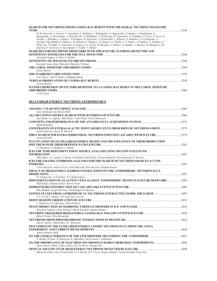| SEARCH FOR NEUTRINOS FROM GAMMA-RAY BURSTS WITH THE BAIKAL NEUTRINO TELESCOPE<br><b>NT200</b>                                                                                                                                                                                                                                                                                                                                                                                                                                                                                                                                                                                                                      | 2336 |
|--------------------------------------------------------------------------------------------------------------------------------------------------------------------------------------------------------------------------------------------------------------------------------------------------------------------------------------------------------------------------------------------------------------------------------------------------------------------------------------------------------------------------------------------------------------------------------------------------------------------------------------------------------------------------------------------------------------------|------|
| R. Wischnewski, A. Avrorin, V. Aynutdinov, V. Balkanov, I. Belolaptikov, D. Bogorodsky, N. Budnev, I. Danilchenko, G.<br>Domogatsky, A. Doroshenko, A. Dyachok, Zh.-A. Dzhilkibaev, S. Fialkovsky, O. Gaponenko, K. Golubkov, O. Gress, T. Gress, O.<br>Grishin, A. Klabukov, A. Klimov, A. Kochanov, K. Konischev, A. Koshechkin, V. Kulepov, D. Kuleshov, L.A. Kuzmichev, V.<br>Lyashuk, Eike Middell, S. Mikheyev, M. Milenin, R. Mirgazov, E. Osipova, G. Pankov, L.V. Pankov, A. Panfilov, D. Petukhov, E.<br>Pliskovsky, P. Pokhil, V. Poleschuk, E. Popova, V.V. Prosin, M. Rozanov, V. Rubtzov, A. Sheifler, A. Shirokov, B. Shoibonov, Ch.<br>Spiering, O. Suvorova, B. Tarashansky, I. Yashin, V. Zhukov |      |
| <b>SEARCHES FOR NEUTRINOS FROM GRBS WITH THE ICECUBE 22-STRING DETECTOR AND</b>                                                                                                                                                                                                                                                                                                                                                                                                                                                                                                                                                                                                                                    |      |
|                                                                                                                                                                                                                                                                                                                                                                                                                                                                                                                                                                                                                                                                                                                    | 2340 |
| Alexander Kappes, P. Roth, E. Strahler                                                                                                                                                                                                                                                                                                                                                                                                                                                                                                                                                                                                                                                                             |      |
|                                                                                                                                                                                                                                                                                                                                                                                                                                                                                                                                                                                                                                                                                                                    | 2344 |
| Katsuaki Asano, Kenji Shinozaki, Masahiro Teshima                                                                                                                                                                                                                                                                                                                                                                                                                                                                                                                                                                                                                                                                  |      |
| Xavier Bertou                                                                                                                                                                                                                                                                                                                                                                                                                                                                                                                                                                                                                                                                                                      | 2350 |
|                                                                                                                                                                                                                                                                                                                                                                                                                                                                                                                                                                                                                                                                                                                    | 2354 |
| Jens Drever, Julia K. Becker, Wolfgang Rhode                                                                                                                                                                                                                                                                                                                                                                                                                                                                                                                                                                                                                                                                       |      |
|                                                                                                                                                                                                                                                                                                                                                                                                                                                                                                                                                                                                                                                                                                                    | 2358 |
| Nicola Galante                                                                                                                                                                                                                                                                                                                                                                                                                                                                                                                                                                                                                                                                                                     |      |
| WATER CHERENKOV DETECTORS RESPONSE TO A GAMMA RAY BURST IN THE LARGE APERTURE                                                                                                                                                                                                                                                                                                                                                                                                                                                                                                                                                                                                                                      |      |
| <b>GRB OBSERVATORY</b>                                                                                                                                                                                                                                                                                                                                                                                                                                                                                                                                                                                                                                                                                             | 2360 |
| A. De Castro                                                                                                                                                                                                                                                                                                                                                                                                                                                                                                                                                                                                                                                                                                       |      |

#### **OG.2.5 HIGH ENERGY NEUTRINO ASTROPHYSICS**

| Anne Schukraft, Jan-Patrick Hulb                                                                                               |       |
|--------------------------------------------------------------------------------------------------------------------------------|-------|
| Jon Dumm, J.A. Aguilar, Mike Baker, Chad Finley, Teresa Montaruli                                                              |       |
| Mieke Bouwhuis                                                                                                                 |       |
| <b>CONSTRAINTS ON EXTRAGALACTIC POINT SOURCE FLUX FROM DIFFUSE NEUTRINO LIMITS 2375</b><br>Andrea Silvestri, Steven W. Barwick |       |
| Joanna Kiryluk                                                                                                                 |       |
| FLUCTUATION OF (ULTRA)-HIGH ENERGY MUONS AND THE INFLUENCE OF THEIR PRODUCTION                                                 |       |
|                                                                                                                                | .2383 |
| N. Takahashi, Y. Okumura, A. Misaki                                                                                            |       |
| <b>ICECUBE TIME-DEPENDENT POINT SOURCE ANALYSIS USING MULTIWAVELENGTH</b>                                                      |       |
| Mike Baker, J.A. Aguilar, J. Braun, Jon Dumm, Chad Finley, Teresa Montaruli, Sirin Odrowski, E. Resconi                        | .2387 |
|                                                                                                                                |       |
| ICECUBE/AMANDA COMBINED ANALYSES FOR THE SEARCH OF NEUTRINO SOURCES AT LOW                                                     | 2391  |
| Cecile Roucelle, Andreas Gross, Sirin Odrowski, Elisa Resconi, Yolanda Sestayo                                                 |       |
| IMPACT OF HIGH-ENERGY HADRON INTERACTIONS ON THE ATMOSPHERIC NEUTRINO FLUX                                                     |       |
|                                                                                                                                | 2395  |
| S.I. Sinegovsky, A. Kochanov, T.S. Sinegovskaya                                                                                |       |
| <b>IMPLEMENTATION OF AN ACTIVE VETO AGAINST ATMOSPHERIC MUONS IN ICECUBE DEEPCORE  2399</b>                                    |       |
| Olaf Schulz, Sebastian Euler, Darren Grant                                                                                     |       |
|                                                                                                                                |       |
| Eike Middell, Joseph McCartin, Michelangelo D'Agostino                                                                         |       |
|                                                                                                                                |       |
| T.C. Liu, M.A. Huang, C.H. Iong, Guey-Lin Lin                                                                                  |       |
|                                                                                                                                | .2412 |
| L. Gladstone, D.J. Boersma, Albrecht Karle                                                                                     |       |
|                                                                                                                                |       |
| Sebastian Panknin, Julien Bolmont, Marek Kowalski, Stephan Zimmer                                                              |       |
|                                                                                                                                |       |
| Robert Franke, Elisa Bernardini                                                                                                | 2424  |
| Julia K. Becker, Athina Meli, P.L. Biermann                                                                                    |       |
| NEW LIMITS ON THE ULTRA-HIGH ENERGY COSMIC NEUTRINO FLUX FROM THE ANITA                                                        |       |
|                                                                                                                                | .2428 |
| Andrew Romero-Wolf                                                                                                             |       |
|                                                                                                                                |       |
| A. Misaki, M. Kato, K. Miyazawa, K. Higashide, Naoya Inoue, I. Nakamura                                                        |       |
| <b>ON THE IMPORTANCE OF ELECTRON NEUTRINOS IN RADIO CHERENKOV EXPERIMENTS. 2436</b>                                            |       |
| Jaime Alvarez-Muniz, Clancy James, R.J. Protheroe, Enrique Zas                                                                 |       |
|                                                                                                                                |       |
| Marek Kowalski, Anna Franckowiak, Carl Akerlof, D.F. Cowen, Ringo Lehmann, Torsten Schmidt, Fang Yuan                          |       |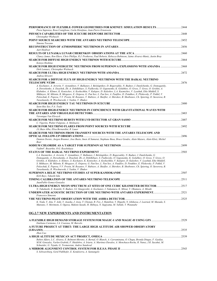| Piera Sapienza, Rosa Coniglione, Carla Distefano, Jean-Pierre Ernenwein                                                                                                                                                                                                                                                                                                                                                                                                                                                                                                                   |       |
|-------------------------------------------------------------------------------------------------------------------------------------------------------------------------------------------------------------------------------------------------------------------------------------------------------------------------------------------------------------------------------------------------------------------------------------------------------------------------------------------------------------------------------------------------------------------------------------------|-------|
| Christopher Wiebusch                                                                                                                                                                                                                                                                                                                                                                                                                                                                                                                                                                      |       |
| Simona Toscano                                                                                                                                                                                                                                                                                                                                                                                                                                                                                                                                                                            |       |
| Aart Heijboer                                                                                                                                                                                                                                                                                                                                                                                                                                                                                                                                                                             |       |
|                                                                                                                                                                                                                                                                                                                                                                                                                                                                                                                                                                                           |       |
| Clancy James, Ron Ekers, Chris Phillips, R.J. Protheroe, Paul Roberts, Rebecca Robinson, Jaime Alvarez-Muniz, Justin Bray                                                                                                                                                                                                                                                                                                                                                                                                                                                                 |       |
| Kotovo Hoshina                                                                                                                                                                                                                                                                                                                                                                                                                                                                                                                                                                            |       |
| SEARCH FOR HIGH ENERGETIC NEUTRINOS FROM SUPERNOVA EXPLOSIONS WITH AMANDA 2468<br>Dirk Lennarz, Christopher Wiebusch                                                                                                                                                                                                                                                                                                                                                                                                                                                                      |       |
|                                                                                                                                                                                                                                                                                                                                                                                                                                                                                                                                                                                           |       |
| Andrea Silvestri                                                                                                                                                                                                                                                                                                                                                                                                                                                                                                                                                                          |       |
| SEARCH FOR A DIFFUSE FLUX OF HIGH-ENERGY NEUTRINOS WITH THE BAIKAL NEUTRINO                                                                                                                                                                                                                                                                                                                                                                                                                                                                                                               | .2476 |
| A. Kochanov, A. Avrorin, V. Aynutdinov, V. Balkanov, I. Belolaptikov, D. Bogorodsky, N. Budnev, I. Danilchenko, G. Domogatsky,<br>A. Doroshenko, A. Dyachok, Zh.-A. Dzhilkibaev, S. Fialkovsky, O. Gaponenko, K. Golubkov, O. Gress, T. Gress, O. Grishin, A.<br>Klabukov, A. Klimov, K. Konischev, A. Koshechkin, V. Kulepov, D. Kuleshov, L.A. Kuzmichev, V. Lyashuk, Eike Middell, S.<br>Mikheyev, M. Milenin, R. Mirgazov, E. Osipova, G. Pan'kov, L. Pan'kov, A. Panfilov, D. Petukhov, E. Pliskovsky, P. Pokhil, V.                                                                 |       |
| Poleschuk, E. Popova, V.V. Prosin, M. Rozanov, V. Rubtzov, A. Sheifler, A. Shirokov, B. Shoibonov, Ch. Spiering, O. Suvorova, B.<br>Tarashansky, R. Wischnewski, I. Yashin, V. Zhukov                                                                                                                                                                                                                                                                                                                                                                                                     |       |
| Seon-Hee Seo, P.A. Toale                                                                                                                                                                                                                                                                                                                                                                                                                                                                                                                                                                  | 2480  |
| SEARCH FOR HIGH-ENERGY NEUTRINOS IN COINCIDENCE WITH GRAVITATIONAL WAVES WITH                                                                                                                                                                                                                                                                                                                                                                                                                                                                                                             |       |
|                                                                                                                                                                                                                                                                                                                                                                                                                                                                                                                                                                                           |       |
| Veronique Van Elewyck                                                                                                                                                                                                                                                                                                                                                                                                                                                                                                                                                                     |       |
| C. Vigorito, Walter Fulgione, A. Molinario                                                                                                                                                                                                                                                                                                                                                                                                                                                                                                                                                |       |
|                                                                                                                                                                                                                                                                                                                                                                                                                                                                                                                                                                                           | 2492  |
| J.L.Bazo Alba, Elisa Bernardini, R. Lauer<br>SEARCH FOR NEUTRINOS FROM TRANSIENT SOURCES WITH THE ANTARES TELESCOPE AND                                                                                                                                                                                                                                                                                                                                                                                                                                                                   |       |
| Damien Dornic, Jurgen Brunner, Jose Busto, Imen Al Samarai, Stephane Basa, Bruce Gendre, Alain Mazure, Alain Klotz, Michel<br>Boer                                                                                                                                                                                                                                                                                                                                                                                                                                                        |       |
|                                                                                                                                                                                                                                                                                                                                                                                                                                                                                                                                                                                           | .2499 |
| VadimV. Boyarkin, O.G. Ryazhskaya                                                                                                                                                                                                                                                                                                                                                                                                                                                                                                                                                         |       |
| L.A. Kuzmichev, A. Avrorin, V. Aynutdinov, V. Balkanov, I. Belolaptikov, D. Bogorodsky, N. Budnev, I. Danilchenko, G.                                                                                                                                                                                                                                                                                                                                                                                                                                                                     |       |
| Domogatsky, A. Doroshenko, A. Dyachok, Zh.-A. Dzhilkibaev, S. Fialkovsky, O. Gaponenko, K. Golubkov, O. Gress, T. Gress, O.<br>Grishin, A. Klabukov, A. Klimov, A. Kochanov, K. Konischev, A. Koshechkin, V. Kulepov, D. Kuleshov, V. Lyashuk, Eike Middell,<br>S. Mikheyev, M. Milenin, R. Mirgazov, E. Osipova, G. Pan'kov, L. Pan'kov, A. Panfilov, D. Petukhov, E. Pliskovsky, P. Pokhil, V.<br>Poleschuk, E. Popova, V.V. Prosin, M. Rozanov, V. Rubtzov, A. Sheifler, A. Shirokov, B. Shoibonov, Ch. Spiering, O. Suvorova, B.<br>Tarashansky, R. Wischnewski, I. Yashin, V. Zhukov |       |
|                                                                                                                                                                                                                                                                                                                                                                                                                                                                                                                                                                                           |       |
| Kirk Bays, Takashi Iida                                                                                                                                                                                                                                                                                                                                                                                                                                                                                                                                                                   |       |
| JuanPablo Gomez-Gonzalez                                                                                                                                                                                                                                                                                                                                                                                                                                                                                                                                                                  |       |
| N. Takahashi, E. Konishi, N. Budnev, S.I. Sinegovskii, A. Kochanov, I. Nakamura, K. Mitsui, Y. Okumura, A. Misaki                                                                                                                                                                                                                                                                                                                                                                                                                                                                         |       |
| Francesco Simeone                                                                                                                                                                                                                                                                                                                                                                                                                                                                                                                                                                         |       |
|                                                                                                                                                                                                                                                                                                                                                                                                                                                                                                                                                                                           |       |
| K. Noda, Y. Aita, T. Aoki, Y. Asaoka, J. Asou, T. Chonan, R. Fox, J. Hamilton, Y. Higashi, N. Ishikawa, J. Learned, M. Masuda, S.<br>Matsuno, Y. Morimoto, S. Ogawa, Makoto Sasaki, H. Shibuya, N. Sugiyama, M. Yabuki, Y. Watanabe                                                                                                                                                                                                                                                                                                                                                       |       |
|                                                                                                                                                                                                                                                                                                                                                                                                                                                                                                                                                                                           |       |
| <b>OG.2.7 NEW EXPERIMENTS AND INSTRUMENTATION</b>                                                                                                                                                                                                                                                                                                                                                                                                                                                                                                                                         |       |
| Emiliano Carmona, J.A. Coarasa, M. Barcelo                                                                                                                                                                                                                                                                                                                                                                                                                                                                                                                                                |       |
| A FUTURE PROJECT AT TIBET: THE LARGE HIGH ALTITUDE AIR SHOWER OBSERVATORY                                                                                                                                                                                                                                                                                                                                                                                                                                                                                                                 |       |
| Zhen Cao                                                                                                                                                                                                                                                                                                                                                                                                                                                                                                                                                                                  |       |
|                                                                                                                                                                                                                                                                                                                                                                                                                                                                                                                                                                                           |       |
| Ruben Alfaro, L.C. Alvarez, E. Belmont-Moreno, A. Bernal, O. Blanch, A. Carraminana, O. Chapa, Brenda Dingus, F. Garfias,<br>M.M. Gonzalez, Varlen Grabski, F. Huidobro, A. Iriarte, A. Martinez-Davalos, A. Menchaca-Rocha, R. Nunez, J.R. Sacahui, M.<br>Schneider, G. Tejada, G. Tovmassian, Andres Sandoval                                                                                                                                                                                                                                                                           |       |
|                                                                                                                                                                                                                                                                                                                                                                                                                                                                                                                                                                                           | 2543  |

*S. Schwarzburg, Gerd Puhlhofer, E. Kendziorra, A. Santangelo*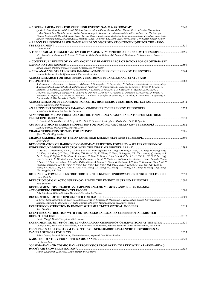| Quirin Weitzel, Dorothee Hildebrand, Michael Backes, Adrian Biland, Andrea Boller, Thomas Bretz, Sebastian Commichau,<br>Volker Commichau, Daniela Dorner, Isabel Braun, Hanspeter GuntenVon, Adamo Gendotti, Oliver Grimm, Urs Horisberger,<br>Thomas Krahenbuhl, Daniel Kranich, Eckart Lorenz, Werner Lustermann, Karl Mannheim, Dominik Neise, Felicitas Pauss, Dieter                                                                                                                                                                                                                                                                                                                                                                                                                                                                                                                                                                                            |       |
|-----------------------------------------------------------------------------------------------------------------------------------------------------------------------------------------------------------------------------------------------------------------------------------------------------------------------------------------------------------------------------------------------------------------------------------------------------------------------------------------------------------------------------------------------------------------------------------------------------------------------------------------------------------------------------------------------------------------------------------------------------------------------------------------------------------------------------------------------------------------------------------------------------------------------------------------------------------------------|-------|
| Renker, Wolfgang Rhode, Michael Rissi, Sebastian Rollke, Ulf Roser, L.S. Stark, Jean-Pierre Stucki, Gert Viertel, Patrick Vogler                                                                                                                                                                                                                                                                                                                                                                                                                                                                                                                                                                                                                                                                                                                                                                                                                                      |       |
| A RADON TRANSFORM BASED GAMMA-HADRON DISCRIMINATION TECHNIQUE FOR THE ARGO-                                                                                                                                                                                                                                                                                                                                                                                                                                                                                                                                                                                                                                                                                                                                                                                                                                                                                           |       |
| Milena Dattoli                                                                                                                                                                                                                                                                                                                                                                                                                                                                                                                                                                                                                                                                                                                                                                                                                                                                                                                                                        |       |
| A TOPOLOGICAL TRIGGER SYSTEM FOR IMAGING ATMOSPHERIC-CHERENKOV TELESCOPES                                                                                                                                                                                                                                                                                                                                                                                                                                                                                                                                                                                                                                                                                                                                                                                                                                                                                             | .2556 |
| M. Schroedter, J. Anderson, K. Byrum, G. Drake, C. Duke, Jamie Holder, Asif Imran, A. Madhavan, F. Krennrich, A. Kreps, A.<br>Smith                                                                                                                                                                                                                                                                                                                                                                                                                                                                                                                                                                                                                                                                                                                                                                                                                                   |       |
| A CONCEPTUAL DESIGN OF AN ADVANCED 23 M DIAMETER IACT OF 50 TONS FOR GROUND-BASED                                                                                                                                                                                                                                                                                                                                                                                                                                                                                                                                                                                                                                                                                                                                                                                                                                                                                     |       |
|                                                                                                                                                                                                                                                                                                                                                                                                                                                                                                                                                                                                                                                                                                                                                                                                                                                                                                                                                                       |       |
| Eckart Lorenz, Daniel Ferenc, M. Victoria Fonseca, Robert Wagner                                                                                                                                                                                                                                                                                                                                                                                                                                                                                                                                                                                                                                                                                                                                                                                                                                                                                                      |       |
| Yvonne Becherini, Arache Djannati-Atai, Vincent Marandon                                                                                                                                                                                                                                                                                                                                                                                                                                                                                                                                                                                                                                                                                                                                                                                                                                                                                                              |       |
| ACOUSTIC SEARCH FOR HIGH-ENERGY NEUTRINOS IN LAKE BAIKAL: STATUS AND                                                                                                                                                                                                                                                                                                                                                                                                                                                                                                                                                                                                                                                                                                                                                                                                                                                                                                  |       |
| A. Kochanov, V. Aynutdinov, A. Avrorin, V. Balkanov, I. Belolaptikov, D. Bogorodsky, N. Budnev, I. Danilchenko, G. Domogatsky,                                                                                                                                                                                                                                                                                                                                                                                                                                                                                                                                                                                                                                                                                                                                                                                                                                        |       |
| A. Doroshenko, A. Dyachok, Zh.-A. Dzhilkibaev, S. Fialkovsky, O. Gaponenko, K. Golubkov, O. Gress, T. Gress, O. Grishin, A.<br>Klabukov, A. Klimov, K. Konischev, A. Koshechkin, V. Kulepov, D. Kuleshov, L.A. Kuzmichev, V. Lyashuk, Eike Middell, S.<br>Mikheyev, M. Milenin, R. Mirgazov, E. Osipova, G. Pan'kov, L. Pan'kov, A. Panfilov, D. Petukhov, E. Pliskovsky, P. Pokhil, V.<br>Poleschuk, E. Popova, V.V. Prosin, M. Rozanov, V. Rubtzov, A. Sheifler, O. Suvorova, A. Shirokov, B. Shoibonov, Ch. Spiering, B.<br>Tarashansky, R. Wischnewski, I. Yashin, V. Zhukov                                                                                                                                                                                                                                                                                                                                                                                      |       |
| Mathieu Ribordy, Matt Podgorski                                                                                                                                                                                                                                                                                                                                                                                                                                                                                                                                                                                                                                                                                                                                                                                                                                                                                                                                       |       |
|                                                                                                                                                                                                                                                                                                                                                                                                                                                                                                                                                                                                                                                                                                                                                                                                                                                                                                                                                                       |       |
| A. McCann, D. Hanna, Michael McCutcheon                                                                                                                                                                                                                                                                                                                                                                                                                                                                                                                                                                                                                                                                                                                                                                                                                                                                                                                               |       |
| ATMOSPHERIC MUONS FROM PARAMETRIC FORMULAS: A FAST GENERATOR FOR NEUTRINO                                                                                                                                                                                                                                                                                                                                                                                                                                                                                                                                                                                                                                                                                                                                                                                                                                                                                             |       |
|                                                                                                                                                                                                                                                                                                                                                                                                                                                                                                                                                                                                                                                                                                                                                                                                                                                                                                                                                                       |       |
| G. Carminati, Marco Bazzotti, S. Biagi, S. Cecchini, T. Chiarusi, A. Margiotta, Maximiliano Sioli, M. Spurio                                                                                                                                                                                                                                                                                                                                                                                                                                                                                                                                                                                                                                                                                                                                                                                                                                                          |       |
| Daniela Dorner, Thomas Bretz, Marlene Doert                                                                                                                                                                                                                                                                                                                                                                                                                                                                                                                                                                                                                                                                                                                                                                                                                                                                                                                           |       |
| Bjorn Herold, Oleg Kalekin                                                                                                                                                                                                                                                                                                                                                                                                                                                                                                                                                                                                                                                                                                                                                                                                                                                                                                                                            |       |
|                                                                                                                                                                                                                                                                                                                                                                                                                                                                                                                                                                                                                                                                                                                                                                                                                                                                                                                                                                       |       |
| <b>Bruny Baret</b>                                                                                                                                                                                                                                                                                                                                                                                                                                                                                                                                                                                                                                                                                                                                                                                                                                                                                                                                                    |       |
| <b>DEMONSTRATION OF HADRONIC COSMIC-RAY REJECTION POWER BY A WATER CHERENKOV</b>                                                                                                                                                                                                                                                                                                                                                                                                                                                                                                                                                                                                                                                                                                                                                                                                                                                                                      |       |
| M. Takita, M. Amenomori, X.J. Bi, D. Chen, S.W. Cui, . Danzengluobu, L.K. Ding, X.H. Ding, C. Fan, C.F. Feng, Zhaoyang Feng,<br>Z.Y. Feng, X.Y. Gao, O.X. Geng, H.W. Guo, H.H. He, M. He, K. Hibino, N. Hotta, Haibing Hu, H.B. Hu, J. Huang, O. Huang, H.Y.<br>Jia, L. Jiang, F. Kajino, K. Kasahara, Y. Katayose, C. Kato, K. Kawata, Labaciren, G.M. Le, A.F. Li, H.C. Li, J.Y. Li, C. Liu, Y.-O.<br>Lou, H. Lu, X R., K. Mizutani, J. Mu, Kazuoki Munakata, A. Nagai, H. Nanjo, M. Nishizawa, M. Ohnishi, I. Ohta, Shunsuke Ozawa,<br>T. Saito, T.Y. Saito, M. Sakata, T.K. Sako, Makio Shibata, A. Shiomi, T. Shirai, H. Sugimoto, Y.H. Tan, N. Tateyama, Shoji Torii, H.<br>Tsuchiya, Shigeharu Udo, B. Wang, H. Wang, Y.G. Wang, Y.G. Wang, H.R. Wu, L. Xue, Y. Yamamoto, C.T. Yan, X.C. Yang, S.<br>Yasue, Z.H. Ye, G.C. Yu, A.F. Yuan, T. Yuda, H.M. Zhang, J.L. Zhang, N.J. Zhang, X.Y. Zhang, X.Y. Zhang, Yi Zhang, Ying Zhang,<br>Zhaxisangzhu, X.X. Zhou | .2594 |
| DESIGN OF A TOWER-LIKE STRUCTURE FOR THE KM3NET UNDERWATER NEUTRINO TELESCOPE  2598                                                                                                                                                                                                                                                                                                                                                                                                                                                                                                                                                                                                                                                                                                                                                                                                                                                                                   |       |
| Paolo Piattelli                                                                                                                                                                                                                                                                                                                                                                                                                                                                                                                                                                                                                                                                                                                                                                                                                                                                                                                                                       |       |
| Rezo Shanidze                                                                                                                                                                                                                                                                                                                                                                                                                                                                                                                                                                                                                                                                                                                                                                                                                                                                                                                                                         |       |
| DEVELOPMENT OF GIGAHERTZ-SAMPLING ANALOG MEMORY ASIC FOR AN IMAGING                                                                                                                                                                                                                                                                                                                                                                                                                                                                                                                                                                                                                                                                                                                                                                                                                                                                                                   |       |
|                                                                                                                                                                                                                                                                                                                                                                                                                                                                                                                                                                                                                                                                                                                                                                                                                                                                                                                                                                       |       |
| Taku Mizukami, Hidetoshi Kubo, Toshinori Abe, Manobu Tanaka                                                                                                                                                                                                                                                                                                                                                                                                                                                                                                                                                                                                                                                                                                                                                                                                                                                                                                           |       |
| R. Orito, Elisa Bernardini, D. Bose, A. Dettlaff, D. Fink, V. Fonseca, M. Hayashida, J. Hose, Eckart Lorenz, Karl Mannheim,                                                                                                                                                                                                                                                                                                                                                                                                                                                                                                                                                                                                                                                                                                                                                                                                                                           |       |
| Razmik Mirzoyan, O. Reimann, T.Y. Saito, Thomas Schweizer, Maxim Shayduk, Masahiro Teshima                                                                                                                                                                                                                                                                                                                                                                                                                                                                                                                                                                                                                                                                                                                                                                                                                                                                            |       |
|                                                                                                                                                                                                                                                                                                                                                                                                                                                                                                                                                                                                                                                                                                                                                                                                                                                                                                                                                                       |       |
| Rezo Shanidze                                                                                                                                                                                                                                                                                                                                                                                                                                                                                                                                                                                                                                                                                                                                                                                                                                                                                                                                                         |       |
| EVENT RECONSTRUCTION WITH THE PROPOSED LARGE AREA CHERENKOV AIR SHOWER                                                                                                                                                                                                                                                                                                                                                                                                                                                                                                                                                                                                                                                                                                                                                                                                                                                                                                |       |
|                                                                                                                                                                                                                                                                                                                                                                                                                                                                                                                                                                                                                                                                                                                                                                                                                                                                                                                                                                       |       |
| Daniel Hampf, Martin Tluczykont, Dieter Horns                                                                                                                                                                                                                                                                                                                                                                                                                                                                                                                                                                                                                                                                                                                                                                                                                                                                                                                         |       |
| EXPERIMENTAL SET-UP OF THE LUNASKA LUNAR CHERENKOV OBSERVATIONS AT THE ATCA 2621<br>Clancy James, Ron Ekers, Chris Philips, R.J. Protheroe, Paul Roberts, Rebecca Robinson, Jaime Alvarez-Muniz, Justin Bray                                                                                                                                                                                                                                                                                                                                                                                                                                                                                                                                                                                                                                                                                                                                                          |       |
| FIRST TESTS AND LONGTERM PROSPECTS OF GEIGERMODE AVALANCHE PHOTODIODES AS                                                                                                                                                                                                                                                                                                                                                                                                                                                                                                                                                                                                                                                                                                                                                                                                                                                                                             |       |
|                                                                                                                                                                                                                                                                                                                                                                                                                                                                                                                                                                                                                                                                                                                                                                                                                                                                                                                                                                       |       |
| Eckart Lorenz, Razmick Mirzoyan, Hiroko Miyamoto, Nepomuk Otte, Dieter Renker                                                                                                                                                                                                                                                                                                                                                                                                                                                                                                                                                                                                                                                                                                                                                                                                                                                                                         |       |
| Hirokazu Ishino                                                                                                                                                                                                                                                                                                                                                                                                                                                                                                                                                                                                                                                                                                                                                                                                                                                                                                                                                       |       |
| "GAMMA-RAY AND COSMIC RAY ASTROPHYSICS FROM 10 TEV TO 1 EEV WITH A LARGE-AREA (>                                                                                                                                                                                                                                                                                                                                                                                                                                                                                                                                                                                                                                                                                                                                                                                                                                                                                      |       |
| Martin Tluczykont, T. Kneiske, Daniel Hampf, Dieter Horns                                                                                                                                                                                                                                                                                                                                                                                                                                                                                                                                                                                                                                                                                                                                                                                                                                                                                                             |       |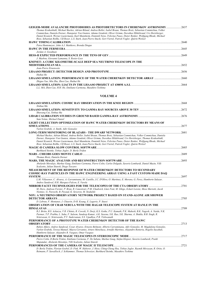| GEIGER-MODE AVALANCHE PHOTODIODES AS PHOTODETECTORS IN CHERENKOV ASTRONOMY                                               | 2637 |
|--------------------------------------------------------------------------------------------------------------------------|------|
| Thomas Krahenbuhl, Michael Backes, Adrian Biland, Andrea Boller, Isabel Braun, Thomas Bretz, Sebastian Commichau, Volker |      |
| Commichau, Daniela Dorner, Hanspeter Von Gunten, Adamo Gendotti, Oliver Grimm, Dorothee Hildebrand, Urs Horisberger,     |      |
| Daniel Kranich, Werner Lustermann, Karl Mannheim, Dominik Neise, Felicitas Pauss, Dieter Renker, Wolfgang Rhode, Michael |      |
| Rissi, Sebastian Rollke, Ulf Roser, L.S. Stark, Jean-Pierre Stucki, Gert Viertel, Patrick Vogler, Ouirin Weitzel         |      |
|                                                                                                                          | 2640 |
| Petra Huntemever, John A.J. Matthews, Brenda Dingus                                                                      |      |
|                                                                                                                          | 2645 |
| Jordan A. Goodman                                                                                                        |      |
|                                                                                                                          | 2649 |
| J. Masbou, Giovanni Lamanna, S. Rosier-Lees                                                                              |      |
| KM3NET: A CUBIC KILOMETRE-SCALE DEEP SEA NEUTRINO TELESCOPE IN THE                                                       |      |
| <b>MEDITERRANEAN SEA</b>                                                                                                 | 2652 |
| Jean-Pierre Ernenwein                                                                                                    |      |
|                                                                                                                          | 2656 |
| Huihai He                                                                                                                |      |
| LHAASO SIMULATION: PERFORMANCE OF THE WATER CHERENKOV DETECTOR ARRAY                                                     | 2660 |
| Zhiguo Yao, Min Zha, Zhen Cao, Huihai He                                                                                 |      |
|                                                                                                                          | 2664 |
| L.L. MA, Zhen Cao, H.H. He, Emiliano Carmona, Masahiro Teshima                                                           |      |

#### **VOLUME 4**

| Xinhua Ma                                                                                                                                                                                                                                                                                                                                                                                                                                                                                        |       |
|--------------------------------------------------------------------------------------------------------------------------------------------------------------------------------------------------------------------------------------------------------------------------------------------------------------------------------------------------------------------------------------------------------------------------------------------------------------------------------------------------|-------|
| Shuwang Cui, Xinhua Ma                                                                                                                                                                                                                                                                                                                                                                                                                                                                           |       |
| Sam Nolan, Michael Daniel                                                                                                                                                                                                                                                                                                                                                                                                                                                                        |       |
| LIGHT COLLECTION OPTIMIZATION OF HAWC WATER CHERENKOV DETECTORS BY MEANS OF                                                                                                                                                                                                                                                                                                                                                                                                                      | 2677  |
| Varlen Grabski, A. Smith, Adiv Gonzalez                                                                                                                                                                                                                                                                                                                                                                                                                                                          |       |
|                                                                                                                                                                                                                                                                                                                                                                                                                                                                                                  |       |
| Michael Backes, Adrian Biland, Andrea Boller, Isabel Braun, Thomas Bretz, Sebastian Commichau, Volker Commichau, Daniela<br>Dorner, Hanspeter Von Gunten, Adamo Gendotti, Oliver Grimm, Dorothee Hildebrand, Urs Horisberger, Thomas Krahenbuhl,<br>Daniel Kranich, Werner Lustermann, Karl Mannheim, Dominik Neise, Felicitas Pauss, Dieter Renker, Wolfgang Rhode, Michael<br>Rissi, Sebastian Rollke, Ulf Roser, L.S. Stark, Jean-Pierre Stucki, Gert Viertel, Patrick Vogler, Quirin Weitzel |       |
|                                                                                                                                                                                                                                                                                                                                                                                                                                                                                                  | 2685  |
| Burkhard Steinke, Tobias Jogler, D. Borla Tridon                                                                                                                                                                                                                                                                                                                                                                                                                                                 |       |
|                                                                                                                                                                                                                                                                                                                                                                                                                                                                                                  | .2689 |
| Thomas Bretz, Daniela Dorner                                                                                                                                                                                                                                                                                                                                                                                                                                                                     |       |
|                                                                                                                                                                                                                                                                                                                                                                                                                                                                                                  | 2693  |
| Abelardo Moralejo, Markus Gaug, Emiliano Carmona, Pierre Colin, Carlos Delgado, Saverio Lombardi, Daniel Mazin, Villi<br>Scalzotto, Julian Sitarek, Diego Tescaro                                                                                                                                                                                                                                                                                                                                |       |
| <b>MEASUREMENT OF THE RESPONSE OF WATER CHERENKOV DETECTORS TO SECONDARY</b>                                                                                                                                                                                                                                                                                                                                                                                                                     |       |
| COSMIC-RAY PARTICLES IN THE HAWC ENGINEERING ARRAY USING A FAST CUSTOM-MADE DAQ                                                                                                                                                                                                                                                                                                                                                                                                                  |       |
|                                                                                                                                                                                                                                                                                                                                                                                                                                                                                                  | 2697  |
| L.M. Villasenor, C. Alvarez, A. Carraminana, M. Castillo, J.C. D'Olivo, O. Martinez, E. Moreno, G. Perez, Humberto Salazar,<br>Andres Sandoval, H.R. Marquez-Falcon, E. Varela                                                                                                                                                                                                                                                                                                                   |       |
| MIRROR FACET TECHNOLOGIES FOR THE TELESCOPES OF THE CTA OBSERVATORY ……………………………………………………………………………………                                                                                                                                                                                                                                                                                                                                                                                             |       |
| M. Doro, Andreas Forster, P. Brun, R. Canestrari, P.M. Chadwick, Lluis Font, M. Ghigo, Eckart Lorenz, Mose Mariotti, Jacek<br>Niemiec, G. Pareschi, B. Peyaud, K. Seweryn, M. Stodulski                                                                                                                                                                                                                                                                                                          |       |
| NOY: A NEUTRINO OBSERVATORY NETWORK PROJECT BASED ON STAND-ALONE AIR SHOWER                                                                                                                                                                                                                                                                                                                                                                                                                      |       |
|                                                                                                                                                                                                                                                                                                                                                                                                                                                                                                  | 2705  |
| D. Lebrun, F. Montanet, J. Chauvin, D-H. Koang, E. Lagorio, P. Stassi                                                                                                                                                                                                                                                                                                                                                                                                                            |       |
| <b>OBSERVATION OF CRAB NEBULA WITH THE HAGAR TELESCOPE SYSTEM AT HANLE IN THE</b>                                                                                                                                                                                                                                                                                                                                                                                                                | 2709  |
| R.J. Britto, B.S. Acharya, V.R. Chitnis, R. Cowsik, N. Dorji, K.S. Gothe, P.U. Kamath, P.K. Mahesh, B.K. Nagesh, A. Naidu, N.K.<br>Parmar, T.P. Prabhu, L. Saha, F. Saleem, Sandeep Kumar, A.K. Saxena, S.K. Rao, S.K. Sharma, A. Shukla, B.B. Singh, R.<br>Srinivasan, G. Srinivasulu, P.V. Sudersanan, S.S. Upadhya, P.R. Vishwanath                                                                                                                                                           |       |
| PERFORMANCE OF A PROTOTYPE WATER CHERENKOV DETECTOR OF THE HAWC                                                                                                                                                                                                                                                                                                                                                                                                                                  |       |
|                                                                                                                                                                                                                                                                                                                                                                                                                                                                                                  | 2713  |
| Ruben Alfaro, Andres Sandoval, Cesar Alvarez, Ernesto Belmont, Alberto Carraminana, Adiv Gonzalez, M. Magdalena Gonzalez,<br>Varlen Grabski, Teresa Manuel, Mayra Cervantez, Arturo Menchaca, Arnulfo Martinez, Alejandro Renteria, Rogelio Sacahuli,<br>Humberto Salazar, Alejandro R. Vasques, Omar Vazquez                                                                                                                                                                                    |       |
|                                                                                                                                                                                                                                                                                                                                                                                                                                                                                                  |       |
| Pierre Colin, D.Borla Tridon, Emiliano Carmona, F. De Sabata, Markus Gaug, Stefan Klepser, Saverio Lombardi, Pratik<br>Majumdar, Abelardo Moralejo, Villi Scalzotto, Julian Sitarek                                                                                                                                                                                                                                                                                                              |       |
|                                                                                                                                                                                                                                                                                                                                                                                                                                                                                                  |       |
| D. Borla Tridon, Florian Goebel, D. Fink, W. Haberer, J. Hose, Ching-Cheng Hsu, Tobias Jogler, Razmik Mirzoyan, R. Orito, O.<br>Reimann, P. Sawallisch, J. Schlammer, Thomas Schweizer, Burkhard Steinke, Masahiro Teshima                                                                                                                                                                                                                                                                       |       |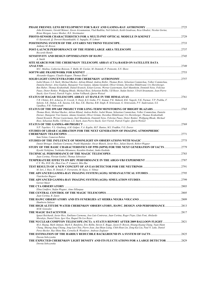| John Krizmanic, Gerald Skinner, Zaven Arzoumanian, Vlad Badilita, Neil Gehrels, Keith Gendreau, Reza Ghodssi, Nicolas Gorius,                                                                                                                                                                                                                                                                                                                                                                                                                                                                 |       |
|-----------------------------------------------------------------------------------------------------------------------------------------------------------------------------------------------------------------------------------------------------------------------------------------------------------------------------------------------------------------------------------------------------------------------------------------------------------------------------------------------------------------------------------------------------------------------------------------------|-------|
| Brian Morgan, Lance Mosher, R.E. Streitmatter                                                                                                                                                                                                                                                                                                                                                                                                                                                                                                                                                 |       |
| O. Kavatsyuk, O. Dorosti-Hasankiadeh, G. Inguglia, H. Lohner                                                                                                                                                                                                                                                                                                                                                                                                                                                                                                                                  |       |
| Anthony M. Brown                                                                                                                                                                                                                                                                                                                                                                                                                                                                                                                                                                              |       |
| Riccardo Rando                                                                                                                                                                                                                                                                                                                                                                                                                                                                                                                                                                                |       |
| A. Smith                                                                                                                                                                                                                                                                                                                                                                                                                                                                                                                                                                                      |       |
| SITE SEARCH FOR THE CHERENKOV TELESCOPE ARRAY (CTA) BASED ON SATELLITE DATA                                                                                                                                                                                                                                                                                                                                                                                                                                                                                                                   |       |
| M.C. Medina, Catherine Boisson, T. Bulik, M. Cieslar, M. Dominik, P. Poinsotte, S.N. Shore                                                                                                                                                                                                                                                                                                                                                                                                                                                                                                    |       |
| Alexander Kappes, Claudio Kopper, Thomas Eberl                                                                                                                                                                                                                                                                                                                                                                                                                                                                                                                                                |       |
|                                                                                                                                                                                                                                                                                                                                                                                                                                                                                                                                                                                               |       |
| Isabel Braun, L.S. Stark, Michael Backes, Adrian Biland, Andrea Boller, Thomas Bretz, Sebastian Commichau, Volker Commichau,<br>Daniela Dorner, Arno Gadola, Hanspeter Von Gunten, Adamo Gendotti, Oliver Grimm, Dorothee Hildebrand, Urs Horisberger,<br>Ben Huber, Thomas Krahenbuhl, Daniel Kranich, Eckart Lorenz, Werner Lustermann, Karl Mannheim, Dominik Neise, Felicitas<br>Pauss, Dieter Renker, Wolfgang Rhode, Michael Rissi, Sebastian Rollke, Ulf Roser, Stefan Steiner, Ulrich Straumann, Jean-Pierre<br>Stucki, Gert Viertel, Patrick Vogler, Achim Vollhardt, Quirin Weitzel |       |
|                                                                                                                                                                                                                                                                                                                                                                                                                                                                                                                                                                                               | .2761 |
| V.R. Chitnis, B.S. Acharya, R. Cowsik, N. Dorji, K.S. Gothe, P.U. Kamat, P.K. Mahesh, B.K. Nagesh, N.K. Parmar, T.P. Prabhu, F.<br>Saleem, S.K. Duhan, A.K. Saxena, S.K. Rao, S.K. Sharma, B.B. Singh, R. Srinivasan, G. Srinivasulu, P.V. Sudersanan, S.S.<br>Upadhya, P.R. Vishwanath                                                                                                                                                                                                                                                                                                       |       |
|                                                                                                                                                                                                                                                                                                                                                                                                                                                                                                                                                                                               | 2765  |
| Thomas Bretz, Michael Backes, Adrian Biland, Andrea Boller, Isabel Braun, Sebastian Commichau, Volker Commichau, Daniela<br>Dorner, Hanspeter Von Gunten, Adamo Gendotti, Oliver Grimm, Dorothee Hildebrand, Urs Horisberger, Thomas Krahenbuhl,<br>Daniel Kranich, Werner Lustermann, Karl Mannheim, Dominik Neise, Felicitas Pauss, Dieter Renker, Wolfgang Rhode, Michael<br>Rissi, Sebastian Rollke, Ulf Roser, L.S. Stark, Jean-Pierre Stucki, Gert Viertel, Patrick Vogler, Quirin Weitzel                                                                                              |       |
|                                                                                                                                                                                                                                                                                                                                                                                                                                                                                                                                                                                               | 2769  |
| N.P. Topchiev, V.L. Ginzburg, A.M. Galper, V.A. Kaplin, M.F. Runtso, M.I. Fradkin, V.G. Zverev<br>STUDIES OF LIDAR CALIBRATION FOR THE NEXT GENERATION OF IMAGING ATMOSPHERIC                                                                                                                                                                                                                                                                                                                                                                                                                 |       |
|                                                                                                                                                                                                                                                                                                                                                                                                                                                                                                                                                                                               |       |
| Sam Nolan, Cameron Rulten                                                                                                                                                                                                                                                                                                                                                                                                                                                                                                                                                                     |       |
|                                                                                                                                                                                                                                                                                                                                                                                                                                                                                                                                                                                               |       |
| Daniel Britzger, Emiliano Carmona, Pratik Majumdar, Oscar Blanch, Javier Rico, Julian Sitarek, Robert Wagner<br>STUDY OF THE BASIC CHARACTERISTICS OF PPD (SIPM) FOR THE NEXT GENERATION OF IACTS2779                                                                                                                                                                                                                                                                                                                                                                                         |       |
| Kyoshi Nishijima, Yoshitaka Mizumura, Kazuhito Kodani, Junko Kushida                                                                                                                                                                                                                                                                                                                                                                                                                                                                                                                          |       |
|                                                                                                                                                                                                                                                                                                                                                                                                                                                                                                                                                                                               |       |
| Juan Cortina, Florian Goebel, Thomas Schweizer                                                                                                                                                                                                                                                                                                                                                                                                                                                                                                                                                |       |
| C.Y. Wu, H.H. He, Zhen Cao, P. Camarri, Min Zha                                                                                                                                                                                                                                                                                                                                                                                                                                                                                                                                               |       |
| M. Iori, J. Russ, H. Denizli, F. Ferrarotto, M. Kaya, A. Yilmaz                                                                                                                                                                                                                                                                                                                                                                                                                                                                                                                               |       |
| Viatcheslav Bugaev                                                                                                                                                                                                                                                                                                                                                                                                                                                                                                                                                                            |       |
| Gernot Maier                                                                                                                                                                                                                                                                                                                                                                                                                                                                                                                                                                                  |       |
| Elina Lindfors, Stefan Wagner, Aimo Sillanpaa                                                                                                                                                                                                                                                                                                                                                                                                                                                                                                                                                 |       |
| Juan Cortina, R. Zanin                                                                                                                                                                                                                                                                                                                                                                                                                                                                                                                                                                        |       |
| Humberto Salazar                                                                                                                                                                                                                                                                                                                                                                                                                                                                                                                                                                              |       |
| M.M. Gonzalez                                                                                                                                                                                                                                                                                                                                                                                                                                                                                                                                                                                 |       |
| Ignasi Reichardt, Javier Rico, Emiliano Carmona, Jose Luis Contreras, Juan Cortina, Roger Firpo, Lluis Font, Abelardo                                                                                                                                                                                                                                                                                                                                                                                                                                                                         |       |
| Moralejo, Daniel Nieto, Igor Oya, Raquel De Los Reyes                                                                                                                                                                                                                                                                                                                                                                                                                                                                                                                                         |       |
| 1821 - THE NUCLEAR COMPTON TELESCOPE (NCT): A STATUS REPORT AFTER 2009 BALLOON FLIGHT<br>M.A. Huang, Mark Amman, Mark E. Bandstra, Eric Bellm, Steven E. Boggs, Jason D. Bowen, Hsiang-Kuang Chang, Yuan-Hann                                                                                                                                                                                                                                                                                                                                                                                 |       |
| Chang, Shueng-Jung Chiang, Jeng-Lun Chiu, Pierre Jean, Jau-Shian Liang, Chih-Hsun Lin, Zong-Kai Liu, Paul N. Luke, Daniel<br>Perez-Becker, Ray-Shine Run, Cornelia B. Wunderer, Andreas Zoglauer                                                                                                                                                                                                                                                                                                                                                                                              |       |
| Dorota Sobczynska                                                                                                                                                                                                                                                                                                                                                                                                                                                                                                                                                                             |       |
| THE EXPECTED CHERENKOV LIGHT DENSITY AND ITS FLUCTUATIONS FOR A LARGE DETECTOR  2829<br>Dorota Sobczynska                                                                                                                                                                                                                                                                                                                                                                                                                                                                                     |       |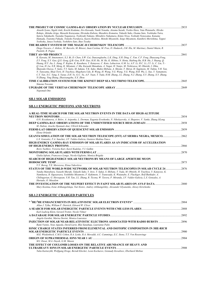|                                                                                                                                     | 2833 |
|-------------------------------------------------------------------------------------------------------------------------------------|------|
| Atsushi Ivono, Sigeki Aoki, Koichi Kodama, Jiro Kawada, Naoki Nonaka, Atsumu Suzuki, Toshio Hara, Yuta Watanabe, Hiroko             |      |
| Rokujo, Akitaka Ariga, Masashi Kazuyama, Hirotaka Kubota, Masahiro Komatsu, Takashi Sako, Osamu Sato, Yoshitaka Taira,              |      |
| Satoru Takahashi, Naotaka Naganawa, Toshiyuki Nakano, Mitsuhiro Nakamura, Kimio Niwa, Yoshiaki Nonoyama, Kaname                     |      |
| Hamada, Tsutomu Fukuda, Tomoko Furukawa, Kaoru Hoshino, Motoki Miyanishi, Seigo Miyamoto, Kunihiro Morishima, Teppei                |      |
| Yoshioka, Junya Yoshida, Yoshihiro Sato, Ikuo Tezuka                                                                                |      |
|                                                                                                                                     | 2837 |
| Diego Tescaro, J. Aleksic, M. Barcelo, M. Bitossi, Juan Cortina, M. Fras, D. Hadasch, J.M. Illa, M. Martinez, Daniel Mazin, R.      |      |
| Paoletti, R. Pegna                                                                                                                  |      |
| <b>TIBET AS+MD PROJECT</b>                                                                                                          | 2841 |
| K. Kawata, M. Amenomori, X.J. Bi, D. Chen, S.W. Cui, Danzengluobu, L.K. Ding, X.H. Ding, C. Fan, C.F. Feng, Zhaoyang Feng,          |      |
| Z.Y. Feng, X.Y. Gao, O.X. Geng, O.B. Gou, H.W. Guo, H.H. He, M. He, K. Hibino, N. Hotta, Haibing Hu, H.B. Hu, J. Huang, O.          |      |
| Huang, H.Y. Jia, L. Jiang, F. Kajino, K. Kasahara, Y. Katayose, C. Kato, Labaciren, G.M. Le, A.F. Li, H.C. Li, J.Y. Li, C. Liu, Y.- |      |
| O. Lou, H. Lu, X.R. Meng, K. Mizutani, J. Mu, Kazuoki Munakata, A. Nagai, H. Nanjo, M. Nishizawa, M. Ohnishi, I. Ohta,              |      |
| Shunsuke Ozawa, T. Saito, T.Y. Saito, M. Sakata, T.K. Sako, Makio Shibata, A. Shiomi, T. Shirai, H. Sugimoto, M. Takita, Y.H. Tan,  |      |
| N. Tateyama, Shoji Torii, H. Tsuchiya, Shigeharu Udo, B. Wang, H. Wang, Y.G. Wang, Y.G. Wang, H.R. Wu, L. Xue, Y. Yamamoto,         |      |
| C.T. Yan, X.C. Yang, S. Yasue, Z.H. Ye, G.C. Yu, A.F. Yuan, T. Yuda, H.M. Zhang, J.L. Zhang, N.J. Zhang, X.Y. Zhang, X.Y. Zhang,    |      |
| Yi Zhang, Ying Zhang, Zhaxisangzhu, X.X. Zhou                                                                                       |      |
| TIME CALIBRATION SYSTEM FOR THE KM3NET DEEP SEA NEUTRINO TELESCOPE                                                                  | 2845 |
| Simona Toscano                                                                                                                      |      |
|                                                                                                                                     | 2849 |
|                                                                                                                                     |      |

*Nepomuk Otte* 

#### **SH.1 SOLAR EMISSIONS**

#### **SH.1.1 ENERGETIC PHOTONS AND NEUTRONS**

| A REAL-TIME SEARCH FOR THE SOLAR NEUTRON EVENTS IN THE DATA OF HIGH-ALTITUDE                                                                                                                                                                                                                                                                                                                                  | $\sim$ 2854 |
|---------------------------------------------------------------------------------------------------------------------------------------------------------------------------------------------------------------------------------------------------------------------------------------------------------------------------------------------------------------------------------------------------------------|-------------|
| O.N. Kryakunova, A. Belov, A. Asipenka, L. Dorman, Eugenia Eroshenko, N. Nikolayevsky, A. Shepetov, V. Yanke, Zhang JiLong                                                                                                                                                                                                                                                                                    |             |
|                                                                                                                                                                                                                                                                                                                                                                                                               | .2858       |
| M. Dalton, Arache Djannati-Atai, Ullrich Schwanke                                                                                                                                                                                                                                                                                                                                                             |             |
|                                                                                                                                                                                                                                                                                                                                                                                                               |             |
| Elena Orlando                                                                                                                                                                                                                                                                                                                                                                                                 |             |
| GEANT4 SIMULATION OF THE SOLAR NEUTRON TELESCOPE (SNT) AT SIERRA NEGRA, MEXICO2862<br>L.X. Gonzalez, F.A. Sanchez, J.F. Valdes-Galicia, Gustavo Medina-Tanco                                                                                                                                                                                                                                                  |             |
| HIGH-ENERGY GAMMA-RAY EMISSION OF SOLAR FLARES AS AN INDICATOR OF ACCELERATION                                                                                                                                                                                                                                                                                                                                |             |
|                                                                                                                                                                                                                                                                                                                                                                                                               | 2866        |
| Boris Yushkov, Victoria Kurt, Karel Kudelay, V.I. Galkin                                                                                                                                                                                                                                                                                                                                                      |             |
|                                                                                                                                                                                                                                                                                                                                                                                                               | 2870        |
| Giulia Iafrate, Francesco Longo, Nicola Giglietto, Monica Brigida                                                                                                                                                                                                                                                                                                                                             |             |
| SEARCH OF HIGH-ENERGY SOLAR NEUTRONS BY MEANS OF LARGE APERTURE MUON                                                                                                                                                                                                                                                                                                                                          |             |
|                                                                                                                                                                                                                                                                                                                                                                                                               | 2873        |
| V.V. Borog, T.E. Morozova, Elena Yakovleva                                                                                                                                                                                                                                                                                                                                                                    |             |
|                                                                                                                                                                                                                                                                                                                                                                                                               |             |
| Yutaka Matsubara, Yasushi Muraki, Takashi Sako, Y. Itow, T. Sakai, S. Shibata, T. Yuda, M. Ohnishi, H. Tsuchiya, Y. Katayose, K.<br>Namikawa, R. Ogasawara, Yoshihiko Mizumoto, F. Kakimoto, Y. Tsunesada, K. Watanabe, E. Fluckiger, Rolf Butikofer, A.<br>Chilingarian, G. Hovsepvan, Y.H. Tan, J.L. Zhang, R. Ticona, W. Tavera, P. Miranda, J.F. Valdes-Galicia, L.X. Gonzalez, A.<br>Hurtado, O. Musalem |             |
|                                                                                                                                                                                                                                                                                                                                                                                                               | 2880        |
| Mary Kostina, Irene Arkhangelskaja, Yuri Kotov, Andrey Arkhangelskiy, Alexander Glyanenko, Alexey Kirichenko                                                                                                                                                                                                                                                                                                  |             |
| <b>SH.1.2 ENERGETIC CHARGED PARTICLES</b>                                                                                                                                                                                                                                                                                                                                                                     |             |
| Allan J. Tylka, William F. Dietrich, Edward W. Cliver                                                                                                                                                                                                                                                                                                                                                         |             |
|                                                                                                                                                                                                                                                                                                                                                                                                               |             |
| Karl-Ludwig Klein, Gerard Trottet, Nicole Vilmer                                                                                                                                                                                                                                                                                                                                                              |             |
|                                                                                                                                                                                                                                                                                                                                                                                                               | .2892       |
| Angela Gardini, Marisa Storini, Monica Laurenza                                                                                                                                                                                                                                                                                                                                                               |             |
| INJECTION OF SOLAR NEAR-RELATIVISTIC ELECTRONS ASSOCIATED WITH RADIO BURSTS                                                                                                                                                                                                                                                                                                                                   | 2896        |
| Rami Vainio, Neus Agueda, David Lario, Blai Sanahuja, Laurianne Palin                                                                                                                                                                                                                                                                                                                                         |             |
| <b>IONIC CHARGE STATES INFERRED FROM ELEMENTAL AND ISOTOPIC COMPOSITION IN 3HE-RICH</b>                                                                                                                                                                                                                                                                                                                       |             |
|                                                                                                                                                                                                                                                                                                                                                                                                               | .2900       |
| M.E. Wiedenbeck, C.M.S. Cohen, R.A. Leske, R.A. Mewaldt, A.C. Cummings, E.C. Stone, T.T. Von Rosenvinge                                                                                                                                                                                                                                                                                                       |             |
|                                                                                                                                                                                                                                                                                                                                                                                                               | .2904       |
|                                                                                                                                                                                                                                                                                                                                                                                                               |             |

**THE EFFECT OF COULOMB LOSSES ON THE RELATIVE ABUNDANCE OF HEAVY AND ULTRAHEAVY IONS IN SOLAR ENERGETIC PARTICLE EVENTS**............................................................................................2908 *Yulia Kartavykh, Wolfgang Droge, Berndt Klecker, Leon Kocharov, Gennady Kovaltsov, Eberhard Mobius* 

*M.I. Desai, M.A. Dayeh, G.M. Mason*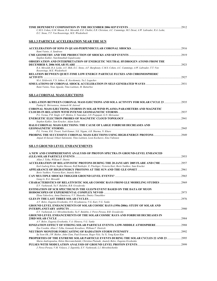| C.M.S. Cohen, G.M. Mason, R.A. Mewaldt, E.E. Chollet, E.R. Christian, A.C. Cummings, M.I. Desai, A.W. Labrador, R.A. Leske,<br>E.C. Stone, T.T. Von Rosenvinge, M.E. Wiedenbeck |  |
|---------------------------------------------------------------------------------------------------------------------------------------------------------------------------------|--|
| <b>SH.1.3 PARTICLE ACCELERATION NEAR THE SUN</b>                                                                                                                                |  |
| Rami Vainio, A. Sandroos                                                                                                                                                        |  |
|                                                                                                                                                                                 |  |
| Stephen Kahler, Natchimuthuk Gopalswamy<br>OBSERVATION AND INTERPRETATION OF ENERGETIC NEUTRAL HYDROGEN ATOMS FROM THE                                                          |  |
| R.A. Mewaldt, R.A. Leske, A.Y. Shih, E.C. Stone, A.F. Barghouty, C.M.S. Cohen, A.C. Cummings, A.W. Labrador, T.T. Von<br>Rosenvinge, M.E. Wiedenbeck                            |  |
| <b>RELATION BETWEEN QUIET-TIME LOW ENERGY PARTICLE FLUXES AND CHROMOSPHERIC</b>                                                                                                 |  |
| M.A. Zeldovich, V.N. Ishkov, K. Kecskemety, Yu.I. Logachev                                                                                                                      |  |
| Rami Vainio, Neus Agueda, Timo Laitinen, M. Battarbee                                                                                                                           |  |
| <b>SH.1.4 CORONAL MASS EJECTIONS</b>                                                                                                                                            |  |
| A RELATION BETWEEN CORONAL MASS EJECTIONS AND SOLA ACTIVITY FOR SOLAR CYCLE 23 2935<br>Pankaj K. Shrivastava, Animesh M. Jaiswal                                                |  |
| CORONAL MASS EJECTIONS, STORMS IN SOLAR WIND PLASMA PARAMETERS AND MAGNETIC                                                                                                     |  |
| P.L. Verma, P.R. Singh, A.P. Mishra, S. Tamrakar, J.D. Prajapati, G.N. Shrivastav                                                                                               |  |
| Stephen Kahler, Sam Krucker, Adam Szabo                                                                                                                                         |  |
| HALO CORONAL MASS EJECTIONS: THE CAUSE OF LARGE FORBUSH DECREASES AND                                                                                                           |  |
| P.L. Verma, R.K. Tiwari, Yash Kumar, S.K. Nigam, A.B. Sharma, N. Khare<br>Amjad Al-Sawad, Oskari Saloniemi, Timo Laitinen, Leon Kocharov, Eino Valtonen                         |  |
| <b>SH.1.5 GROUND LEVEL ENHANCEMENTS</b>                                                                                                                                         |  |
| A NEW AND COMPREHENSIVE ANALYSIS OF PROTON SPECTRA IN GROUND-LEVEL ENHANCED                                                                                                     |  |
| Allan J. Tylka, William F. Dietric                                                                                                                                              |  |
| Karl-Ludwig Klein, Sophie Masson, Rolf Butikofer, E. Fluckiger, Victoria Kurt, Boris Yushkov, Sam Krucker                                                                       |  |
| Boris Yushkov, Victoria Kurt, Anatoly Belov                                                                                                                                     |  |
| Gang Li, R.A. Mewaldt                                                                                                                                                           |  |
| CHARACTERISTICS OF RELATIVISTIC SOLAR COSMIC RAYS FROM GLE MODELING STUDIES 2969<br>E.V. Vashenyuk, Yu.V. Balabin, B.B. Gvozdevsky                                              |  |
| ESTIMATION OF SCR SPECTRUM IN THE GLE#70 EVENT BASED ON THE DATA OF MUON                                                                                                        |  |
| Elena Yakovleva, Anna Dmitrieva, V.V. Shutenko, Dmitry Timashkov                                                                                                                |  |
| A.V. Belov, Eugenia Eroshenko, O.N. Kryakunova, V.G. Kurt, V.G. Yanke                                                                                                           |  |
| <b>GROUND LEVEL ENHANCEMENTS OF SOLAR COSMIC RAYS (1956-2006): STUDY OF SOLAR AND</b><br>E.V. Vashenyuk, L.I. Miroshnichenko, Yu.V. Balabin, J. Perez-Peraza, B.B. Gvozdevsky   |  |
| GROUND LEVEL ENHANCEMENTS OF THE SOLAR COSMIC RAYS AND FORBUSH DECREASES IN                                                                                                     |  |
| A.V. Belov, Eugenia Eroshenko, V.A. Oleneva, V.G. Yanke                                                                                                                         |  |
|                                                                                                                                                                                 |  |
| Ilya Usoskin, Allan J. Tylka, Gennady Kovaltsov, William F. Dietrich                                                                                                            |  |
| Su Yeon Oh, J.W. Bieber, John Clem, Paul Evenson, Roger Pyle, Yu Yi, Yong Kyun Kim                                                                                              |  |
| Maria Andriopoulou, Helen Mavromichalaki, Christina Plainaki, Anatoly Belov, Eugenia Eroshenko                                                                                  |  |

**PULSES WITH MODULATION ANALYSIS OF GROUND LEVEL PROTON EVENTS**..............................................................2999

*J. Perez-Peraza, V.M. Velasco, J. Zapotitla, E.V. Vashenyuk, L.I. Miroshnichenko*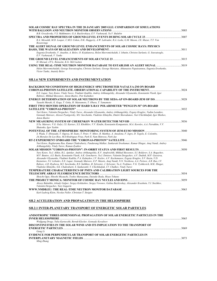| SOLAR COSMIC RAY SPECTRA IN THE 20 JANUARY 2005 GLE: COMPARISON OF SIMULATIONS                                                                                                                                                                                                                                                                                                                                                                                                                                                                                                                                                                                                                                                                           |  |
|----------------------------------------------------------------------------------------------------------------------------------------------------------------------------------------------------------------------------------------------------------------------------------------------------------------------------------------------------------------------------------------------------------------------------------------------------------------------------------------------------------------------------------------------------------------------------------------------------------------------------------------------------------------------------------------------------------------------------------------------------------|--|
| B.B. Gvozdevsky, V.S. Makhmutov, G.A. Bazilevskaya, E.V. Vashenyuk, Yu.V. Balabin                                                                                                                                                                                                                                                                                                                                                                                                                                                                                                                                                                                                                                                                        |  |
|                                                                                                                                                                                                                                                                                                                                                                                                                                                                                                                                                                                                                                                                                                                                                          |  |
| R.A. Mewaldt, M.D. Looper, C.M.S. Cohen, D.K. Haggerty, A.W. Labrador, R.A. Leske, G.M. Mason, J.E. Mazur, T.T. Von<br>Rosenvinge                                                                                                                                                                                                                                                                                                                                                                                                                                                                                                                                                                                                                        |  |
| THE ALERT SIGNAL OF GROUND LEVEL ENHANCEMENTS OF SOLAR COSMIC RAYS: PHYSICS                                                                                                                                                                                                                                                                                                                                                                                                                                                                                                                                                                                                                                                                              |  |
|                                                                                                                                                                                                                                                                                                                                                                                                                                                                                                                                                                                                                                                                                                                                                          |  |
| Eugenia Eroshenko, V. Anashin, A. Belov, O. Krjakunova, Helen Mavromichalaki, I. Ishutin, Christos Sarlanis, G. Souvatsoglo,<br>E.V. Vashenyuk, V. Yanke                                                                                                                                                                                                                                                                                                                                                                                                                                                                                                                                                                                                 |  |
| H. Moraal, J.P.L. Reinecke, K.G. McCracken                                                                                                                                                                                                                                                                                                                                                                                                                                                                                                                                                                                                                                                                                                               |  |
| USING THE REAL-TIME NEUTRON MONITOR DATABASE TO ESTABLISH AN ALERT SIGNAL 3019                                                                                                                                                                                                                                                                                                                                                                                                                                                                                                                                                                                                                                                                           |  |
| Helen Mavromichalaki, George Souvatzoglou, Christos Sarlanis, George Mariatos, Athanasios Papaioannou, Eugenia Eroshenko,<br>Victor Yanke, Anatoly Belov                                                                                                                                                                                                                                                                                                                                                                                                                                                                                                                                                                                                 |  |
| SH.1.6 NEW EXPERIMENTS AND INSTRUMENTATION                                                                                                                                                                                                                                                                                                                                                                                                                                                                                                                                                                                                                                                                                                               |  |
| BACKGROUND CONDITIONS OF HIGH-ENERGY SPECTROMETER NATALYA-2M ON BOARD                                                                                                                                                                                                                                                                                                                                                                                                                                                                                                                                                                                                                                                                                    |  |
|                                                                                                                                                                                                                                                                                                                                                                                                                                                                                                                                                                                                                                                                                                                                                          |  |
| E.E. Lupar, Yury Kotov, Vitaly Yurov, Vladimir Kadilin, Andrey Arkhangelsky, Alexander Glyanenko, Konstantin Vlasik, Igor<br>Rubtsov, Mikhail Bessonov, Anton Buslov, Petr Kalmikov                                                                                                                                                                                                                                                                                                                                                                                                                                                                                                                                                                      |  |
|                                                                                                                                                                                                                                                                                                                                                                                                                                                                                                                                                                                                                                                                                                                                                          |  |
| Yasushi Muraki, K. Koga, T. Goka, H. Matsumoto, T. Obara, T. Yamamoto                                                                                                                                                                                                                                                                                                                                                                                                                                                                                                                                                                                                                                                                                    |  |
| FIRST TWO MONTHS OPERATION OF HARD X-RAY POLARIMETER "PENGUIN-M" ON-BOARD                                                                                                                                                                                                                                                                                                                                                                                                                                                                                                                                                                                                                                                                                |  |
| Yuri Kotov, Valentin Dergachev, Vitaly Yurov, Alexander Glyanenko, Andrey Arkhangelskiy, Evgeny Kruglov, Vadim Lazutkov,<br>Gennady Matveev, Alexsei Pyatigorsky, M.I. Savchenko, Vladislav Khmylko, Dmitri Skorodumov, Yuri Chichikaljuk, Igor Shishov,<br><b>Anton Buslov</b>                                                                                                                                                                                                                                                                                                                                                                                                                                                                          |  |
|                                                                                                                                                                                                                                                                                                                                                                                                                                                                                                                                                                                                                                                                                                                                                          |  |
| S.Yu. Matveev, V.G. Gulyi, I.S. Kartsev, S.S. Khokhlov, V.V. Kindin, Konstantin Kompaniets, M.A. Korolev, A.A. Petrukhin, V.V.<br>Shutenko, Igor Yashin                                                                                                                                                                                                                                                                                                                                                                                                                                                                                                                                                                                                  |  |
|                                                                                                                                                                                                                                                                                                                                                                                                                                                                                                                                                                                                                                                                                                                                                          |  |
| S. Wada, T. Ebisuzaki, T. Ogawa, M. Ssato, T. Peter, V. Mitev, R. Matthey, A. Anzalone, F. Isgro, D. Tegolo, E. Colombo,<br>JA.Morales De Los Rios, M.D.Rodriguez Frias, Park II, Nam Shinwoo, Park Jae                                                                                                                                                                                                                                                                                                                                                                                                                                                                                                                                                  |  |
|                                                                                                                                                                                                                                                                                                                                                                                                                                                                                                                                                                                                                                                                                                                                                          |  |
| Yuri Kotov, Raghurama Rao, Kumar Chakrabarty, Pandurang Malkar, Sankaratti Sreekumar, Kumar Hingar, Anuj Nandi, Andrey<br>Arkhangelskiy, Vitaly Yurov, Roman Zyatkov                                                                                                                                                                                                                                                                                                                                                                                                                                                                                                                                                                                     |  |
|                                                                                                                                                                                                                                                                                                                                                                                                                                                                                                                                                                                                                                                                                                                                                          |  |
| Yury Kotov, Yu.I. Alikin, R.L. Aptekar, Andrey Arkhangelsky, K.V. Anufreichik, Mikhail Bessonov, S.I. Boldyrev, S.A. Bogachev,<br>M.V. Buntov, A.S. Buslo, Konstantin Vlasik, A.K. Goncharov, Yu.I. Denisov, Valentin Dergachev, A.V. Dudnik, M.P. Gassieva,<br>Alexander Glyanenko, Vladimir Kadilin, P.A. Kalmykov, I.V. Kozlov, A.V. Kochemasov, Evgeny Kruglov, S.V. Kuzin, V.D.<br>Kuznetsov, N.I. Lebedev, E.E. Lupar, Gennady Matveev, E.P. Mazets, Anuj Nandi, N.N. Novikova, A.A. Pertsov, A.R. Rao, I.V.<br>Rubsov, A.D. Ryabova, M.I. Savchenko, R.S. Salikhov, B. Sylvester, J. Sylvester, Yu.A. Trofimov, V.G. Tyshkevich, M.K. Hingar,<br>Vladislav Khmylko, S.K. Chakrabarti, S. Sankarattil, Y. Chichikaljuk, I.V. Chulkov, Vitaly Yurov |  |
| TEMPERATURE CHARACTERISTICS OF PMTS AND CALIBRATION LIGHT SOURCES FOR THE                                                                                                                                                                                                                                                                                                                                                                                                                                                                                                                                                                                                                                                                                |  |
|                                                                                                                                                                                                                                                                                                                                                                                                                                                                                                                                                                                                                                                                                                                                                          |  |
| Shoichi Ogio, Hitoshi Miyauchi, Toshio Matsuyama, Daisuke Ikeda, Hisao Tokuno                                                                                                                                                                                                                                                                                                                                                                                                                                                                                                                                                                                                                                                                            |  |
|                                                                                                                                                                                                                                                                                                                                                                                                                                                                                                                                                                                                                                                                                                                                                          |  |
| Alexey Bakaldin, Arkady Galper, Sergey Koldashov, Sergey Voronov, Galina Bazilevskay, Alexander Kvashnin, Y.I. Stozhkov,<br>Valentin Dergachev, Yury Gagarin                                                                                                                                                                                                                                                                                                                                                                                                                                                                                                                                                                                             |  |
|                                                                                                                                                                                                                                                                                                                                                                                                                                                                                                                                                                                                                                                                                                                                                          |  |
| Karl-Ludwig Klein, Nicolas Fuller, Christian T. Steigies                                                                                                                                                                                                                                                                                                                                                                                                                                                                                                                                                                                                                                                                                                 |  |
| <b>SH.2 ACCELERATION AND PROPAGATION IN THE HELIOSPHERE</b>                                                                                                                                                                                                                                                                                                                                                                                                                                                                                                                                                                                                                                                                                              |  |

# **SH.2.1 INTER-PLANETARY TRANSPORT OF ENERGETIC SOLAR PARTICLES**

| ANISOTROPIC THREE-DIMENSIONAL PROPAGATION OF SOLAR ENERGETIC PARTICLES IN THE |        |
|-------------------------------------------------------------------------------|--------|
|                                                                               |        |
| Wolfgang Droge, Yulia Kartavykh, Berndt Klecker, Gennady Kovaltsov            |        |
| DISCONTINUITIES IN THE SOLAR WIND AND ITS IMPLICATION TO THE TRANSPORT OF     |        |
|                                                                               | - 3069 |
| Gane Li                                                                       |        |
| EVIDENCE FOR PERPENDICULAR TRANSPORT OF SOLAR ENERGETIC PARTICLES IN          |        |
|                                                                               |        |
| Ming Zhang                                                                    |        |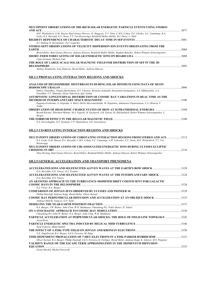| <b>MULTIPOINT OBSERVATIONS OF 3HE-RICH SOLAR ENERGETIC PARTICLE EVENTS USING STEREO</b>                                   |  |
|---------------------------------------------------------------------------------------------------------------------------|--|
|                                                                                                                           |  |
| M.E. Wiedenbeck, G.M. Mason, Raul Gomez-Herrero, D. Haggerty, N.V. Nitta, C.M.S. Cohen, E.E. Chollet, A.C. Cummings, R.A. |  |
| Leske, R.A. Mewaldt, E.C. Stone, T.T. Von Rosenvinge, Reinhold Muller-Mellin, M.I. Desai, U. Mall                         |  |
|                                                                                                                           |  |
| E.I. Daibog, K. Kecskemety, Yu.I. Logachev                                                                                |  |
| STEREO SEPT OBSERVATIONS OF VELOCITY DISPERSION ION EVENTS ORIGINATING FROM THE                                           |  |
|                                                                                                                           |  |
| Bernd Heber, Raul Gomez-Herrero, Andreas Klassen, Reinhold Muller-Mellin, Stephan Bottcher, Robert Wimmer-Schweingruber   |  |
|                                                                                                                           |  |
| Catia Grimani, Michele Fabi                                                                                               |  |
| THE ROLE OF LARGE SCALE SOLAR MAGNETIC FIELD FOR DISTRIBUTION OF SEP IN THE 3D                                            |  |
|                                                                                                                           |  |
|                                                                                                                           |  |

*Aleksey Struminsky, Ivan Zimovets, Bernd Heber, Andreas Klassen* 

#### **SH.2.2 PROPAGATING INTERACTION REGIONS AND SHOCKS**

| ANALYSIS OF HELIOSPHERIC DISTURBANCES DURING SOLAR MINIMUM USING DATA OF MUON                                                                                                   |      |
|---------------------------------------------------------------------------------------------------------------------------------------------------------------------------------|------|
|                                                                                                                                                                                 | 3096 |
| Dmitry Timashkov, Natalia Barbashina, D.V. Chernov, Rostislav Kokoulin, Konstantin Kompaniets, A.S. Mikhaylenko, A.A.<br>Petrukhin, V.V. Shutenko, Elena Yakovleva, Igor Yashin |      |
| ASYMPTOTIC LONGITUDINAL DISTRIBUTION OF COSMIC RAY VARIATIONS IN REAL TIME AS THE                                                                                               |      |
|                                                                                                                                                                                 | 3100 |
| Eugenia Eroshenko, A. Asipenka, A. Belov, Helen Mavromichalaki, M. Papailiou, Athanasios Papaioannou, V.A. Oleneva, V.<br>Yanke                                                 |      |
| Berndt Klecker, Eberhard Mobius, M.A. Popecki, H. Kucharek, A.B. Galvin, M. Hilchenbach, Robert Wimmer-Schweingruber, L.<br>Berger                                              |      |
| P.A. Krivoshapkin, G.F. Krymsky, V.P. Mamrukova, S.K. Gerasimova                                                                                                                | 3108 |

#### **SH.2.3 CO-ROTATING INTERACTION REGIONS AND SHOCKS**

| MULTI-POINT OBSERVATIONS OF COROTATING INTERACTION REGIONS FROM STEREO AND ACE 3112                                     |      |
|-------------------------------------------------------------------------------------------------------------------------|------|
| R.A. Leske, G.M. Mason, R.A. Mewaldt, C.M.S. Cohen, A.C. Cummings, A.W. Labrador, E.C. Stone, M.E. Wiedenbeck, T.T. Von |      |
| Rosenvinge                                                                                                              |      |
| MULTI-POINT OBSERVATIONS OF CIR-ASSOCIATED ENERGETIC IONS DURING ULYSSES ECLIPTIC                                       |      |
|                                                                                                                         | 3116 |

*Nina Dresing, Raul Gomez-Herrero, Bernd Heber, Reinhold Muller-Mellin, Andreas Klassen, Robert Wimmer-Schweingruber* 

#### **SH.2.5 GENERAL ACCELERATION AND TRANSPORT PHENOMENA**

| E.G. Berezhko, S.N. Taneev, K.J. Trattner                                                                                          |      |
|------------------------------------------------------------------------------------------------------------------------------------|------|
|                                                                                                                                    |      |
| E.G. Berezhko, S.N. Taneev                                                                                                         |      |
| AN AB INITIO APPROACH TO THE TURBULENCE-MODIFIED DRIFT COEFFICIENT FOR GALACTIC                                                    |      |
| D.J. Visser, R.A. Burger                                                                                                           | 3128 |
|                                                                                                                                    |      |
| Phillip Dunzlaff, Andreas Kopp, Bernd Heber, Oliver Sternal                                                                        |      |
| Andreas Shalchi, Gang Li, G.P. Zank                                                                                                |      |
|                                                                                                                                    | 3137 |
| R.A. Burger, J.W. Bieber, John Clem, W.H. Matthaeus, Chunsheng Pei, Todor Stanev, H. Yuksel                                        |      |
|                                                                                                                                    |      |
| Chunsheng Pei, John W. Bieber, R.A. Burger, John Clem, W.H. Matthaeus                                                              |      |
| PARTICLE ACCELERATION AT PERPENDICULAR SHOCKS: THE ROLE OF FIELD LINE TOPOLOGY 3142<br>Jozsef Kota                                 |      |
|                                                                                                                                    |      |
| Yurij Fedorov, Milan Stehlik                                                                                                       |      |
| N.E. Engelbrecht, R.A. Burger, S.E.S. Ferreira, M. Hitge                                                                           |      |
|                                                                                                                                    |      |
| Oliver Sternal, R.A. Burger, Phillip Dunzlaff, S.E.S. Ferreira, H. Fichtner, Bernd Heber, Andreas Kopp, K. Scherer, M.S. Potgieter |      |
| VALIDITY RANGE OF THE ESCAPE TERM APPROXIMATION IN THE MOMENTUM DIFFUSION                                                          |      |
|                                                                                                                                    |      |
| Lucas Mochel Michel Octaves                                                                                                        |      |

*Iwona Mochol, Michal Ostrowski*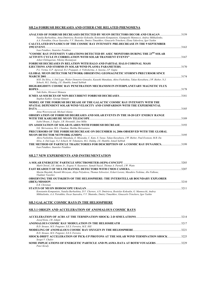#### **SH.2.6 FORBUSH DECREASES AND OTHER CME RELATED PHENOMENA**

| ANALYSIS OF FORBUSH DECREASES DETECTED BY MUON DETECTORS DECOR AND URAGAN3159<br>Natalia Barbashina, Anna Dmitrieva, Rostislav Kokoulin, Konstantin Kompaniets, Giampaolo Mannocci, Andrey Mikhailenko,         |  |
|-----------------------------------------------------------------------------------------------------------------------------------------------------------------------------------------------------------------|--|
| A.A. Petrukhin, Oscar Saavedra, V.V. Shutenko, Dmitry Timashkov, Ginacarlo Trinchero, Elena Yakovleva, Igor Yashin                                                                                              |  |
| <b>CALCULATED DYNAMICS OF THE COSMIC RAY INTENSITY PRE-DECREASE IN THE 9 SEPTEMBER</b>                                                                                                                          |  |
|                                                                                                                                                                                                                 |  |
| Ivan Petukhov, Stanislav Petukhov                                                                                                                                                                               |  |
| "COSMIC RAY INTENSITY VARIATIONS DETECTED BY ASEC MONITORS DURING THE 23RD SOLAR<br>Ashot Chilingarian, Nikolay Bostanjyan                                                                                      |  |
| FORBUSH DECREASES IN RELATION WITH HALO AND PARTIAL HALO CORONAL MASS                                                                                                                                           |  |
|                                                                                                                                                                                                                 |  |
| P.L. Verma, G.P. Agrawal, R.J. Prajapati, A. Vishwkerma, A. Saxena, J.P. Gupta                                                                                                                                  |  |
| <b>GLOBAL MUON DETECTOR NETWORK OBSERVING GEOMAGNETIC STORM'S PRECURSOR SINCE</b>                                                                                                                               |  |
| M.R. Da Silva, A. Dal Lago, Walter Demetrio Gonzalez, Kazuoki Munakata, Akira Fushishita, Takao Kuwabara, J.W. Bieber, N.J.<br>Schuch, M.L. Duldig, J.E. Humble, Ismail Sabbah                                  |  |
| HIGH-RIGIDITY COSMIC RAY PENETRATION MECHANISM IN INTERPLANETARY MAGNETIC FLUX<br>3178                                                                                                                          |  |
| Yuki Kubo, Hironori Shimazu                                                                                                                                                                                     |  |
|                                                                                                                                                                                                                 |  |
| Stephen Kahler, George Simnett                                                                                                                                                                                  |  |
| MODEL OF THE FORBUSH DECREASE OF THE GALACTIC COSMIC RAY INTENSITY WITH THE                                                                                                                                     |  |
| SPATIAL DEPENDENT SOLAR WIND VELOCITY AND COMPARISON WITH THE EXPERIMENTAL                                                                                                                                      |  |
| Anna Wawrzynczak, Michael Alania                                                                                                                                                                                |  |
| <b>OBSERVATION OF FORBUSH DEGREASES AND SOLAR EVENTS IN THE 10-20 GEV ENERGY RANGE</b>                                                                                                                          |  |
|                                                                                                                                                                                                                 |  |
| Isabel Braun, J. Engler, J.R. Horandel, Jens Milke                                                                                                                                                              |  |
|                                                                                                                                                                                                                 |  |
| S.K. Shrivastava, M.L. Chauhan, Shobha Shrivastava                                                                                                                                                              |  |
| PRECURSORS OF THE FORBUSH DECREASE ON DECEMBER 14, 2006 OBSERVED WITH THE GLOBAL                                                                                                                                |  |
|                                                                                                                                                                                                                 |  |
| Akira Fushishita, Kazuoki Munakata, E. Miyasaka, C. Kato, S. Yasue, Takao Kuwabara, J.W. Bieber, Paul Evenson, M.R. Da<br>Silva, A. Dal Lago, N.J. Schuch, M. Tokumaru, M.L. Duldig, J.E. Humble, Ismail Sabbah |  |
| THE METHOD OF PARTICLE TRAJECTORIES FOR DESCRIPTION OF A COSMIC RAY DYNAMICS3199<br>Ivan Petukhov, Stanislav Petukhov                                                                                           |  |
| <b>SH.2.7 NEW EXPERIMENTS AND INSTRUMENTATION</b>                                                                                                                                                               |  |
|                                                                                                                                                                                                                 |  |
|                                                                                                                                                                                                                 |  |
| Mark Christl, J.H. Adams Jr., Evgeny N. Kuznetsov, Samah Nazzel, Thomas A. Parnell, J.W. Watts                                                                                                                  |  |
|                                                                                                                                                                                                                 |  |
| Maxim Shayduk, Razmik Mirzoyan, Alisja Polyakova, Thomas Schweizer, Eckart Lorenz, Masahiro Teshima, Abe Falkone,<br>Vladimir Vassiliev                                                                         |  |
| <b>OBSERVING THE OUTSKIRTS OF THE HELIOSPHERE: THE INTERSTELLAR BOUNDARY EXPLORER</b>                                                                                                                           |  |
|                                                                                                                                                                                                                 |  |

*E.R. Christian*  **STATUS OF MUON HODOSCOPE URAGAN**.......................................................................................................................................3211 *Konstantin Kompaniets, Natalia Barbashina, D.V. Chernov, A.N. Dmitrieva, Rostislav Kokoulin, G. Mannocchi, Andrey Mikhailenko, A.A. Petrukhin, Oscar Saavedra, V.V. Shutenko, Dmitry Timashkov, Ginacarlo Trinchero, Igor Yashin* 

#### **SH.3 GALACTIC COSMIC RAYS IN THE HELIOSPHERE**

#### **SH.3.1 ORIGIN AND ACCELERATION OF ANOMALOUS COSMIC RAYS**

| Jozsef Kota, J.R. Jokipii                                                           |  |
|-------------------------------------------------------------------------------------|--|
|                                                                                     |  |
| R.D. Strauss, M.S. Potgieter, S.E.S. Ferreira, M.E. Hill                            |  |
|                                                                                     |  |
| R.D. Strauss, M.S. Potgieter, S.E.S. Ferreira                                       |  |
| SHOCK-DRIFT ACCELERATION OF PICK-UP PROTONS AT THE SOLAR WIND TERMINATION SHOCK3225 |  |
| Sergei V. Chalov                                                                    |  |
| SOME IMPLICATIONS OF ENERGETIC PARTICLE AND PLASMA DATA AT BOTH VOYAGERS3229        |  |
| Peter Kiraly                                                                        |  |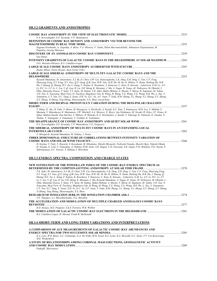#### **SH.3.2 GRADIENTS AND ANISOTROPIES**

| P.A. Krivoshapkin, G.F. Krymsky, V.P. Mamrukova                                                                                                                                                                                                                                                                                                                                                                                                                                                                                                                                                                                                                                                                                                                                                                                                                                                                                                                                                   |       |
|---------------------------------------------------------------------------------------------------------------------------------------------------------------------------------------------------------------------------------------------------------------------------------------------------------------------------------------------------------------------------------------------------------------------------------------------------------------------------------------------------------------------------------------------------------------------------------------------------------------------------------------------------------------------------------------------------------------------------------------------------------------------------------------------------------------------------------------------------------------------------------------------------------------------------------------------------------------------------------------------------|-------|
| DEFINITION OF COSMIC RAY DENSITY AND ANISOTROPY VECTOR BEYOND THE                                                                                                                                                                                                                                                                                                                                                                                                                                                                                                                                                                                                                                                                                                                                                                                                                                                                                                                                 |       |
| Eugenia Eroshenko, A. Asipenka, A. Belov, V.A. Oleneva, V. Yanke, Helen Mavromichalaki, Athanasios Papaioannou, M.<br>Papailou, George Mariatos                                                                                                                                                                                                                                                                                                                                                                                                                                                                                                                                                                                                                                                                                                                                                                                                                                                   |       |
| <b>Gus Sinnis</b>                                                                                                                                                                                                                                                                                                                                                                                                                                                                                                                                                                                                                                                                                                                                                                                                                                                                                                                                                                                 |       |
| INTENSITY GRADIENTS OF GALACTIC COSMIC RAYS IN THE HELIOSPHERE AT SOLAR MAXIMUM 3243<br>O.G. Morales-Olivares, R.A. Caballero-Lopez                                                                                                                                                                                                                                                                                                                                                                                                                                                                                                                                                                                                                                                                                                                                                                                                                                                               |       |
| Rasha Abbasi, Paolo Desiati, Juan Carlos Velez                                                                                                                                                                                                                                                                                                                                                                                                                                                                                                                                                                                                                                                                                                                                                                                                                                                                                                                                                    |       |
| LARGE-SCALE SIDEREAL ANISOTROPY OF MULTI-TEV GALACTIC COSMIC RAYS AND THE                                                                                                                                                                                                                                                                                                                                                                                                                                                                                                                                                                                                                                                                                                                                                                                                                                                                                                                         |       |
| Kazuoki Munakata, M. Amenomori, X.J. Bi, D. Chen, S.W. Cui, Danzengluobu, L.K. Ding, X.H. Ding, C. Fan, C.F. Feng,<br>Zhaoyang Feng, Z.Y. Feng, X.Y. Gao, O.X. Geng, O.B. Gou, H.W. Guo, H.H. He, M. He, K. Hibino, N. Hotta, Haibing Hu, H.B.<br>Hu, J. Huang, O. Huang, H.Y. Jia, L. Jiang, F. Kajino, K. Kasahara, Y. Katayose, C. Kato, K. Kawata, . Labaciren, G.M. Le, A.F.<br>Li, H.C. Li, J.Y. Li, C. Liu, Y.-O. Lou, H. Lu, X.R. Meng, K. Mizutani, J. Mu, A. Nagai, H. Nanjo, M. Nishizawa, M. Ohnishi, I.<br>Ohta, Shunsuke Ozawa, T. Saito, T.Y. Saito, M. Sakata, T.K. Sako, Makio Shibata, A. Shiomi, T. Shirai, H. Sugimoto, M. Takita,<br>Y.H. Tan, N. Tateyama, Shoji Torii, H. Tsuchiya, Shigeharu Udo, B. Wang, H. Wang, Y.G. Wang, Y.G. Wang, H.R. Wu, L. Xue, Y.<br>Yamamoto, C.T. Yan, X.C. Yang, S. Yasue, Z.H. Ye, G.C. Yu, A.F. Yuan, T. Yuda, H.M. Zhang, J.L. Zhang, N.J. Zhang, X.Y. Zhang,<br>X.Y. Zhang, Yi Zhang, Ying Zhang, Zhaxisangzhu, X.X. Zhou, Jozsef Kota |       |
| SHORT-TERM AND DIURNAL PROTON FLUX VARIATION DURING THE BESS-POLAR I BALLOON                                                                                                                                                                                                                                                                                                                                                                                                                                                                                                                                                                                                                                                                                                                                                                                                                                                                                                                      | .3257 |
| T. Hams, K. Abe, H. Fuke, S. Haino, M. Hasegawa, A. Horikoshi, A. Itazaki, K.C. Kim, T. Kumazawa, M.H. Lee, Y. Makida, S.<br>Matsuda, Y. Matsukawa, K. Matsumoto, J.W. Mitchell, A.A. Moiseev, Z. Myers, Jun Nishimura, M. Nozaki, R. Orito, J.F. Ormes, K.<br>Sakai, Makoto Sasaki, Eun-Suk Seo, Y. Shikaze, R. Shinoda, R. E. Streitmatter, J. Suzuki, Y. Takasugi, K. Takeuchi, K. Tanaka, N.<br>Thakur, T. Yamagami, A. Yamamoto, T. Yoshida, K. Yoshimura                                                                                                                                                                                                                                                                                                                                                                                                                                                                                                                                    |       |
| P.A. Krivoshapkin, G.F. Krymsky, V.P. Mamrukova, V.G. Grigoryev                                                                                                                                                                                                                                                                                                                                                                                                                                                                                                                                                                                                                                                                                                                                                                                                                                                                                                                                   |       |
| THE SIDEREAL ANISOTROPY OF MULTI-TEV COSMIC RAYS IN AN EXPANDING LOCAL                                                                                                                                                                                                                                                                                                                                                                                                                                                                                                                                                                                                                                                                                                                                                                                                                                                                                                                            |       |
| Y. Mizoguchi, Kazuoki Munakata, M. Takitay, J. Kotaz                                                                                                                                                                                                                                                                                                                                                                                                                                                                                                                                                                                                                                                                                                                                                                                                                                                                                                                                              |       |
| THREE DIMENSIONAL STRUCTURE OF CORRELATIONS BETWEEN INTENSITY VARIATION OF                                                                                                                                                                                                                                                                                                                                                                                                                                                                                                                                                                                                                                                                                                                                                                                                                                                                                                                        |       |
| H. Kojima, T. Fujii, Y. Hayashi, S. Kawakami, M. Minamino, Hitoshi Miyauchi, Toshiyuki Nonaka, Shoichi Ogio, Takeshi Okuda,<br>H. Tanaka, E. Usui, Y. Yamashita, A. Oshima, H.M. Antia, S.R. Dugad, U.D. Goswami, S.K. Gupta, P.K. Mohanty, P.K. Nayak, P.<br>Subramanian, S.C. Tonwar, S. Shibata, I. Morishita                                                                                                                                                                                                                                                                                                                                                                                                                                                                                                                                                                                                                                                                                  |       |
| SH.3.3 ENERGY SPECTRA, COMPOSITION AND CHARGE STATES                                                                                                                                                                                                                                                                                                                                                                                                                                                                                                                                                                                                                                                                                                                                                                                                                                                                                                                                              |       |
| NEW ESTIMATION OF THE POWER-LAW INDEX OF THE COSMIC-RAY ENERGY SPECTRUM AS                                                                                                                                                                                                                                                                                                                                                                                                                                                                                                                                                                                                                                                                                                                                                                                                                                                                                                                        |       |
| T.K. Sako, M. Amenomori, X.J. Bi, D. Chen, S.W. Cui, Danzengluobu, L.K. Ding, X.H. Ding, C. Fan, C.F. Feng, Zhaoyang Feng,<br>Z.Y. Feng, X.Y. Gao, O.X. Geng, O.B. Gou, H.W. Guo, H.H. He, M. He, K. Hibino, N. Hotta, Haibing Hu, H.B. Hu, J. Huang, O.<br>Huang, H.Y. Jia, L. Jiang, F. Kajino, K. Kasahara, Y. Katayose, C. Kato, K. Kawata, . Labaciren, G.M. Le, A.F. Li, H.C. Li, J.Y.                                                                                                                                                                                                                                                                                                                                                                                                                                                                                                                                                                                                      |       |
| Li, C. Liu, Y.-O. Lou, H. Lu, X.R. Meng, K. Mizutani, J. Mu, Kazuoki Munakata, A. Nagai, H. Nanjo, M. Nishizawa, M. Ohnishi, I.<br>Ohta, Shunsuke Ozawa, T. Saito, T.Y. Saito, M. Sakata, Makio Shibata, A. Shiomi, T. Shirai, H. Sugimoto, M. Takita, Y.H. Tan, N.<br>Tateyama, Shoji Torii, H. Tsuchiya, Shigeharu Udo, B. Wang, H. Wang, Y.G. Wang, Y.G. Wang, H.R. Wu, L. Xue, Y. Yamamoto,                                                                                                                                                                                                                                                                                                                                                                                                                                                                                                                                                                                                   |       |
| C.T. Yan, X.C. Yang, S. Yasue, Z.H. Ye, G.C. Yu, A.F. Yuan, T. Yuda, H.M. Zhang, J.L. Zhang, N.J. Zhang, X.Y. Zhang, X.Y. Zhang,<br>Yi Zhang, Ying Zhang, Zhaxisangzhu, X.X. Zhou                                                                                                                                                                                                                                                                                                                                                                                                                                                                                                                                                                                                                                                                                                                                                                                                                 |       |
| V.E. Timofeev, L.I. Miroshnichenko, N.G. Skryabin                                                                                                                                                                                                                                                                                                                                                                                                                                                                                                                                                                                                                                                                                                                                                                                                                                                                                                                                                 |       |
| THE ACCELERATION AND MODULATION OF MULTIPLE CHARGED ANOMALOUS COSMIC RAYS                                                                                                                                                                                                                                                                                                                                                                                                                                                                                                                                                                                                                                                                                                                                                                                                                                                                                                                         |       |
| R.D. Strauss, M.S. Potgieter, S.E.S. Ferreira, W.R. Webber<br>R.A. Caballero-Lopez, H. Moraal, Frank B. McDonald                                                                                                                                                                                                                                                                                                                                                                                                                                                                                                                                                                                                                                                                                                                                                                                                                                                                                  |       |
| <b>SH.3.4 SHORT-TERM AND LONG-TERM VARIATIONS AND INTERPRETATIONS</b>                                                                                                                                                                                                                                                                                                                                                                                                                                                                                                                                                                                                                                                                                                                                                                                                                                                                                                                             |       |
| A COMPARISON OF ACE MEASUREMENTS OF GALACTIC COSMIC-RAY ABUNDANCES AND                                                                                                                                                                                                                                                                                                                                                                                                                                                                                                                                                                                                                                                                                                                                                                                                                                                                                                                            |       |
| K.A. Lave, W.R. Binns, A.C. Cummings, G.A. De Nolfo, M.H. Israel, R.A. Leske, R.A. Mewaldt, E.C. Stone, T.T. Von Rosenvinge,<br>M.E. Wiedenbeck                                                                                                                                                                                                                                                                                                                                                                                                                                                                                                                                                                                                                                                                                                                                                                                                                                                   |       |
| A STUDY OF RELATIONSHIPS AMONG CORONAL MASS EJECTIONS, GEOMAGNETIC ACTIVITY<br>PankajK. Shrivastava                                                                                                                                                                                                                                                                                                                                                                                                                                                                                                                                                                                                                                                                                                                                                                                                                                                                                               |       |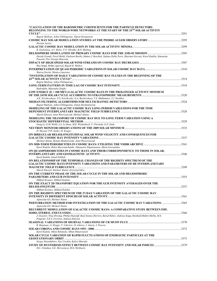| "CALCULATION OF THE BAROMETRIC COEFFICIENTS FOR THE PARTICLE DETECTORS<br>BELONGING TO THE WORLD-WIDE NETWORKS AT THE START OF THE 24TH SOLAR ACTIVITY                                                                                            |  |
|---------------------------------------------------------------------------------------------------------------------------------------------------------------------------------------------------------------------------------------------------|--|
| Bagrat Mailyan, Ashot Chilingarian, Tigran Karapetyan<br>Hernan Asorey                                                                                                                                                                            |  |
| R. Gushchina, A.V. Belov, V.N. Obridko, B.D. Shelting                                                                                                                                                                                             |  |
| Davide Grandi, Pavol Bobik, Giuliano Boella, Matteo J. Boschini, Stefano Della Torre, Massimo Gervasi, Karel Kudela, Simonetta<br>Pensotti, Pier Giorgio Rancoita                                                                                 |  |
| Rita Singh, Rekha Agarwal, Rajesh K. Mishra                                                                                                                                                                                                       |  |
| Marisa Storini, Monica Laurenza                                                                                                                                                                                                                   |  |
| "INVESTIGATION OF DAILY VARIATIONS OF COSMIC RAY FLUXES IN THE BEGINNING OF THE<br>Bagrat Mailyan, Ashot Chilingarian                                                                                                                             |  |
| Badruddin, Munendra Singhy                                                                                                                                                                                                                        |  |
| LOW ENERGY (E > 100 MEV) GALACTIC COSMIC RAYS IN THE PROLONGED ACTIVITY MINIMUM                                                                                                                                                                   |  |
| A.K. Svirzhevskaya, N.S. Svirzhevsky, G.A. Bazilevskaya, V.S. Makhmutov, Y.I. Stozhkov                                                                                                                                                            |  |
| Bagrat Mailyan, Ashot Chilingarian, Armen Hovhannisyan                                                                                                                                                                                            |  |
| <b>MODELING OF THE GALACTIC COSMIC RAY LONG-PERIOD VARIATIONS FOR THE TIME</b><br>Marek Siluszyk, Anna Wawrzynczak, Michael Alania                                                                                                                |  |
| MODELING THE TRANSPORT OF COSMIC RAY DUE TO LONG TERM VARIATION USING A<br>Gang Li, G.M. Webb, J.A. Le Roux, M.E. Wiedenbeck, V. Florinski, G.P. Zank                                                                                             |  |
|                                                                                                                                                                                                                                                   |  |
| H. Moraal, P.H. Stoker, H. Kruger<br>ON IRREGULAR HELIOLONGITUDINAL SOLAR WIND VELOCITY AND CONSEOUENCES FOR                                                                                                                                      |  |
| Michael Alania, Renata Modzelewska, Anna Wawrzynczak                                                                                                                                                                                              |  |
| Karel Kudela, Helen Mavromichalaki, Athanasios Papaioannou, Maria Gerontidou<br>ON QUASIPERIODICITIES IN COSMIC RAYS AND THEIR CORRESPONDENCE TO THOSE IN SOLAR,                                                                                  |  |
| Karel Kudela, Ismail Sabbah<br>ON RELATIONSHIP OF THE TEMPORAL CHANGES OF THE RIGIDITY SPECTRUM OF THE<br><b>GALACTIC COSMIC RAYS INTENSITY VARIATIONS AND PARAMETERS OF HE INTERPLANETARY</b><br>Marek Siluszyk, Michael Alania, Krzysztof Iskra |  |
| ON THE CURRENT PHASE OF THE SOLAR CYCLE IN THE SOLAR AND HELIOSPHERIC                                                                                                                                                                             |  |
| Mikhail Krainev, Mikhail Kalinin                                                                                                                                                                                                                  |  |
| ON THE EXACT 2D TRANSPORT EQUATION FOR THE GCR INTENSITY AVERAGED OVER THE<br>Mikhail Krainev, Mikhail Kalinin                                                                                                                                    |  |
| ON THE RIGIDITY SPECTRUM OF THE 27-DAY VARIATION OF THE GALACTIC COSMIC RAY                                                                                                                                                                       |  |
| Agnieszka Gil, Michael Alania                                                                                                                                                                                                                     |  |
| PERTURBATION METHOD FOR INVESTIGATION OF THE GALACTIC COSMIC RAY VARIATIONS 3365<br>Agnieszka Gil, Michael Alania                                                                                                                                 |  |
| RECURRENT MODULATION OF GALACTIC COSMIC RAYS: A COMPARATIVE STUDY BETWEEN IMP,                                                                                                                                                                    |  |
| J. Gieseler, Nina Dresing, Phillip Dunzlaff, Raul Gomez-Herrero, Bernd Heber, Andreas Kopp, Reinhold Muller-Mellin, M.S.<br>Potgieter, S.E.S. Ferreira, Andreas Klassen                                                                           |  |
| R. Banjanac, A. Dragic, V. Udovicic, D. Jokovic, I. Anicin, J. Puzovic                                                                                                                                                                            |  |
| Karel Kudela, Milan Rybansky, Milan Minarovjech                                                                                                                                                                                                   |  |
| SOLAR CYCLE VARIATION OF RAPID FLUCTUATIONS OF ENERGETIC PARTICLES AT THE                                                                                                                                                                         |  |
| Sergey Starodubtsev, Ilya Usoskin, Kalevi Mursula<br>STUDY OF HYSTERESIS EFFECT BETWEEN COSMIC RAY INTENSITY AND SOLAR INDICES 379<br>M.L. Chauhan, S.K. Shrivastava, M.K. Richharia                                                              |  |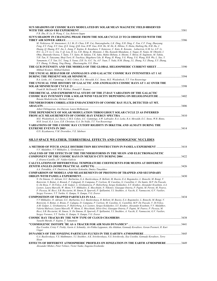| F.R. Zhu, H. Lu, B. Wang, C. Liu, Roberto Iuppa                                                                                                                                                                                                                       |       |
|-----------------------------------------------------------------------------------------------------------------------------------------------------------------------------------------------------------------------------------------------------------------------|-------|
| SUN'S SHADOW IN CHANGING PHASE FROM THE SOLAR CYCLE 23 TO 24 OBSERVED WITH THE                                                                                                                                                                                        |       |
|                                                                                                                                                                                                                                                                       | .3386 |
| M. Nishizawa, M. Amenomori, X.J. Bi, D. Chen, S.W. Cui, Danzengluobu, L.K. Ding, X.H. Ding, C. Fan, C.F. Feng, Zhaoyang                                                                                                                                               |       |
| Feng, Z.Y. Feng, X.Y. Gao, O.X. Geng, O.B. Gou, H.W. Guo, H.H. He, M. He, K. Hibino, N. Hotta, Haibing Hu, H.B. Hu, J.<br>Huang, O. Huang, H.Y. Jia, L. Jiang, F. Kajino, K. Kasahara, Y. Katayose, C. Kato, K. Kawata, . Labaciren, G.M. Le, A.F. Li,                |       |
| H.C. Li, J.Y. Li, C. Liu, Y.-O. Lou, H. Lu, X.R. Meng, K. Mizutani, J. Mu, Kazuoki Munakata, A. Nagai, H. Nanjo, M. Ohnishi, I.                                                                                                                                       |       |
| Ohta, Shunsuke Ozawa, T. Saito, T.Y. Saito, M. Sakata, T.K. Sako, Makio Shibata, A. Shiomi, T. Shirai, H. Sugimoto, M. Takita,                                                                                                                                        |       |
| Y.H. Tan, N. Tateyama, Shoji Torii, H. Tsuchiya, Shigeharu Udo, B. Wang, H. Wang, Y.G. Wang, Y.G. Wang, H.R. Wu, L. Xue, Y.                                                                                                                                           |       |
| Yamamoto, C.T. Yan, X.C. Yang, S. Yasue, Z.H. Ye, G.C. Yu, A.F. Yuan, T. Yuda, H.M. Zhang, J.L. Zhang, N.J. Zhang, X.Y. Zhang,                                                                                                                                        |       |
| X.Y. Zhang, Yi Zhang, Ying Zhang, . Zhaxisangzhu, X.X. Zhou                                                                                                                                                                                                           |       |
| THE GCR INTENSITY AND THE MODELS OF THE GLOBAL HELIOSPHERIC CURRENT SHEET3390<br>Mikhail Krainev. Mikhail Kalinin                                                                                                                                                     |       |
| THE UNUSUAL BEHAVIOR OF ANOMALOUS AND GALACTIC COSMIC RAY INTENSITIES AT 1 AU                                                                                                                                                                                         |       |
|                                                                                                                                                                                                                                                                       |       |
| R.A. Leske, A.C. Cummings, C.M.S. Cohen, R.A. Mewaldt, E.C. Stone, M.E. Wiedenbeck, T.T. Von Rosenvinge                                                                                                                                                               |       |
| THE UNUSUAL TIME HISTORY OF GALACTIC AND ANOMALOUS COSMIC RAYS AT 1 AU OVER THE                                                                                                                                                                                       |       |
|                                                                                                                                                                                                                                                                       |       |
| Frank B. McDonald, W.R. Webber, Donald V. Reames                                                                                                                                                                                                                      |       |
| THEORETICAL AND EXPERIMENTAL STUDY OF THE 27-DAY VARIATION OF THE GALACTIC                                                                                                                                                                                            |       |
| COSMIC RAY INTENSITY FOR A SOLAR WIND VELOCITY DEPENDING ON HELIOLONGITUDE                                                                                                                                                                                            | .3402 |
| Renata Modzelewska, Michael Alania                                                                                                                                                                                                                                    |       |
| THUNDERSTORM CORRELATED ENHANCEMENTS OF COSMIC RAY FLUX, DETECTED AT MT.                                                                                                                                                                                              |       |
|                                                                                                                                                                                                                                                                       | .3406 |
| Ashot Chilingarian, Ara Daryan, Laura Melkumyan                                                                                                                                                                                                                       |       |
| TIME DEPENDENCE OF SOLAR MODULATION THROUGHOUT SOLAR CYCLE 23 AS INFERRED                                                                                                                                                                                             |       |
|                                                                                                                                                                                                                                                                       | .3410 |
| M.E. Wiedenbeck, A.J. Davis, C.M.S. Cohen, A.C. Cummings, A.W. Labrador, R.A. Leske, R.A. Mewaldt, E.C. Stone, W.R. Binns,<br>M.H. Israel, K.A. Lave, E.R. Christian, G.A. De Nolfo, T.T. Von Rosenvinge                                                              |       |
| VARIATIONS OF THE COSMIC RAY CUTOFF RIGIDITY IN IRKUTSK AND ALMATY DURING THE                                                                                                                                                                                         |       |
|                                                                                                                                                                                                                                                                       |       |
| O.N. Kryakunova, V.M. Dvornikov, V.E. Sdobnov                                                                                                                                                                                                                         |       |
|                                                                                                                                                                                                                                                                       |       |
|                                                                                                                                                                                                                                                                       |       |
| <u>SH.3.5 SPACE WEATHER, TERRESTRIAL EFFECTS AND COSMOGENIC NUCLIDES</u>                                                                                                                                                                                              |       |
| A METHOD OF PITCH ANGLE DISTRIBUTION RECONSTRUCTION IN PAMELA EXPERIMENT 3418                                                                                                                                                                                         |       |
| V.V. Malakhov, V.V Mikhailov, L. Grishantseva                                                                                                                                                                                                                         |       |
| ANALYSIS OF THE EFFECTS OF THE THUNDERSTORMS IN THE MUON AND ELECTROMAGNETIC                                                                                                                                                                                          |       |
|                                                                                                                                                                                                                                                                       |       |
|                                                                                                                                                                                                                                                                       | .3422 |
| J. Alvarez-Castillo, J.F. Valdes-Galicia                                                                                                                                                                                                                              |       |
| CALCULATIONS OF DIFFERENTIAL TEMPERATURE COEFFICIENTS FOR MUONS AT DIFFERENT                                                                                                                                                                                          |       |
|                                                                                                                                                                                                                                                                       | 3426  |
| A.A. Petrukhin, A.N. Dmitrieva, Rostislav Kokoulin, Dmitry Timashkov                                                                                                                                                                                                  |       |
| <b>COMPARISON OF MODELS AND MEASUREMENTS OF PROTONS OF TRAPPED AND SECONDARY</b>                                                                                                                                                                                      |       |
|                                                                                                                                                                                                                                                                       | 3430  |
| N. De Simone, O. Adriani, G.C. Barbarino, G.A. Bazilevskaya, R. Bellotti, M. Boezio, E.A. Bogomolov, L. Bonechi, M. Bongi, V.                                                                                                                                         |       |
| Bonvicini, S. Bottai, A. Brunok, F. Cafagnak, D. Campana, P. Carlson, M. Casolino, G. Castellini, C. De Santis, M.P. De Pascale,                                                                                                                                      |       |
| G. De Rosa, V. Di Felice, A.M. Galper, L. Grishantseva, P. Hofverberg, Sergey Koldashov, S.Y. Krutkov, Alexander Kvashnin, A.A.<br>Leonov, Laura Marcelli, W. Menn, V.V. Mikhailov, E. Mocchiutti, N. Nikonov, Giuseppe Osteria, P. Papini, M. Peroni, M. Pearce,     |       |
| P. Picozza, M. Ricci, S.B. Ricciarini, M. Simon, R. Sparvoli, P. Spillantini, Y.I. Stozhkov, A. Vacchi, E. Vannuccini, G.V. Vasiliev,                                                                                                                                 |       |
| Sergey Voronov, Y.T. Yurkin, G. Zampa, N. Zampa, V.G. Zverev                                                                                                                                                                                                          |       |
|                                                                                                                                                                                                                                                                       | .3434 |
| V.V Mikhailov, O. Adriani, G.C. Barbarino, G.A. Bazilevskaya, R. Bellotti, M. Boezio, E.A. Bogomolov, L. Bonechi, M. Bongi, V.                                                                                                                                        |       |
| Bonvicini, S. Bottai, A. Bruno, F. Cafagna, D. Campana, P. Carlson, M. Casolino, G. Castellini, M.P. De Pascale, V. Di Felice,                                                                                                                                        |       |
| A.M. Galper, L. Grishantseva, P. Hofverberg, A.A. Leonov, Sergey Koldashov, S.Y. Krutkov, Alexander Kvashnin, V.V. Malakhov,                                                                                                                                          |       |
| Valeria Malvezzi, Laura Marcelli, W. Menn, E. Mocchiutti, Silvio Orsi, Giuseppe Osteria, P. Papini, M. Pearce, P. Picozza, M.<br>Ricci, S.B. Ricciarini, M. Simon, N. De Simone, R. Sparvoli, P. Spillantini, Y.I. Stozhkov, A. Vacchi, E. Vannuccini, G.V. Vasiliev, |       |
| Sergey Voronov, Y.T. Yurkin, G. Zampa, N. Zampa, V.G. Zverev                                                                                                                                                                                                          |       |
|                                                                                                                                                                                                                                                                       |       |
| Yasushi Muraki, F. Kajino, T. Yamamoto                                                                                                                                                                                                                                |       |
|                                                                                                                                                                                                                                                                       |       |
| Ilya Usoskin, Cristy V. Fieldy, Gavin A. Schmidty, Ari-Pekka Leppanen, Ala Aldahan, Gennady Kovaltsov, Goran Possnert, R. Kurt                                                                                                                                        |       |
| Ungar                                                                                                                                                                                                                                                                 |       |
| DYNAMICS OF THE IONIZING PARTICLES FLUXES IN THE EARTH'S ATMOSPHERE ……………………………………………………………………………………                                                                                                                                                                  |       |
| G.A. Bazilevskaya, V.S. Makhmutov, Y.I. Stozhkov, A.K. Svirzhevskaya, N.S. Svirzhevsky, Ilya Usoskin, Gennady Kovaltsov, Terry<br>Sloan                                                                                                                               |       |
| EFFECTS OF DIFFERENT ATMOSPHERIC PROFILES ON IONIZATION IN THE EARTH ATMOSPHERE 3449                                                                                                                                                                                  |       |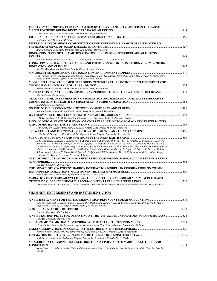| ELECTRON AND PROTON FLUXES MEASURED BY THE ARINA SPECTROMETER IN THE EARTH                                                                                                                                                                                                                                                                                                                                                                                                                                                                                                                                                                                                                                                                                                                                               | 3453  |
|--------------------------------------------------------------------------------------------------------------------------------------------------------------------------------------------------------------------------------------------------------------------------------------------------------------------------------------------------------------------------------------------------------------------------------------------------------------------------------------------------------------------------------------------------------------------------------------------------------------------------------------------------------------------------------------------------------------------------------------------------------------------------------------------------------------------------|-------|
| L. Grishantseva, M.A. Bzheumikhova, A.M. Galper, Sergey Koldashov                                                                                                                                                                                                                                                                                                                                                                                                                                                                                                                                                                                                                                                                                                                                                        |       |
| Badruddin, O.P.M. Aslam, M. Singh                                                                                                                                                                                                                                                                                                                                                                                                                                                                                                                                                                                                                                                                                                                                                                                        |       |
| INVESTIGATION OF MINOR COMPONENTS OF THE TERRESTRIAL ATMOSPHERE RELATED TO                                                                                                                                                                                                                                                                                                                                                                                                                                                                                                                                                                                                                                                                                                                                               |       |
| Angela Gardini, Alessandro Damiani, Monica Laurenza, Marisa Storini                                                                                                                                                                                                                                                                                                                                                                                                                                                                                                                                                                                                                                                                                                                                                      |       |
| <b>IONISATION STATE OF THE EARTH'S STRATOSPHERE DURING POWERFUL SOLAR PROTON</b>                                                                                                                                                                                                                                                                                                                                                                                                                                                                                                                                                                                                                                                                                                                                         | 3463  |
| V.S. Makhmutov, G.A. Bazilevskaya, Y.I. Stozhkov, N.S. Svirzhevsky, A.K. Svirzhevskaya                                                                                                                                                                                                                                                                                                                                                                                                                                                                                                                                                                                                                                                                                                                                   |       |
| LONG-TERM GEOMAGNETIC CHANGES AND THEIR POSSIBLE ROLE IN REGIONAL ATMOSPHERIC                                                                                                                                                                                                                                                                                                                                                                                                                                                                                                                                                                                                                                                                                                                                            | .3467 |
| Ilya Usoskin, Gennady Kovaltsov, Monika Kortez, Irina A. Mironova                                                                                                                                                                                                                                                                                                                                                                                                                                                                                                                                                                                                                                                                                                                                                        |       |
|                                                                                                                                                                                                                                                                                                                                                                                                                                                                                                                                                                                                                                                                                                                                                                                                                          |       |
| Patricia Goncalves, Ana Keating, Sara Valente, Pete Truscott, Fan Lei, Laurent Desorgher, Daniel Heynderickx, Norma Crosby,<br>Hilde WittDe, Gerald Degreef, Petteri Nieminen, Giovanni Santin                                                                                                                                                                                                                                                                                                                                                                                                                                                                                                                                                                                                                           |       |
| MODELING THE NORTH HEMISPHERE SURFACE TEMPERATURE INTRODUCING THE EFFECTS OF                                                                                                                                                                                                                                                                                                                                                                                                                                                                                                                                                                                                                                                                                                                                             | .3475 |
| Blanca Mendoza, Victor Manuel Mendoza, Rene Garduno, Julian Adem                                                                                                                                                                                                                                                                                                                                                                                                                                                                                                                                                                                                                                                                                                                                                         |       |
| MODULATION SIGNATURES ON COSMIC-RAY PERIODICITIES BEFORE A FORBUSH DECREASE3478<br>Marisa Storini, Piero Diegov                                                                                                                                                                                                                                                                                                                                                                                                                                                                                                                                                                                                                                                                                                          |       |
| NEAR REAL-TIME DETERMINATION OF IONIZATION AND RADIATION DOSE RATES INDUCED BY                                                                                                                                                                                                                                                                                                                                                                                                                                                                                                                                                                                                                                                                                                                                           |       |
| Rolf Butikofer, E. Fluckiger                                                                                                                                                                                                                                                                                                                                                                                                                                                                                                                                                                                                                                                                                                                                                                                             |       |
|                                                                                                                                                                                                                                                                                                                                                                                                                                                                                                                                                                                                                                                                                                                                                                                                                          |       |
| Anatoly Erlykin, Gyula Gyalai, Karel Kudela, Terry Sloan, Arnold Wolfendale                                                                                                                                                                                                                                                                                                                                                                                                                                                                                                                                                                                                                                                                                                                                              |       |
|                                                                                                                                                                                                                                                                                                                                                                                                                                                                                                                                                                                                                                                                                                                                                                                                                          |       |
| D.M. Gromushkin, V.V. Alekseenko, I.B. Khatsukov, A.A. Petrukhin, Yu.V. Stenkin, Igor Yashin                                                                                                                                                                                                                                                                                                                                                                                                                                                                                                                                                                                                                                                                                                                             |       |
| PHYSIOLOGICAL STATE OF SLOVAK AVIATORS IN RELATION TO GEOMAGNETIC DISTURBANCES                                                                                                                                                                                                                                                                                                                                                                                                                                                                                                                                                                                                                                                                                                                                           |       |
| Maria Papailiou, Helen Mavromichalaki, Karel Kudela, Jana Stetiarova, Svetla Dimitrova                                                                                                                                                                                                                                                                                                                                                                                                                                                                                                                                                                                                                                                                                                                                   |       |
|                                                                                                                                                                                                                                                                                                                                                                                                                                                                                                                                                                                                                                                                                                                                                                                                                          |       |
| V. Yanke, M. Berkova, V. Korotkov, M. Basalayev, A. Belov, Eugenia Eroshenko, K. Yudachin                                                                                                                                                                                                                                                                                                                                                                                                                                                                                                                                                                                                                                                                                                                                |       |
| L. Grishantseva, O. Adriani, G. Barbarino, G.A. Bazilevskaya, R. Bellotti, M. Boezio, E.A. Bogomolov, L. Bonechi, M. Bongi, V.<br>Bonvicini, S.V. Borisov, S. Bottai, A. Bruno, F. Cafagna, D. Campana, P. Carlson, M. Casolino, G. Castellini, M.P. De Pascale, V.<br>Di Felice, A.M. Galper, P. Hofverberg, A.A. Leonov, Sergey Koldashov, S.Y. Krutkov, Alexander Kvashnin, V.V. Malakhov, Valeria<br>Malvezzi, Laura Marcelli, W. Menn, V.V. Mikhailov, E. Mocchiutti, Giuseppe Osteria, P. Papini, M. Pearce, P. Picozza, M. Ricci,<br>S. Ricciarini, M. Simon, N. SimoneDe, R. Sparvoli, P. Spillantini, Y.I. Stozhkov, A. Vacchi, E. Vannuccini, G.V. Vasiliev, Sergey<br>Voronov, Y.T. Yurkin, G. Zampa, N. Zampa, V.G. Zverev<br>TEST OF PRODUCTION MODELS FOR BERYLLIUM COSMOGENIC RADIONUCLIDES IN THE EARTHS |       |
|                                                                                                                                                                                                                                                                                                                                                                                                                                                                                                                                                                                                                                                                                                                                                                                                                          | 3504  |
| Gennady Kovaltsov, Ilya Usoskin                                                                                                                                                                                                                                                                                                                                                                                                                                                                                                                                                                                                                                                                                                                                                                                          |       |
| THE IMPACT OF LOW ENERGY HADRON INTERACTION MODELS IN CORSIKA CODE ON COSMIC                                                                                                                                                                                                                                                                                                                                                                                                                                                                                                                                                                                                                                                                                                                                             |       |
|                                                                                                                                                                                                                                                                                                                                                                                                                                                                                                                                                                                                                                                                                                                                                                                                                          |       |
| Alexander Mishev, Peter Velinov, Eugenia Eroshenko, Victor Yanke<br>VARIATION OF THE SOLAR CYCLE LENGTH DURING THE GRAND SOLAR MINIMUM IN THE 4TH                                                                                                                                                                                                                                                                                                                                                                                                                                                                                                                                                                                                                                                                        |       |
|                                                                                                                                                                                                                                                                                                                                                                                                                                                                                                                                                                                                                                                                                                                                                                                                                          |       |
| Kentaro Nagaya, Kyohei Kitazawa, Kimiaki Masuda, Toshio Nakamura, Hiroko Miyahara, Hiroyuki Matsuzaki, Yasushi Muraki                                                                                                                                                                                                                                                                                                                                                                                                                                                                                                                                                                                                                                                                                                    |       |
| SH.3.6 NEW EXPERIMENTS AND INSTRUMENTATION                                                                                                                                                                                                                                                                                                                                                                                                                                                                                                                                                                                                                                                                                                                                                                               |       |
|                                                                                                                                                                                                                                                                                                                                                                                                                                                                                                                                                                                                                                                                                                                                                                                                                          |       |
| G.Roper Yearwood, A. Bachlechner, M. Boland, P.V. Doetinchem, Henning Gast, R. Greim, L. Jenniches, P. Kucirek, C. Mai, T.<br>Niggemann, S. Schael, D. Schug, J. Wienkenhover, H. Tholen, J. Ulrich                                                                                                                                                                                                                                                                                                                                                                                                                                                                                                                                                                                                                      |       |
|                                                                                                                                                                                                                                                                                                                                                                                                                                                                                                                                                                                                                                                                                                                                                                                                                          |       |
| Fabrizio Signoretti, Marisa Storini<br>A NEW NEUTRON DETECTOR OPERATING AT THE ANTARCTIC LABORATORY FOR COSMIC RAYS3524                                                                                                                                                                                                                                                                                                                                                                                                                                                                                                                                                                                                                                                                                                  |       |
| Fabrizio Signoretti, Marisa Storini<br>A REAL-TIME COSMIC RAY MONITORING AT THE ANTARCTIC STATION MIRNY ……………………………………………………………………………………………                                                                                                                                                                                                                                                                                                                                                                                                                                                                                                                                                                                                                                                                              |       |
| Victor Yanke, Vladimir Garbatsevich, Evgeny Klepach, Andrey Osin, Dmitry Smirnov, Konstantine Tsybulya                                                                                                                                                                                                                                                                                                                                                                                                                                                                                                                                                                                                                                                                                                                   |       |
|                                                                                                                                                                                                                                                                                                                                                                                                                                                                                                                                                                                                                                                                                                                                                                                                                          |       |
| Yoshiko Komori, Shoji Torii, Tadahisa Tamura, Kenji Yoshida, Toshio Terasawa, Kazuoki Munakata                                                                                                                                                                                                                                                                                                                                                                                                                                                                                                                                                                                                                                                                                                                           |       |
| A. Belov, A. Asipenka, R. Gushchina, Eugenia Eroshenko, P. Kobelev, K. Yudachin, V. Yanke                                                                                                                                                                                                                                                                                                                                                                                                                                                                                                                                                                                                                                                                                                                                |       |
| MEASUREMENT OF COSMIC RAY NEUTRON FLUX AT POINTS WITH VARIOUS ALTITUDES AND                                                                                                                                                                                                                                                                                                                                                                                                                                                                                                                                                                                                                                                                                                                                              |       |
| Ryozo Takasu, Yoshiharu Tosaka, Hideya Matsuyama, Hideo Ehara, Yuji Kataoka, Atsushi Kawai, Masahiko Hayashi, Yasushi                                                                                                                                                                                                                                                                                                                                                                                                                                                                                                                                                                                                                                                                                                    |       |
| Muraki                                                                                                                                                                                                                                                                                                                                                                                                                                                                                                                                                                                                                                                                                                                                                                                                                   |       |